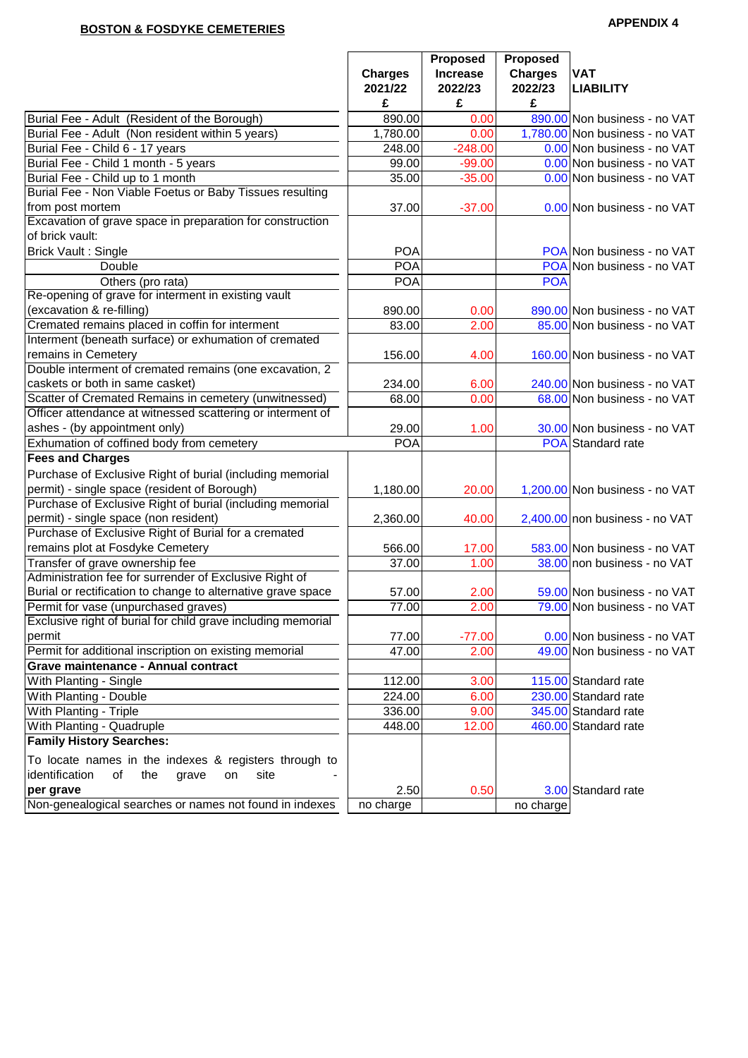# **APPENDIX 4 BOSTON & FOSDYKE CEMETERIES**

|                                                              | <b>Charges</b><br>2021/22<br>£ | Proposed<br><b>Increase</b><br>2022/23<br>£ | <b>Proposed</b><br><b>Charges</b><br>2022/23<br>£ | <b>VAT</b><br><b>LIABILITY</b> |
|--------------------------------------------------------------|--------------------------------|---------------------------------------------|---------------------------------------------------|--------------------------------|
| Burial Fee - Adult (Resident of the Borough)                 | 890.00                         | 0.00                                        |                                                   | 890.00 Non business - no VAT   |
| Burial Fee - Adult (Non resident within 5 years)             | $\overline{1,780.00}$          | 0.00                                        |                                                   | 1,780.00 Non business - no VAT |
| Burial Fee - Child 6 - 17 years                              | 248.00                         | $-248.00$                                   |                                                   | 0.00 Non business - no VAT     |
| Burial Fee - Child 1 month - 5 years                         | 99.00                          | $-99.00$                                    |                                                   | 0.00 Non business - no VAT     |
| Burial Fee - Child up to 1 month                             | 35.00                          | $-35.00$                                    |                                                   | 0.00 Non business - no VAT     |
| Burial Fee - Non Viable Foetus or Baby Tissues resulting     |                                |                                             |                                                   |                                |
| from post mortem                                             | 37.00                          | $-37.00$                                    |                                                   | 0.00 Non business - no VAT     |
| Excavation of grave space in preparation for construction    |                                |                                             |                                                   |                                |
| of brick vault:                                              |                                |                                             |                                                   |                                |
| <b>Brick Vault: Single</b>                                   | <b>POA</b>                     |                                             |                                                   | POA Non business - no VAT      |
| Double                                                       | <b>POA</b>                     |                                             |                                                   | POA Non business - no VAT      |
| Others (pro rata)                                            | <b>POA</b>                     |                                             | <b>POA</b>                                        |                                |
| Re-opening of grave for interment in existing vault          |                                |                                             |                                                   |                                |
| (excavation & re-filling)                                    | 890.00                         | 0.00                                        |                                                   | 890.00 Non business - no VAT   |
| Cremated remains placed in coffin for interment              | 83.00                          | 2.00                                        |                                                   | 85.00 Non business - no VAT    |
| Interment (beneath surface) or exhumation of cremated        |                                |                                             |                                                   |                                |
| remains in Cemetery                                          | 156.00                         | 4.00                                        |                                                   | 160.00 Non business - no VAT   |
| Double interment of cremated remains (one excavation, 2      |                                |                                             |                                                   |                                |
| caskets or both in same casket)                              | 234.00                         | 6.00                                        |                                                   | 240.00 Non business - no VAT   |
| Scatter of Cremated Remains in cemetery (unwitnessed)        | 68.00                          | 0.00                                        |                                                   | 68.00 Non business - no VAT    |
| Officer attendance at witnessed scattering or interment of   |                                |                                             |                                                   |                                |
| ashes - (by appointment only)                                | 29.00                          | 1.00                                        |                                                   | 30.00 Non business - no VAT    |
| Exhumation of coffined body from cemetery                    | <b>POA</b>                     |                                             |                                                   | POA Standard rate              |
| <b>Fees and Charges</b>                                      |                                |                                             |                                                   |                                |
| Purchase of Exclusive Right of burial (including memorial    |                                |                                             |                                                   |                                |
| permit) - single space (resident of Borough)                 | 1,180.00                       | 20.00                                       |                                                   | 1,200.00 Non business - no VAT |
| Purchase of Exclusive Right of burial (including memorial    |                                |                                             |                                                   |                                |
| permit) - single space (non resident)                        | 2,360.00                       | 40.00                                       |                                                   | 2,400.00 non business - no VAT |
| Purchase of Exclusive Right of Burial for a cremated         |                                |                                             |                                                   |                                |
| remains plot at Fosdyke Cemetery                             | 566.00                         | 17.00                                       |                                                   | 583.00 Non business - no VAT   |
| Transfer of grave ownership fee                              | 37.00                          | 1.00                                        |                                                   | 38.00 non business - no VAT    |
| Administration fee for surrender of Exclusive Right of       |                                |                                             |                                                   |                                |
| Burial or rectification to change to alternative grave space | 57.00                          | 2.00                                        |                                                   | 59.00 Non business - no VAT    |
| Permit for vase (unpurchased graves)                         | 77.00                          | 2.00                                        |                                                   | 79.00 Non business - no VAT    |
| Exclusive right of burial for child grave including memorial |                                |                                             |                                                   |                                |
| permit                                                       | 77.00                          | $-77.00$                                    |                                                   | 0.00 Non business - no VAT     |
| Permit for additional inscription on existing memorial       | 47.00                          | 2.00                                        |                                                   | 49.00 Non business - no VAT    |
| Grave maintenance - Annual contract                          |                                |                                             |                                                   |                                |
| With Planting - Single                                       | 112.00                         | 3.00                                        |                                                   | 115.00 Standard rate           |
| With Planting - Double                                       | 224.00                         | 6.00                                        |                                                   | 230.00 Standard rate           |
| With Planting - Triple                                       | 336.00                         | 9.00                                        |                                                   | 345.00 Standard rate           |
| With Planting - Quadruple                                    | 448.00                         | 12.00                                       |                                                   | 460.00 Standard rate           |
| <b>Family History Searches:</b>                              |                                |                                             |                                                   |                                |
| To locate names in the indexes & registers through to        |                                |                                             |                                                   |                                |
| identification<br>the<br>site<br>of<br>grave<br>on           |                                |                                             |                                                   |                                |
| per grave                                                    | 2.50                           | 0.50                                        |                                                   | 3.00 Standard rate             |
| Non-genealogical searches or names not found in indexes      | no charge                      |                                             | no charge                                         |                                |
|                                                              |                                |                                             |                                                   |                                |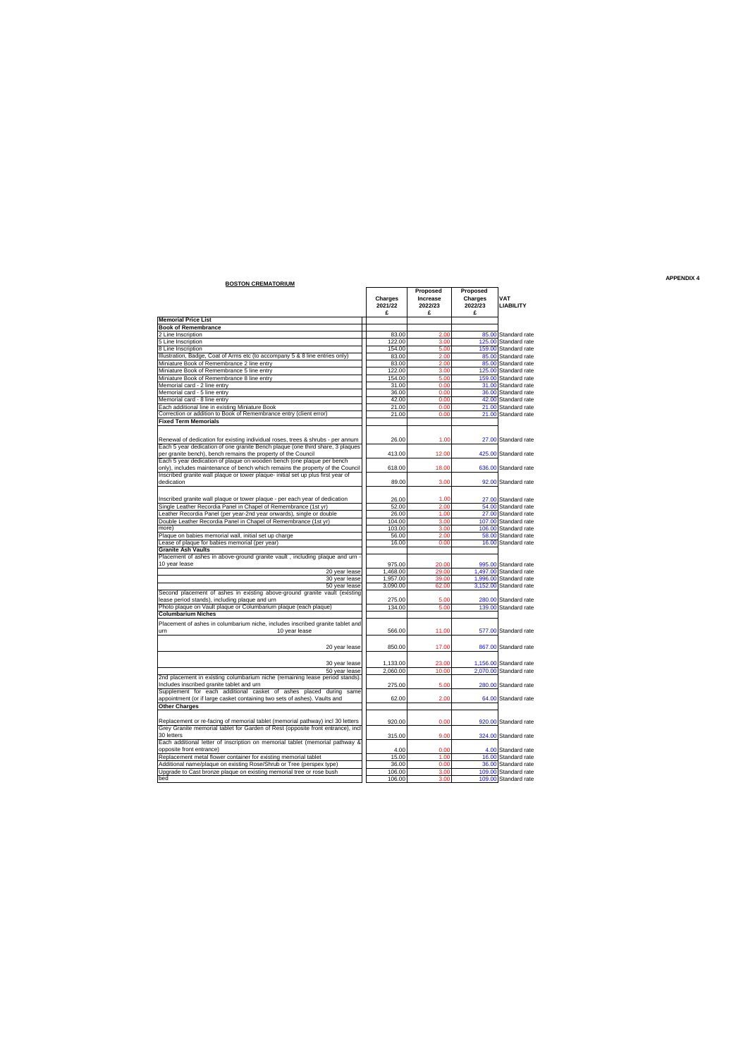|                                                                                                   |                      |                                 |                                |                                                  | <b>APPENDIX 4</b> |
|---------------------------------------------------------------------------------------------------|----------------------|---------------------------------|--------------------------------|--------------------------------------------------|-------------------|
| <b>BOSTON CREMATORIUM</b>                                                                         | Charges<br>2021/22   | Proposed<br>Increase<br>2022/23 | Proposed<br>Charges<br>2022/23 | <b>VAT</b><br><b>LIABILITY</b>                   |                   |
|                                                                                                   | £                    | £                               | £                              |                                                  |                   |
| <b>Memorial Price List</b>                                                                        |                      |                                 |                                |                                                  |                   |
| <b>Book of Remembrance</b>                                                                        |                      |                                 |                                |                                                  |                   |
| 2 Line Inscription                                                                                | 83.00                | 2.00                            |                                | 85.00 Standard rate                              |                   |
| 5 Line Inscription                                                                                | 122.00               | 3.00                            |                                | 125.00 Standard rate                             |                   |
| 8 Line Inscription                                                                                | 154.00               | 5.00                            | 159.00                         | Standard rate                                    |                   |
| Illustration, Badge, Coat of Arms etc (to accompany 5 & 8 line entries only)                      | 83.00                | 2.00                            | 85.00                          | Standard rate                                    |                   |
| Miniature Book of Remembrance 2 line entry                                                        | 83.00                | 2.00                            | 85.00                          | Standard rate                                    |                   |
| Miniature Book of Remembrance 5 line entry                                                        | 122.00               | 3.00                            |                                | 125.00 Standard rate                             |                   |
| Miniature Book of Remembrance 8 line entry                                                        | 154.00               | 5.00                            |                                | 159.00 Standard rate                             |                   |
| Memorial card - 2 line entry                                                                      | 31.00                | 0.00                            |                                | 31.00 Standard rate                              |                   |
| Memorial card - 5 line entry                                                                      | 36.00                | 0.00                            |                                | 36.00 Standard rate                              |                   |
| Memorial card - 8 line entry                                                                      | 42.00                | 0.00                            | 42.00                          | Standard rate                                    |                   |
| Each additional line in existing Miniature Book                                                   | 21.00                | 0.00                            | 21.00                          | Standard rate                                    |                   |
| Correction or addition to Book of Remembrance entry (client error)<br><b>Fixed Term Memorials</b> | 21.00                | 0.00                            |                                | 21.00 Standard rate                              |                   |
|                                                                                                   |                      |                                 |                                |                                                  |                   |
|                                                                                                   |                      |                                 |                                |                                                  |                   |
| Renewal of dedication for existing individual roses, trees & shrubs - per annum                   | 26.00                | 1.00                            |                                | 27.00 Standard rate                              |                   |
| Each 5 year dedication of one granite Bench plaque (one third share, 3 plaques                    |                      |                                 |                                |                                                  |                   |
| per granite bench), bench remains the property of the Council                                     | 413.00               | 12.00                           |                                | 425.00 Standard rate                             |                   |
| Each 5 year dedication of plaque on wooden bench (one plaque per bench                            |                      |                                 |                                |                                                  |                   |
| only), includes maintenance of bench which remains the property of the Council                    | 618.00               | 18.00                           |                                | 636.00 Standard rate                             |                   |
| Inscribed granite wall plaque or tower plaque- initial set up plus first year of                  |                      |                                 |                                |                                                  |                   |
| dedication                                                                                        | 89.00                | 3.00                            |                                | 92.00 Standard rate                              |                   |
|                                                                                                   |                      |                                 |                                |                                                  |                   |
| Inscribed granite wall plaque or tower plaque - per each year of dedication                       | 26.00                | 1.00                            |                                | 27.00 Standard rate                              |                   |
| Single Leather Recordia Panel in Chapel of Remembrance (1st yr)                                   | 52.00                | 2.00                            |                                | 54.00 Standard rate                              |                   |
| Leather Recordia Panel (per year-2nd year onwards), single or double                              | 26.00                | 1.00                            |                                | 27.00 Standard rate                              |                   |
| Double Leather Recordia Panel in Chapel of Remembrance (1st yr)                                   | 104.00               | 3.00                            | 107.00                         | Standard rate                                    |                   |
| more)                                                                                             | 103.00               | 3.00                            | 106.00                         | Standard rate                                    |                   |
| Plaque on babies memorial wall, initial set up charge                                             | 56.00                | 2.00                            | 58.00                          | Standard rate                                    |                   |
| Lease of plaque for babies memorial (per year)                                                    | 16.00                | 0.00                            |                                | 16.00 Standard rate                              |                   |
| <b>Granite Ash Vaults</b>                                                                         |                      |                                 |                                |                                                  |                   |
| Placement of ashes in above-ground granite vault, including plaque and um -                       |                      |                                 |                                |                                                  |                   |
| 10 year lease                                                                                     | 975.00               | 20.00                           |                                | 995.00 Standard rate                             |                   |
| 20 year lease                                                                                     | 1.468.00             | 29.00                           |                                | 1,497.00 Standard rate                           |                   |
| 30 year lease                                                                                     | 1,957.00             | 39.00                           |                                | 1,996.00 Standard rate                           |                   |
| 50 year lease                                                                                     | 3,090.00             | 62.00                           | 3,152.00                       | Standard rate                                    |                   |
| Second placement of ashes in existing above-ground granite vault (existing                        |                      |                                 |                                |                                                  |                   |
| lease period stands), including plaque and urn                                                    | 275.00               | 5.00                            | 280.00                         | Standard rate                                    |                   |
| Photo plaque on Vault plaque or Columbarium plaque (each plaque)                                  | 134.00               | 5.00                            |                                | 139.00 Standard rate                             |                   |
| <b>Columbarium Niches</b>                                                                         |                      |                                 |                                |                                                  |                   |
| Placement of ashes in columbarium niche, includes inscribed granite tablet and                    |                      |                                 |                                |                                                  |                   |
| 10 year lease<br>um                                                                               | 566.00               | 11.00                           |                                | 577.00 Standard rate                             |                   |
|                                                                                                   |                      |                                 |                                |                                                  |                   |
| 20 year lease                                                                                     | 850.00               | 17.00                           |                                | 867.00 Standard rate                             |                   |
|                                                                                                   |                      |                                 |                                |                                                  |                   |
|                                                                                                   |                      |                                 |                                |                                                  |                   |
| 30 year lease                                                                                     | 1,133.00<br>2.060.00 | 23.00<br>10.00                  |                                | 1,156.00 Standard rate<br>2.070.00 Standard rate |                   |
| 50 year lease<br>2nd placement in existing columbarium niche (remaining lease period stands).     |                      |                                 |                                |                                                  |                   |
| Includes inscribed granite tablet and urn                                                         | 275.00               | 5.00                            |                                | 280.00 Standard rate                             |                   |
| Supplement for each additional casket of ashes placed during same                                 |                      |                                 |                                |                                                  |                   |
| appointment (or if large casket containing two sets of ashes). Vaults and                         | 62.00                | 2.00                            |                                | 64.00 Standard rate                              |                   |
|                                                                                                   |                      |                                 |                                |                                                  |                   |
| <b>Other Charges</b>                                                                              |                      |                                 |                                |                                                  |                   |
|                                                                                                   |                      |                                 |                                |                                                  |                   |
| Replacement or re-facing of memorial tablet (memorial pathway) incl 30 letters                    | 920.00               | 0.00                            |                                | 920.00 Standard rate                             |                   |
| Grey Granite memorial tablet for Garden of Rest (opposite front entrance), incl<br>30 letters     |                      |                                 |                                |                                                  |                   |
|                                                                                                   | 315.00               | 9.00                            |                                | 324.00 Standard rate                             |                   |
| Each additional letter of inscription on memorial tablet (memorial pathway &                      |                      |                                 |                                |                                                  |                   |
| opposite front entrance)                                                                          | 4.00                 | 0.00                            |                                | 4.00 Standard rate                               |                   |
| Replacement metal flower container for existing memorial tablet                                   | 15.00                | 1.00                            |                                | 16.00 Standard rate                              |                   |
| Additional name/plaque on existing Rose/Shrub or Tree (perspex type)                              | 36.00                | 0.00                            |                                | 36.00 Standard rate                              |                   |
| Upgrade to Cast bronze plaque on existing memorial tree or rose bush                              | 106.00               | 3.00                            |                                | 109.00 Standard rate                             |                   |
| hed                                                                                               | 106.00               | 3.00                            |                                | 109.00 Standard rate                             |                   |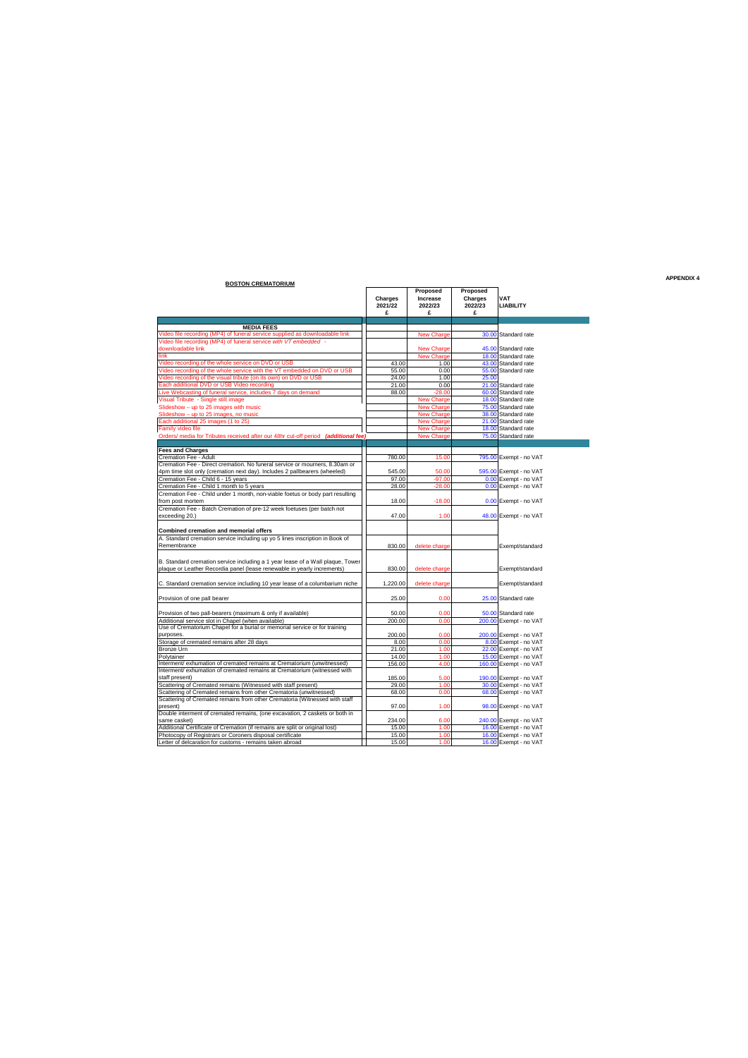| <b>BOSTON CREMATORIUM</b>                                                                                                                                 |                         |                                      |                                     |                         |
|-----------------------------------------------------------------------------------------------------------------------------------------------------------|-------------------------|--------------------------------------|-------------------------------------|-------------------------|
|                                                                                                                                                           | Charges<br>2021/22<br>£ | Proposed<br>Increase<br>2022/23<br>£ | Proposed<br>Charges<br>2022/23<br>£ | VAT<br><b>LIABILITY</b> |
| <b>MEDIA FEES</b>                                                                                                                                         |                         |                                      |                                     |                         |
| Video file recording (MP4) of funeral service supplied as downloadable link                                                                               |                         | <b>New Charge</b>                    |                                     | 30.00 Standard rate     |
| Video file recording (MP4) of funeral service with VT embedded -                                                                                          |                         |                                      |                                     |                         |
| downloadable link                                                                                                                                         |                         | <b>New Charge</b>                    |                                     | 45.00 Standard rate     |
| link                                                                                                                                                      |                         | <b>New Charge</b>                    |                                     | 18.00 Standard rate     |
| Video recording of the whole service on DVD or USB                                                                                                        | 43.00                   | 1.00                                 |                                     | 43.00 Standard rate     |
| Video recording of the whole service with the VT embedded on DVD or USB                                                                                   | 55.00                   | 0.00                                 |                                     | 55.00 Standard rate     |
| Video recording of the visual tribute (on its own) on DVD or USB                                                                                          | 24.00                   | 1.00                                 | 25.00                               |                         |
| Each additional DVD or USB Video recording                                                                                                                | 21.00                   | 0.00                                 |                                     | 21.00 Standard rate     |
| Live Webcasting of funeral service, includes 7 days on demand                                                                                             | 88.00                   | $-28.00$                             |                                     | 60.00 Standard rate     |
| Visual Tribute - Single still image                                                                                                                       |                         | <b>New Charge</b>                    |                                     | 18.00 Standard rate     |
| Slideshow - up to 25 images with music                                                                                                                    |                         | <b>New Charge</b>                    |                                     | 75.00 Standard rate     |
| Slideshow - up to 25 images, no music                                                                                                                     |                         | <b>New Charge</b>                    |                                     | 38.00 Standard rate     |
| Each additional 25 images (1 to 25)                                                                                                                       |                         | New Charge                           |                                     | 21.00 Standard rate     |
| Family video file                                                                                                                                         |                         | <b>New Charge</b>                    |                                     | 18.00 Standard rate     |
| Orders/ media for Tributes received after our 48hr cut-off period (additional fee)                                                                        |                         | <b>New Charge</b>                    |                                     | 75.00 Standard rate     |
|                                                                                                                                                           |                         |                                      |                                     |                         |
| <b>Fees and Charges</b>                                                                                                                                   |                         |                                      |                                     |                         |
| Cremation Fee - Adult                                                                                                                                     | 780.00                  | 15.00                                |                                     | 795.00 Exempt - no VAT  |
| Cremation Fee - Direct cremation. No funeral service or mourners, 8.30am or                                                                               |                         |                                      |                                     |                         |
| 4pm time slot only (cremation next day). Includes 2 pallbearers (wheeled)                                                                                 | 545.00                  | 50.00                                |                                     | 595.00 Exempt - no VAT  |
| Cremation Fee - Child 6 - 15 years                                                                                                                        | 97.00                   | $-97.00$                             |                                     | 0.00 Exempt - no VAT    |
| Cremation Fee - Child 1 month to 5 years                                                                                                                  | 28.00                   | $-28.00$                             |                                     | 0.00 Exempt - no VAT    |
| Cremation Fee - Child under 1 month, non-viable foetus or body part resulting                                                                             |                         |                                      |                                     |                         |
| from post mortem                                                                                                                                          | 18.00                   | $-18.00$                             |                                     | 0.00 Exempt - no VAT    |
| Cremation Fee - Batch Cremation of pre-12 week foetuses (per batch not                                                                                    |                         |                                      |                                     |                         |
| exceeding 20.)                                                                                                                                            | 47.00                   | 1.00                                 |                                     | 48.00 Exempt - no VAT   |
| <b>Combined cremation and memorial offers</b>                                                                                                             |                         |                                      |                                     |                         |
| A. Standard cremation service including up yo 5 lines inscription in Book of                                                                              |                         |                                      |                                     |                         |
| Remembrance                                                                                                                                               | 830.00                  | delete charge                        |                                     | Exempt/standard         |
| B. Standard cremation service including a 1 year lease of a Wall plaque, Tower<br>plaque or Leather Recordia panel (lease renewable in yearly increments) | 830.00                  | delete charge                        |                                     | Exempt/standard         |
|                                                                                                                                                           |                         |                                      |                                     |                         |
| C. Standard cremation service including 10 year lease of a columbarium niche                                                                              | 1,220.00                | delete charge                        |                                     | Exempt/standard         |
|                                                                                                                                                           |                         |                                      |                                     |                         |
| Provision of one pall bearer                                                                                                                              | 25.00                   | 0.00                                 |                                     | 25.00 Standard rate     |
| Provision of two pall-bearers (maximum & only if available)                                                                                               | 50.00                   | 0.00                                 |                                     | 50.00 Standard rate     |
| Additional service slot in Chapel (when available)                                                                                                        | 200.00                  | 0.00                                 |                                     | 200.00 Exempt - no VAT  |
| Use of Crematorium Chapel for a burial or memorial service or for training                                                                                |                         |                                      |                                     |                         |
| purposes.                                                                                                                                                 | 200.00                  | 0.00                                 |                                     | 200.00 Exempt - no VAT  |
| Storage of cremated remains after 28 days                                                                                                                 | 8.00                    | 0.00                                 |                                     | 8.00 Exempt - no VAT    |
| Bronze Urn                                                                                                                                                | 21.00                   | 1.00                                 |                                     | 22.00 Exempt - no VAT   |
| Polytainer                                                                                                                                                | 14.00                   | 1.00                                 |                                     | 15.00 Exempt - no VAT   |
| Interment/ exhumation of cremated remains at Crematorium (unwitnessed)                                                                                    | 156.00                  | 4.00                                 |                                     | 160.00 Exempt - no VAT  |
| Interment/ exhumation of cremated remains at Crematorium (witnessed with                                                                                  |                         |                                      |                                     |                         |
| staff present)                                                                                                                                            | 185.00                  | 5.00                                 |                                     | 190.00 Exempt - no VAT  |
| Scattering of Cremated remains (Witnessed with staff present)                                                                                             | 29.00                   | 1.00                                 |                                     | 30.00 Exempt - no VAT   |
| Scattering of Cremated remains from other Crematoria (unwitnessed)                                                                                        | 68.00                   | 0.00                                 |                                     | 68.00 Exempt - no VAT   |
| Scattering of Cremated remains from other Crematoria (Witnessed with staff                                                                                |                         |                                      |                                     |                         |
| present)                                                                                                                                                  | 97.00                   | 1.00                                 |                                     | 98.00 Exempt - no VAT   |
| Double interment of cremated remains, (one excavation, 2 caskets or both in                                                                               |                         |                                      |                                     |                         |
| same casket)                                                                                                                                              | 234.00                  | 6.00                                 |                                     | 240.00 Exempt - no VAT  |
| Additional Certificate of Cremation (if remains are split or original lost)                                                                               | 15.00                   | 1.00                                 |                                     | 16.00 Exempt - no VAT   |
| Photocopy of Registrars or Coroners disposal certificate                                                                                                  | 15.00                   | 1.00                                 |                                     | 16.00 Exempt - no VAT   |
| Letter of delcaration for customs - remains taken abroad                                                                                                  | 15.00                   | 1.00                                 |                                     | 16.00 Exempt - no VAT   |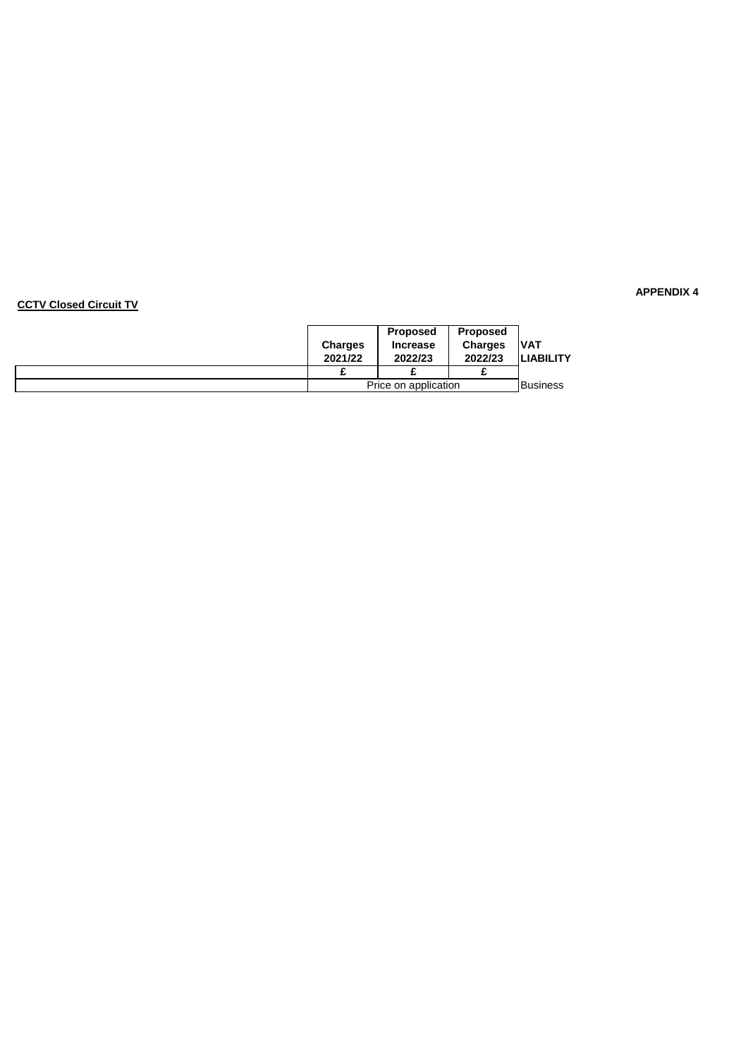### **CCTV Closed Circuit TV**

| <b>Proposed</b>      |                   | <b>Proposed</b> |                  |
|----------------------|-------------------|-----------------|------------------|
| <b>Charges</b>       | <b>Increase</b>   | <b>Charges</b>  | IVAT             |
| 2021/22              | 2022/23           | 2022/23         | <b>LIABILITY</b> |
|                      |                   |                 |                  |
| Price on application | <b>I</b> Business |                 |                  |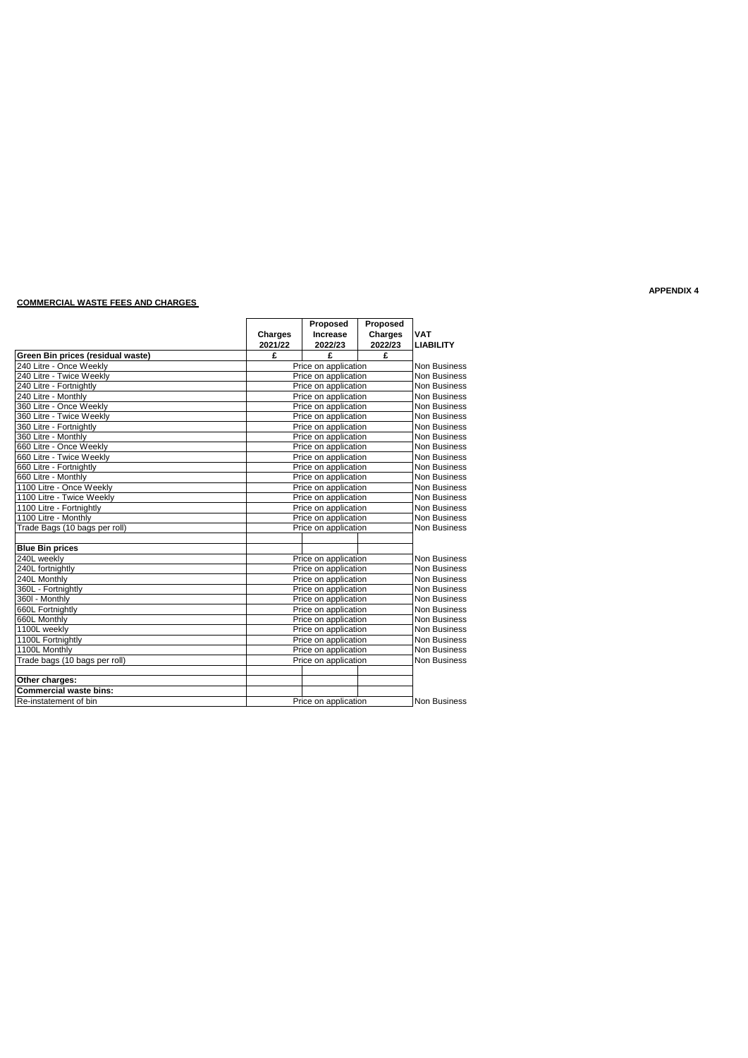### **COMMERCIAL WASTE FEES AND CHARGES**

|                                   |                | Proposed             |         |                     |
|-----------------------------------|----------------|----------------------|---------|---------------------|
|                                   | <b>Charges</b> | Increase             | Charges | <b>VAT</b>          |
|                                   | 2021/22        | 2022/23              | 2022/23 | <b>LIABILITY</b>    |
| Green Bin prices (residual waste) | £              | £                    | £       |                     |
| 240 Litre - Once Weekly           |                | Price on application |         | <b>Non Business</b> |
| 240 Litre - Twice Weekly          |                | Price on application |         | Non Business        |
| 240 Litre - Fortnightly           |                | Price on application |         | <b>Non Business</b> |
| 240 Litre - Monthly               |                | Price on application |         | <b>Non Business</b> |
| 360 Litre - Once Weekly           |                | Price on application |         | <b>Non Business</b> |
| 360 Litre - Twice Weekly          |                | Price on application |         | <b>Non Business</b> |
| 360 Litre - Fortnightly           |                | Price on application |         | <b>Non Business</b> |
| 360 Litre - Monthly               |                | Price on application |         | <b>Non Business</b> |
| 660 Litre - Once Weekly           |                | Price on application |         | <b>Non Business</b> |
| 660 Litre - Twice Weekly          |                | Price on application |         | <b>Non Business</b> |
| 660 Litre - Fortnightly           |                | Price on application |         | Non Business        |
| 660 Litre - Monthly               |                | Price on application |         | <b>Non Business</b> |
| 1100 Litre - Once Weekly          |                | Price on application |         | <b>Non Business</b> |
| 1100 Litre - Twice Weekly         |                | Price on application |         | <b>Non Business</b> |
| 1100 Litre - Fortnightly          |                | Price on application |         | Non Business        |
| 1100 Litre - Monthly              |                | Price on application |         | Non Business        |
| Trade Bags (10 bags per roll)     |                | Price on application |         | <b>Non Business</b> |
|                                   |                |                      |         |                     |
| <b>Blue Bin prices</b>            |                |                      |         |                     |
| 240L weekly                       |                | Price on application |         | <b>Non Business</b> |
| 240L fortnightly                  |                | Price on application |         | Non Business        |
| 240L Monthly                      |                | Price on application |         | <b>Non Business</b> |
| 360L - Fortnightly                |                | Price on application |         | <b>Non Business</b> |
| 360I - Monthly                    |                | Price on application |         | <b>Non Business</b> |
| 660L Fortnightly                  |                | Price on application |         | <b>Non Business</b> |
| 660L Monthly                      |                | Price on application |         | <b>Non Business</b> |
| 1100L weekly                      |                | Price on application |         | <b>Non Business</b> |
| 1100L Fortnightly                 |                | Price on application |         | <b>Non Business</b> |
| 1100L Monthly                     |                | Price on application |         | Non Business        |
| Trade bags (10 bags per roll)     |                | Price on application |         | Non Business        |
| Other charges:                    |                |                      |         |                     |
| <b>Commercial waste bins:</b>     |                |                      |         |                     |
| Re-instatement of bin             |                | Price on application |         | <b>Non Business</b> |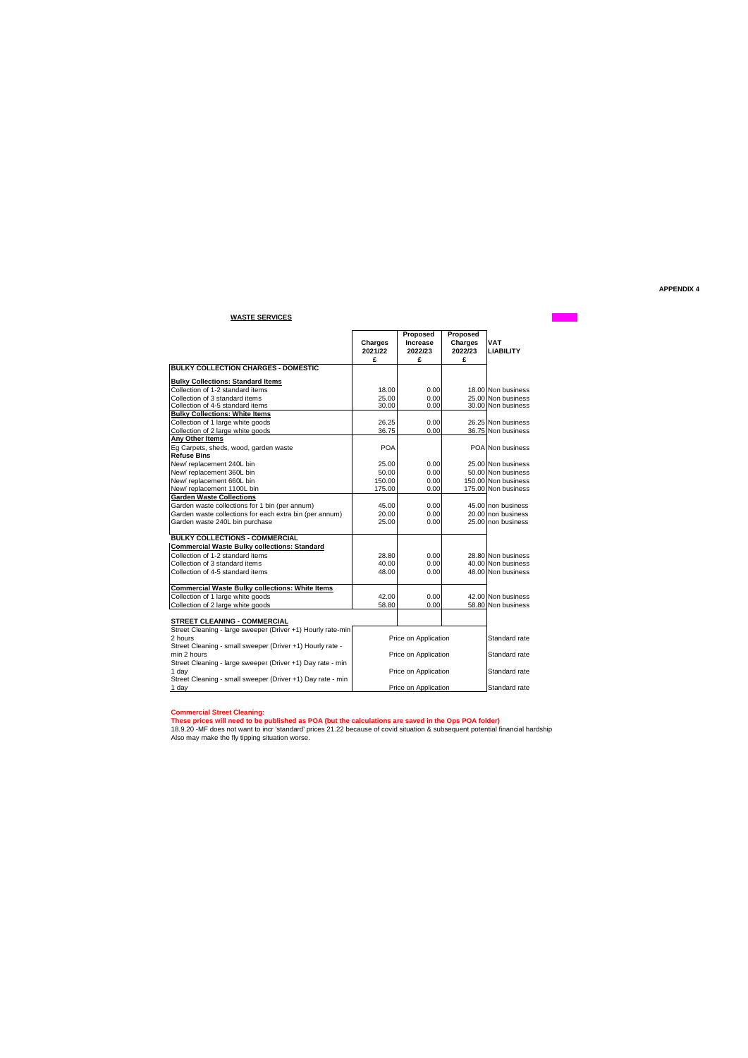### **WASTE SERVICES**

|                                                             | Charges<br>2021/22 | Proposed<br>Increase<br>2022/23 | Proposed<br><b>Charges</b><br>2022/23 | <b>VAT</b><br><b>LIABILITY</b> |
|-------------------------------------------------------------|--------------------|---------------------------------|---------------------------------------|--------------------------------|
|                                                             | £                  | £                               | £                                     |                                |
| <b>BULKY COLLECTION CHARGES - DOMESTIC</b>                  |                    |                                 |                                       |                                |
| <b>Bulky Collections: Standard Items</b>                    |                    |                                 |                                       |                                |
| Collection of 1-2 standard items                            | 18.00              | 0.00                            |                                       | 18.00 Non business             |
| Collection of 3 standard items                              | 25.00              | 0.00                            |                                       | 25.00 Non business             |
| Collection of 4-5 standard items                            | 30.00              | 0.00                            |                                       | 30.00 Non business             |
| <b>Bulky Collections: White Items</b>                       |                    |                                 |                                       |                                |
| Collection of 1 large white goods                           | 26.25              | 0.00                            |                                       | 26.25 Non business             |
| Collection of 2 large white goods                           | 36.75              | 0.00                            |                                       | 36.75 Non business             |
| Any Other Items                                             |                    |                                 |                                       |                                |
| Eg Carpets, sheds, wood, garden waste                       | <b>POA</b>         |                                 |                                       | POA Non business               |
| <b>Refuse Bins</b>                                          |                    |                                 |                                       |                                |
| New/replacement 240L bin                                    | 25.00              | 0.00                            |                                       | 25.00 Non business             |
| New/replacement 360L bin                                    | 50.00              | 0.00                            |                                       | 50.00 Non business             |
| New/replacement 660L bin                                    | 150.00             | 0.00                            |                                       | 150.00 Non business            |
| New/replacement 1100L bin                                   | 175.00             | 0.00                            |                                       | 175.00 Non business            |
| <b>Garden Waste Collections</b>                             |                    |                                 |                                       |                                |
| Garden waste collections for 1 bin (per annum)              | 45.00              | 0.00                            |                                       | 45.00 non business             |
| Garden waste collections for each extra bin (per annum)     | 20.00              | 0.00                            |                                       | 20.00 non business             |
| Garden waste 240L bin purchase                              | 25.00              | 0.00                            |                                       | 25.00 non business             |
| <b>BULKY COLLECTIONS - COMMERCIAL</b>                       |                    |                                 |                                       |                                |
| <b>Commercial Waste Bulky collections: Standard</b>         |                    |                                 |                                       |                                |
| Collection of 1-2 standard items                            | 28.80              | 0.00                            |                                       | 28.80 Non business             |
| Collection of 3 standard items                              | 40.00              | 0.00                            |                                       | 40.00 Non business             |
| Collection of 4-5 standard items                            | 48.00              | 0.00                            |                                       | 48.00 Non business             |
| <b>Commercial Waste Bulky collections: White Items</b>      |                    |                                 |                                       |                                |
| Collection of 1 large white goods                           | 42.00              | 0.00                            |                                       | 42.00 Non business             |
| Collection of 2 large white goods                           | 58.80              | 0.00                            |                                       | 58.80 Non business             |
| STREET CLEANING - COMMERCIAL                                |                    |                                 |                                       |                                |
| Street Cleaning - large sweeper (Driver +1) Hourly rate-min |                    |                                 |                                       |                                |
| 2 hours                                                     |                    | Price on Application            |                                       | Standard rate                  |
| Street Cleaning - small sweeper (Driver +1) Hourly rate -   |                    |                                 |                                       |                                |
| min 2 hours                                                 |                    | Price on Application            |                                       | Standard rate                  |
| Street Cleaning - large sweeper (Driver +1) Day rate - min  |                    |                                 |                                       |                                |
| 1 day                                                       |                    | Price on Application            |                                       | Standard rate                  |
| Street Cleaning - small sweeper (Driver +1) Day rate - min  |                    |                                 |                                       |                                |
| 1 day                                                       |                    | Price on Application            |                                       | Standard rate                  |

Commercial Street Cleaning:<br>These prices will need to be published as POA (but the calculations are saved in the Ops POA folder)<br>18.9.20 -MF does not want to incr 'standard' prices 21.22 because of covid situation & subseq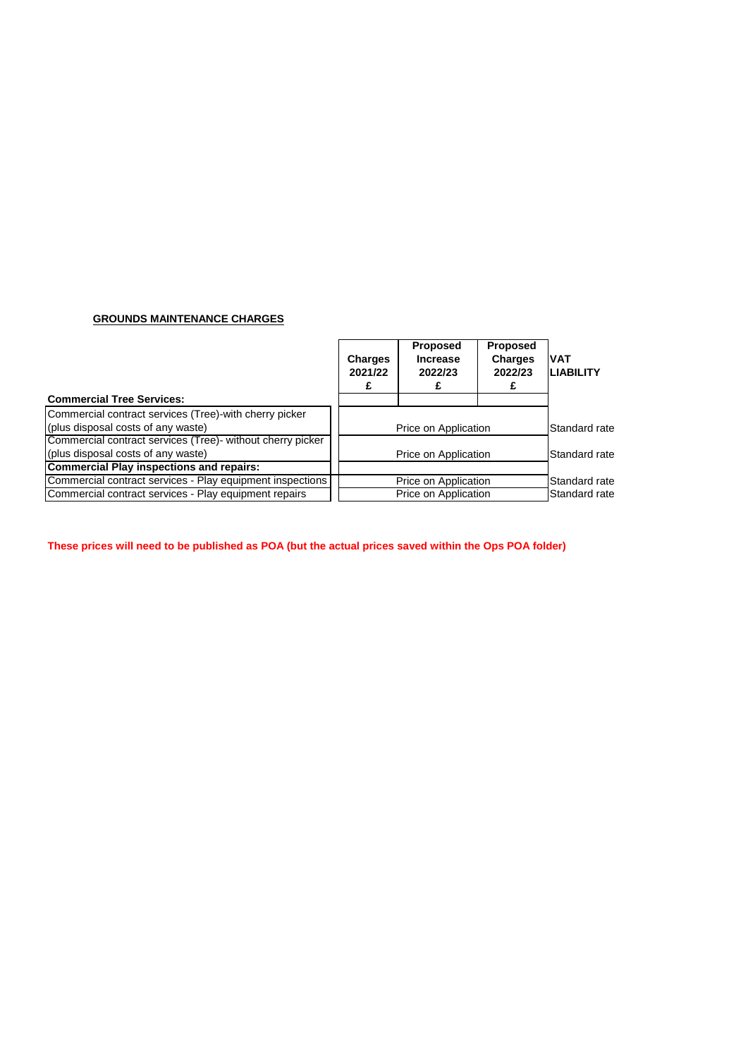### **GROUNDS MAINTENANCE CHARGES**

|                                                            | <b>Charges</b><br>2021/22 | <b>Proposed</b><br><b>Increase</b><br>2022/23 | <b>Proposed</b><br><b>Charges</b><br>2022/23 | <b>VAT</b><br><b>LIABILITY</b> |
|------------------------------------------------------------|---------------------------|-----------------------------------------------|----------------------------------------------|--------------------------------|
| <b>Commercial Tree Services:</b>                           |                           |                                               |                                              |                                |
| Commercial contract services (Tree)-with cherry picker     |                           |                                               |                                              |                                |
| (plus disposal costs of any waste)                         |                           | Price on Application                          |                                              |                                |
| Commercial contract services (Tree)- without cherry picker |                           |                                               |                                              |                                |
| (plus disposal costs of any waste)                         |                           | Price on Application                          |                                              | Standard rate                  |
| <b>Commercial Play inspections and repairs:</b>            |                           |                                               |                                              |                                |
| Commercial contract services - Play equipment inspections  |                           | Price on Application                          |                                              | Standard rate                  |
| Commercial contract services - Play equipment repairs      |                           | Price on Application                          |                                              | Standard rate                  |

**These prices will need to be published as POA (but the actual prices saved within the Ops POA folder)**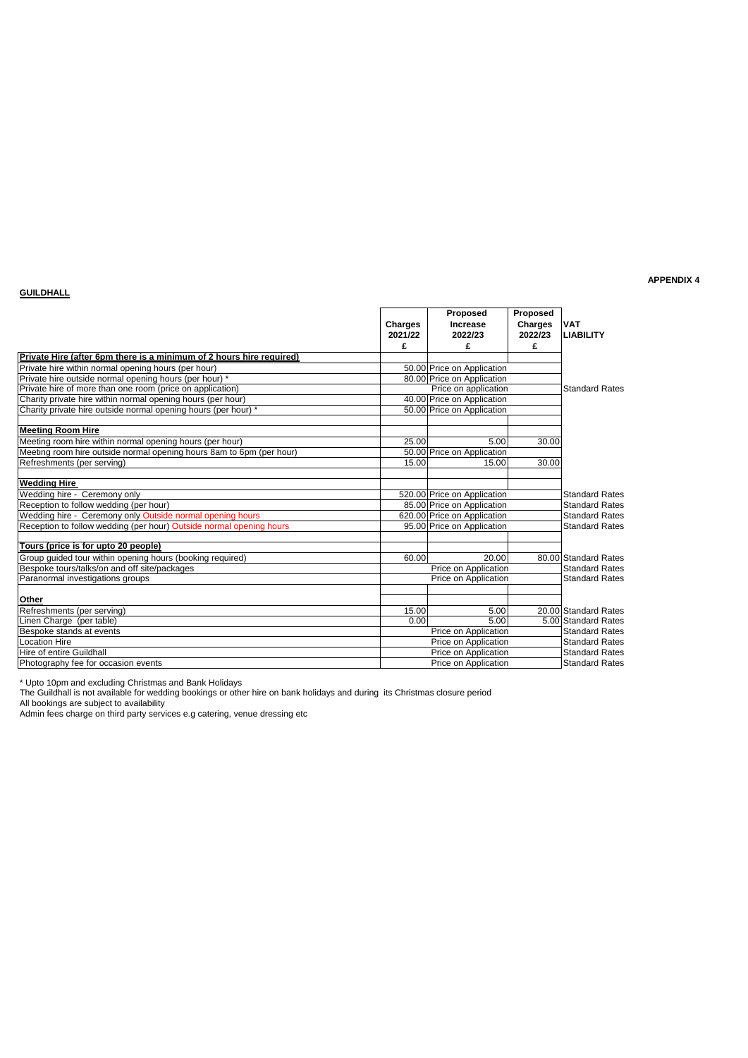### **GUILDHALL**

### **APPENDIX 4**

|                                                                      | <b>Charges</b><br>2021/22 | Proposed<br>Increase<br>2022/23 | Proposed<br><b>Charges</b><br>2022/23 | <b>VAT</b><br><b>LIABILITY</b> |
|----------------------------------------------------------------------|---------------------------|---------------------------------|---------------------------------------|--------------------------------|
|                                                                      | £                         | £                               | £                                     |                                |
| Private Hire (after 6pm there is a minimum of 2 hours hire required) |                           |                                 |                                       |                                |
| Private hire within normal opening hours (per hour)                  |                           | 50.00 Price on Application      |                                       |                                |
| Private hire outside normal opening hours (per hour) *               |                           | 80.00 Price on Application      |                                       |                                |
| Private hire of more than one room (price on application)            |                           | Price on application            |                                       | <b>Standard Rates</b>          |
| Charity private hire within normal opening hours (per hour)          |                           | 40.00 Price on Application      |                                       |                                |
| Charity private hire outside normal opening hours (per hour) *       |                           | 50.00 Price on Application      |                                       |                                |
| <b>Meeting Room Hire</b>                                             |                           |                                 |                                       |                                |
| Meeting room hire within normal opening hours (per hour)             | 25.00                     | 5.00                            | 30.00                                 |                                |
| Meeting room hire outside normal opening hours 8am to 6pm (per hour) |                           | 50.00 Price on Application      |                                       |                                |
| Refreshments (per serving)                                           | 15.00                     | 15.00                           | 30.00                                 |                                |
| <b>Wedding Hire</b>                                                  |                           |                                 |                                       |                                |
| Wedding hire - Ceremony only                                         |                           | 520.00 Price on Application     |                                       | <b>Standard Rates</b>          |
| Reception to follow wedding (per hour)                               |                           | 85.00 Price on Application      |                                       | <b>Standard Rates</b>          |
| Wedding hire - Ceremony only Outside normal opening hours            |                           | 620.00 Price on Application     |                                       | <b>Standard Rates</b>          |
| Reception to follow wedding (per hour) Outside normal opening hours  |                           | 95.00 Price on Application      |                                       | <b>Standard Rates</b>          |
| Tours (price is for upto 20 people)                                  |                           |                                 |                                       |                                |
| Group guided tour within opening hours (booking required)            | 60.00                     | 20.00                           |                                       | 80.00 Standard Rates           |
| Bespoke tours/talks/on and off site/packages                         |                           | Price on Application            |                                       | <b>Standard Rates</b>          |
| Paranormal investigations groups                                     |                           | Price on Application            |                                       | <b>Standard Rates</b>          |
| Other                                                                |                           |                                 |                                       |                                |
| Refreshments (per serving)                                           | 15.00                     | 5.00                            |                                       | 20.00 Standard Rates           |
| Linen Charge (per table)                                             | 0.00                      | 5.00                            |                                       | 5.00 Standard Rates            |
| Bespoke stands at events                                             |                           | Price on Application            |                                       | <b>Standard Rates</b>          |
| <b>Location Hire</b>                                                 |                           | Price on Application            |                                       | <b>Standard Rates</b>          |
| Hire of entire Guildhall                                             |                           | Price on Application            |                                       | <b>Standard Rates</b>          |
| Photography fee for occasion events                                  |                           | Price on Application            |                                       | <b>Standard Rates</b>          |
|                                                                      |                           |                                 |                                       |                                |

\* Upto 10pm and excluding Christmas and Bank Holidays

The Guildhall is not available for wedding bookings or other hire on bank holidays and during its Christmas closure period

All bookings are subject to availability

Admin fees charge on third party services e.g catering, venue dressing etc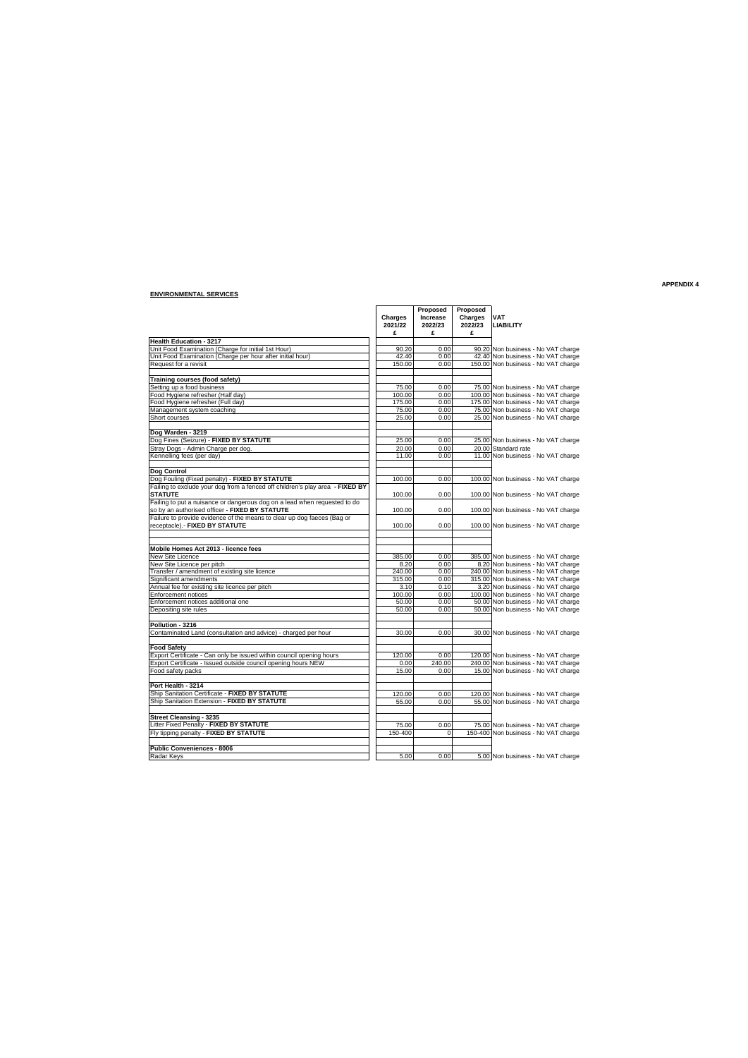#### **ENVIRONMENTAL SERVICES**

**Charges Increase Charges**<br>2021/22 2022/23 2022/23 **2022/23 2022/23 2022/23 2022/23 2022/23 2022/23 2022/23 £ £ £ Health Education - 3217** Unit Food Examination (Charge for initial 1st Hour) 90.20 0.00 90.20 0.00 90.20 Unit Food Examination (Charge per hour after initial hour) 42.40 42.40 0.00 42.40 0.00 42.40 0.00 42.40 0.00 42.40 0.00 42.40 0.00 42.40 0.00 42.40 0.00 42.40 0.00 42.40 0.00 42.40 0.00 42.40 0.00 450.00 450.00 450.00 450. Non business - No VAT charge<br>Non business - No VAT charge<br>Non business - No VAT charge **Training courses (food safety)** Setting up a food business<br>
Control and Total Control of Technology and Total Control of Total Control of Total Control of Total Control of Total Control of Total Control of Total Control of Total Control of Total Control Short courses **25.00 No. 25.00 25.00 No. 25.00 Non business - No VAT charge Dog Warden - 3219<br>Dog Fines (Seizure) - FIXED BY STATUTE** 25.00 0.000 25.00 Non business - No VAT charge<br>Stray Dogs - Admin Charge per dog. 20.00 20.00 0.00 20.00 Standard rate bog Warden - 3219<br>
Charge Charge Charge per dog.<br>
Kennelling fees (per day) The Charge per dog.<br>
Kennelling fees (per day) The Charge Charge Charge Charge Charge Charge Charge Charge Charge Charge Charge Charge Charge Char **Dog Control**<br>Dog Fouling (Fixed penalty) - FIXED BY STATUTE Dog Fouling (Fixed penalty) - FIXED BY STATUTE<br>Failing to exclude your dog from a fenced off children's play area - FIXED BY<br>STATUTE the conduct of children's play area - FIXED BY (100.00) 000 100.00 Non business - No VAT Failing to put a nuisance or dangerous dog on a lead when requested to do so by an authorised officer **- FIXED BY STATUTE**<br>Failure to provide evidence of the means to clear up dog faeces (Bag or the control of the control of the means to clear up dog faeces (Bag or the control of the control of **Mobile Homes Act 2013 - licence fees** New Site Licence<br>
New Site Licence per pitch<br>
New Site Licence per pitch<br>
Significant amendment of existing site licence<br>
Transfer / amendment of existing site licence<br>
Transfer / amendments<br>
Transfer / amendments<br>
Since 2 Enforcement notices 100.00 0.00 100.00 Non business - No VAT charge Enforcement notices additional one 50.00 0.00 50.00 Non business - No VAT charge Depositing site rules 50.00 0.00 50.00 Non business - No VAT charge **Pollution - 3216** ontaminated Land (consultation and advice) - charged per hour 30.00 30.00 0.00 30.00 Non business - No VAT charge **Food Safety** Export Certificate - Can only be issued within council opening hours 120.00 0.00 120.00 Non business - No VAT charge Export Certificate - Issued outside council opening hours NEW 0.00 240.00 Exercise Carrier Carrier of the Safety packs in the United States 15.000 1240.000 240.000 Non business - No VAT charge<br>
Food safety packs - No VAT charge<br>
Food safety packs - No VAT charge Port Health - 3214<br>Ship Sanitation Certificate - FIXED BY STATUTE<br>Ship Sanitation Extension - FIXED BY STATUTE - And Recorded - And - And - And - And - And - And - And - And -<br>Ship Sanitation Extension - FIXED BY STATUTE -**Street Cleansing - 3235<br>Litter Fixed Penalty - <b>FIXED BY STATUTE** 1 1 2000 0.000 75.00 Non business - No VAT charge<br>Fly tipping penalty - **FIXED BY STATUTE** 150-400 150-400 0 150-400 Non business - No VAT charge **Public Conveniences - 8006**  $\overline{6.00}$   $\overline{0.00}$   $\overline{5.00}$  Non business - No VAT charge

**Propos**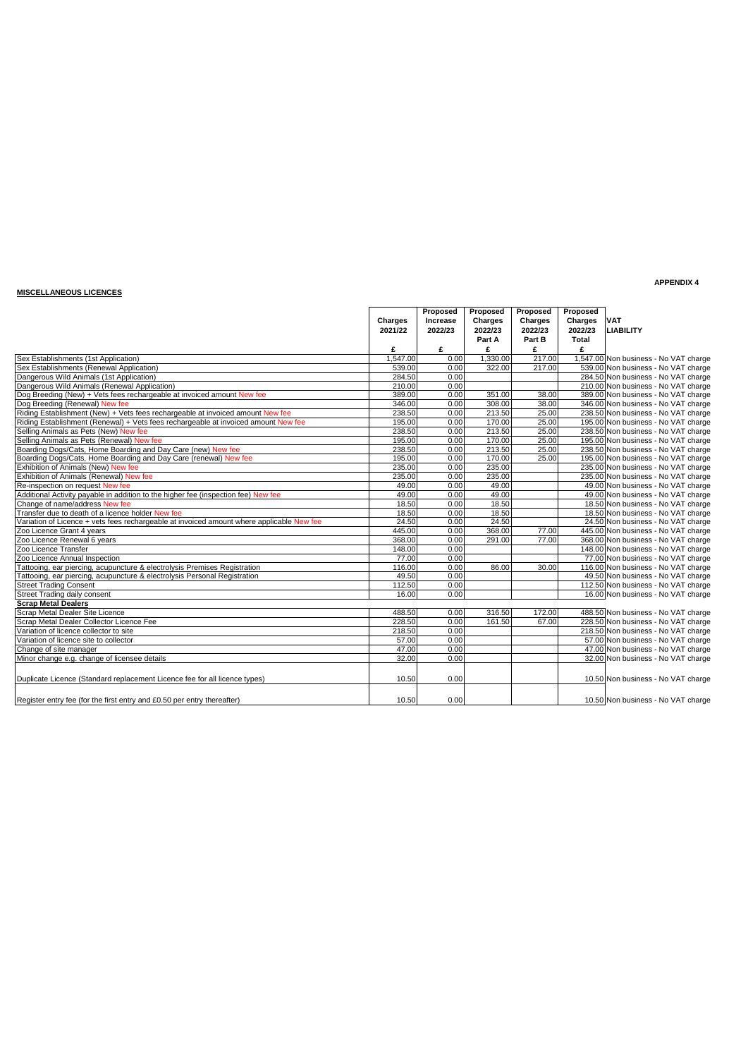### **MISCELLANEOUS LICENCES**

|                                                                                           | Charges<br>2021/22 | Proposed<br>Increase<br>2022/23 | Proposed<br>Charges<br>2022/23<br>Part A | Proposed<br>Charges<br>2022/23<br>Part B | Proposed<br>Charges VAT<br>2022/23<br>Total | <b>LIABILITY</b>                      |
|-------------------------------------------------------------------------------------------|--------------------|---------------------------------|------------------------------------------|------------------------------------------|---------------------------------------------|---------------------------------------|
|                                                                                           | £                  | £                               | £                                        | £                                        | £                                           |                                       |
| Sex Establishments (1st Application)                                                      | 1.547.00           | 0.00                            | 1.330.00                                 | 217.00                                   |                                             | 1,547.00 Non business - No VAT charge |
| Sex Establishments (Renewal Application)                                                  | 539.00             | 0.00                            | 322.00                                   | 217.00                                   |                                             | 539.00 Non business - No VAT charge   |
| Dangerous Wild Animals (1st Application)                                                  | 284.50             | 0.00                            |                                          |                                          |                                             | 284.50 Non business - No VAT charge   |
| Dangerous Wild Animals (Renewal Application)                                              | 210.00             | 0.00                            |                                          |                                          |                                             | 210.00 Non business - No VAT charge   |
| Dog Breeding (New) + Vets fees rechargeable at invoiced amount New fee                    | 389.00             | 0.00                            | 351.00                                   | 38.00                                    |                                             | 389.00 Non business - No VAT charge   |
| Dog Breeding (Renewal) New fee                                                            | 346.00             | 0.00                            | 308.00                                   | 38.00                                    |                                             | 346.00 Non business - No VAT charge   |
| Riding Establishment (New) + Vets fees rechargeable at invoiced amount New fee            | 238.50             | 0.00                            | 213.50                                   | 25.00                                    |                                             | 238.50 Non business - No VAT charge   |
| Riding Establishment (Renewal) + Vets fees rechargeable at invoiced amount New fee        | 195.00             | 0.00                            | 170.00                                   | 25.00                                    |                                             | 195.00 Non business - No VAT charge   |
| Selling Animals as Pets (New) New fee                                                     | 238.50             | 0.00                            | 213.50                                   | 25.00                                    |                                             | 238.50 Non business - No VAT charge   |
| Selling Animals as Pets (Renewal) New fee                                                 | 195.00             | 0.00                            | 170.00                                   | 25.00                                    |                                             | 195.00 Non business - No VAT charge   |
| Boarding Dogs/Cats, Home Boarding and Day Care (new) New fee                              | 238.50             | 0.00                            | 213.50                                   | 25.00                                    |                                             | 238.50 Non business - No VAT charge   |
| Boarding Dogs/Cats, Home Boarding and Day Care (renewal) New fee                          | 195.00             | 0.00                            | 170.00                                   | 25.00                                    |                                             | 195.00 Non business - No VAT charge   |
| Exhibition of Animals (New) New fee                                                       | 235.00             | 0.00                            | 235.00                                   |                                          |                                             | 235.00 Non business - No VAT charge   |
| Exhibition of Animals (Renewal) New fee                                                   | 235.00             | 0.00                            | 235.00                                   |                                          |                                             | 235.00 Non business - No VAT charge   |
| Re-inspection on request New fee                                                          | 49.00              | 0.00                            | 49.00                                    |                                          |                                             | 49.00 Non business - No VAT charge    |
| Additional Activity payable in addition to the higher fee (inspection fee) New fee        | 49.00              | 0.00                            | 49.00                                    |                                          |                                             | 49.00 Non business - No VAT charge    |
| Change of name/address New fee                                                            | 18.50              | 0.00                            | 18.50                                    |                                          |                                             | 18.50 Non business - No VAT charge    |
| Transfer due to death of a licence holder New fee                                         | 18.50              | 0.00                            | 18.50                                    |                                          |                                             | 18.50 Non business - No VAT charge    |
| Variation of Licence + vets fees rechargeable at invoiced amount where applicable New fee | 24.50              | 0.00                            | 24.50                                    |                                          |                                             | 24.50 Non business - No VAT charge    |
| Zoo Licence Grant 4 years                                                                 | 445.00             | 0.00                            | 368.00                                   | 77.00                                    |                                             | 445.00 Non business - No VAT charge   |
| Zoo Licence Renewal 6 years                                                               | 368.00             | 0.00                            | 291.00                                   | 77.00                                    |                                             | 368.00 Non business - No VAT charge   |
| Zoo Licence Transfer                                                                      | 148.00             | 0.00                            |                                          |                                          |                                             | 148.00 Non business - No VAT charge   |
| Zoo Licence Annual Inspection                                                             | 77.00              | 0.00                            |                                          |                                          |                                             | 77.00 Non business - No VAT charge    |
| Tattooing, ear piercing, acupuncture & electrolysis Premises Registration                 | 116.00             | 0.00                            | 86.00                                    | 30.00                                    |                                             | 116.00 Non business - No VAT charge   |
| Tattooing, ear piercing, acupuncture & electrolysis Personal Registration                 | 49.50              | 0.00                            |                                          |                                          |                                             | 49.50 Non business - No VAT charge    |
| <b>Street Trading Consent</b>                                                             | 112.50             | 0.00                            |                                          |                                          |                                             | 112.50 Non business - No VAT charge   |
| Street Trading daily consent                                                              | 16.00              | 0.00                            |                                          |                                          |                                             | 16.00 Non business - No VAT charge    |
| <b>Scrap Metal Dealers</b>                                                                |                    |                                 |                                          |                                          |                                             |                                       |
| Scrap Metal Dealer Site Licence                                                           | 488.50             | 0.00                            | 316.50                                   | 172.00                                   |                                             | 488.50 Non business - No VAT charge   |
| Scrap Metal Dealer Collector Licence Fee                                                  | 228.50             | 0.00                            | 161.50                                   | 67.00                                    |                                             | 228.50 Non business - No VAT charge   |
| Variation of licence collector to site                                                    | 218.50             | 0.00                            |                                          |                                          |                                             | 218.50 Non business - No VAT charge   |
| Variation of licence site to collector                                                    | 57.00              | 0.00                            |                                          |                                          |                                             | 57.00 Non business - No VAT charge    |
| Change of site manager                                                                    | 47.00              | 0.00                            |                                          |                                          |                                             | 47.00 Non business - No VAT charge    |
| Minor change e.g. change of licensee details                                              | 32.00              | 0.00                            |                                          |                                          |                                             | 32.00 Non business - No VAT charge    |
|                                                                                           |                    |                                 |                                          |                                          |                                             |                                       |
| Duplicate Licence (Standard replacement Licence fee for all licence types)                | 10.50              | 0.00                            |                                          |                                          |                                             | 10.50 Non business - No VAT charge    |
| Register entry fee (for the first entry and £0.50 per entry thereafter)                   | 10.50              | 0.00                            |                                          |                                          |                                             | 10.50 Non business - No VAT charge    |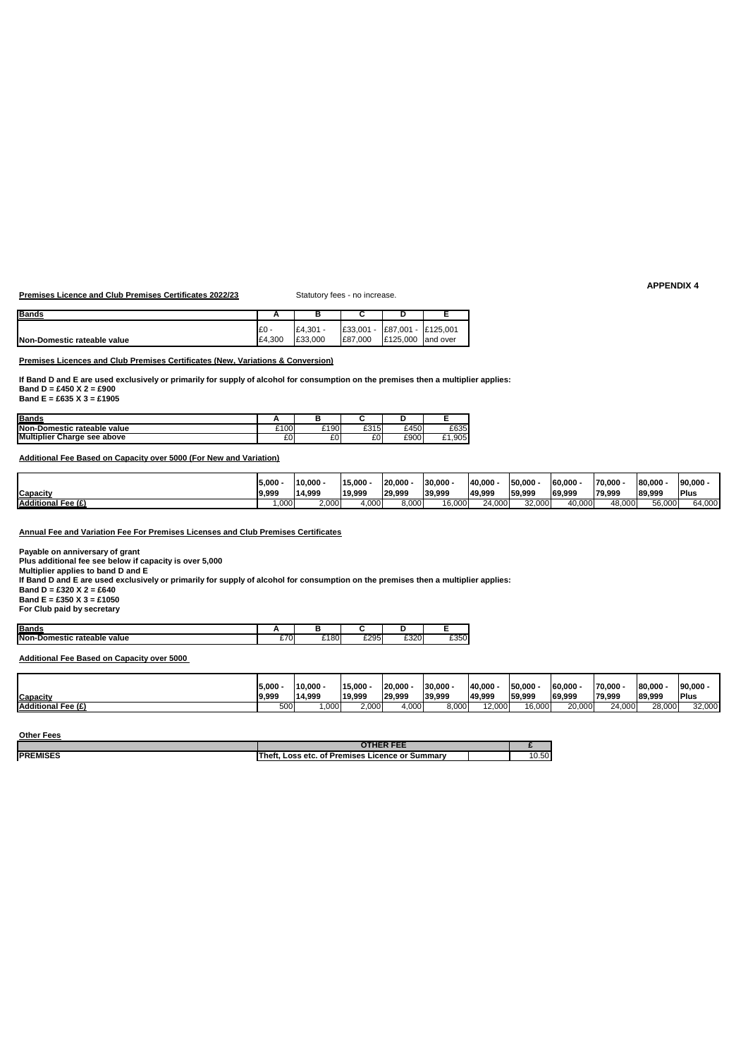**Premises Licence and Club Premises Certificates 2022/23** Statutory fees - no increase.

| <b>IBands</b>               | n      |          |           |                    |           |
|-----------------------------|--------|----------|-----------|--------------------|-----------|
|                             | £0     | £4.301 - | £33.001 - | £87,001 - £125,001 |           |
| Non-Domestic rateable value | £4.300 | £33,000  | £87.000   | £125,000           | land over |

**Premises Licences and Club Premises Certificates (New, Variations & Conversion)**

**If Band D and E are used exclusively or primarily for supply of alcohol for consumption on the premises then a multiplier applies: Band D = £450 X 2 = £900 Band E = £635 X 3 = £1905**

| <b>Bands</b>                       |      |               |      |      |        |
|------------------------------------|------|---------------|------|------|--------|
| Non-Domestic rateable value        | £100 | $^{\circ}190$ | £315 | £450 | £635   |
| <b>Multiplier Charge see above</b> | £0   | $\sim$<br>ΣU. | £0   | £900 | £1,905 |

**Additional Fee Based on Capacity over 5000 (For New and Variation)**

|                    | 5,000             | 10,000 | 15,000 | 20.000 | 30.000        | 140,000 | 50.00  | 60.000 | 70.00  | 80.000 | 90,000 |
|--------------------|-------------------|--------|--------|--------|---------------|---------|--------|--------|--------|--------|--------|
| <b>Capacity</b>    | 9,999             | 14.999 | 19.999 | 29.999 | 39.999        | 49.999  | 59.999 | 69.999 | 79.999 | 89.999 | Plus   |
| Additional Fee (£) | .000 <sub>1</sub> | 2.000  | 4.000  | 3,000  | nnn<br>16,000 | 24.000  | 32.000 | 10.000 | 48.000 | 56,000 | 64.000 |

**Annual Fee and Variation Fee For Premises Licenses and Club Premises Certificates**

**Payable on anniversary of grant**

**Plus additional fee see below if capacity is over 5,000**

**Multiplier applies to band D and E**

**If Band D and E are used exclusively or primarily for supply of alcohol for consumption on the premises then a multiplier applies: Band D = £320 X 2 = £640 Band E = £350 X 3 = £1050**

**For Club paid by secretary**

| <b>Bands</b>                                  |                         |     |      | --        |      |
|-----------------------------------------------|-------------------------|-----|------|-----------|------|
| Nor<br>value<br>rateable<br>mestic<br>٠.<br>. | ---<br>ັ<br>~<br>$\sim$ | 180 | £295 | £320<br>. | £350 |

**Additional Fee Based on Capacity over 5000**

|                    | 5,000 | 10,000 | 15,000 | 20.000 | 30.000 | 40.000 | 50,000 | 60.000 | 70.000 | 80.000 | 90,000      |
|--------------------|-------|--------|--------|--------|--------|--------|--------|--------|--------|--------|-------------|
| <b>Capacity</b>    | 9,999 | 14.999 | 19.999 | 29.999 | 39.999 | 49.999 | 59.999 | 69.999 | 79.999 | 89.999 | <b>Plus</b> |
| Additional Fee (£) | 500   | 000.   | 2,000  | 4,000  | 3,000  | 12,000 | 16.000 | 20,000 | 24.000 | 28,000 | 32,000      |

**Other Fees**

|                  | $A + I - A + I - I$<br>. .                                  |                   |
|------------------|-------------------------------------------------------------|-------------------|
| <b>IPREMISES</b> | Thef<br>Premises<br>Summar<br>Loss etc.<br>Licence or<br>Οf | <b>-0</b><br>v.ov |
|                  |                                                             |                   |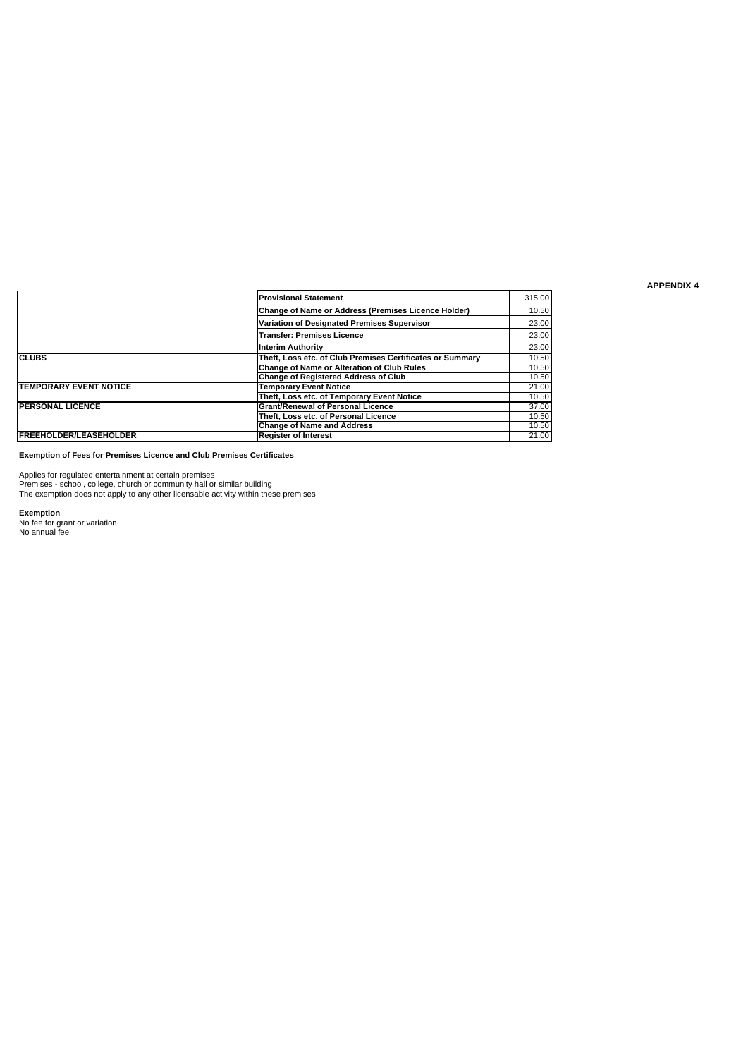|                               | <b>Provisional Statement</b>                               | 315.00 |
|-------------------------------|------------------------------------------------------------|--------|
|                               | <b>Change of Name or Address (Premises Licence Holder)</b> | 10.50  |
|                               | Variation of Designated Premises Supervisor                | 23.00  |
|                               | <b>Transfer: Premises Licence</b>                          | 23.00  |
|                               | <b>Interim Authority</b>                                   | 23.00  |
| <b>CLUBS</b>                  | Theft, Loss etc, of Club Premises Certificates or Summary  | 10.50  |
|                               | Change of Name or Alteration of Club Rules                 | 10.50  |
|                               | <b>Change of Registered Address of Club</b>                | 10.50  |
| <b>TEMPORARY EVENT NOTICE</b> | <b>Temporary Event Notice</b>                              | 21.00  |
|                               | Theft, Loss etc. of Temporary Event Notice                 | 10.50  |
| <b>PERSONAL LICENCE</b>       | <b>Grant/Renewal of Personal Licence</b>                   | 37.00  |
|                               | Theft. Loss etc. of Personal Licence                       | 10.50  |
|                               | <b>Change of Name and Address</b>                          | 10.50  |
| <b>FREEHOLDER/LEASEHOLDER</b> | <b>Register of Interest</b>                                | 21.00  |

**Exemption of Fees for Premises Licence and Club Premises Certificates**

Applies for regulated entertainment at certain premises Premises - school, college, church or community hall or similar building The exemption does not apply to any other licensable activity within these premises

**Exemption** No fee for grant or variation No annual fee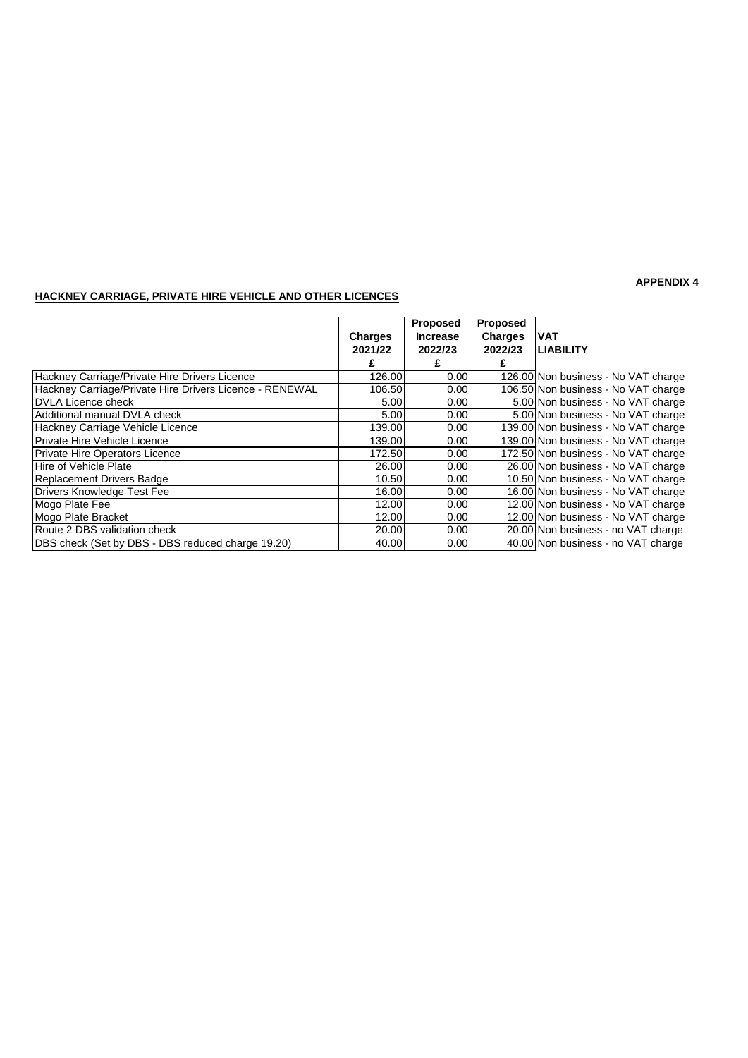### **HACKNEY CARRIAGE, PRIVATE HIRE VEHICLE AND OTHER LICENCES**

|                                                         |                | <b>Proposed</b> | Proposed       |                                     |
|---------------------------------------------------------|----------------|-----------------|----------------|-------------------------------------|
|                                                         | <b>Charges</b> | <b>Increase</b> | <b>Charges</b> | IVAT                                |
|                                                         | 2021/22        | 2022/23         | 2022/23        | <b>LIABILITY</b>                    |
|                                                         |                |                 |                |                                     |
| Hackney Carriage/Private Hire Drivers Licence           | 126.00         | 0.00            |                | 126.00 Non business - No VAT charge |
| Hackney Carriage/Private Hire Drivers Licence - RENEWAL | 106.50         | 0.00            |                | 106.50 Non business - No VAT charge |
| <b>IDVLA Licence check</b>                              | 5.00           | 0.00            |                | 5.00 Non business - No VAT charge   |
| IAdditional manual DVLA check                           | 5.00           | 0.00            |                | 5.00 Non business - No VAT charge   |
| Hackney Carriage Vehicle Licence                        | 139.00         | 0.00            |                | 139.00 Non business - No VAT charge |
| <b>IPrivate Hire Vehicle Licence</b>                    | 139.00         | 0.00            |                | 139.00 Non business - No VAT charge |
| Private Hire Operators Licence                          | 172.50         | 0.00            |                | 172.50 Non business - No VAT charge |
| Hire of Vehicle Plate                                   | 26.00          | 0.00            |                | 26.00 Non business - No VAT charge  |
| Replacement Drivers Badge                               | 10.50          | 0.00            |                | 10.50 Non business - No VAT charge  |
| Drivers Knowledge Test Fee                              | 16.00          | 0.00            |                | 16.00 Non business - No VAT charge  |
| Mogo Plate Fee                                          | 12.00          | 0.00            |                | 12.00 Non business - No VAT charge  |
| Mogo Plate Bracket                                      | 12.00          | 0.00            |                | 12.00 Non business - No VAT charge  |
| Route 2 DBS validation check                            | 20.00          | 0.00            |                | 20.00 Non business - no VAT charge  |
| DBS check (Set by DBS - DBS reduced charge 19.20)       | 40.00          | 0.00            |                | 40.00 Non business - no VAT charge  |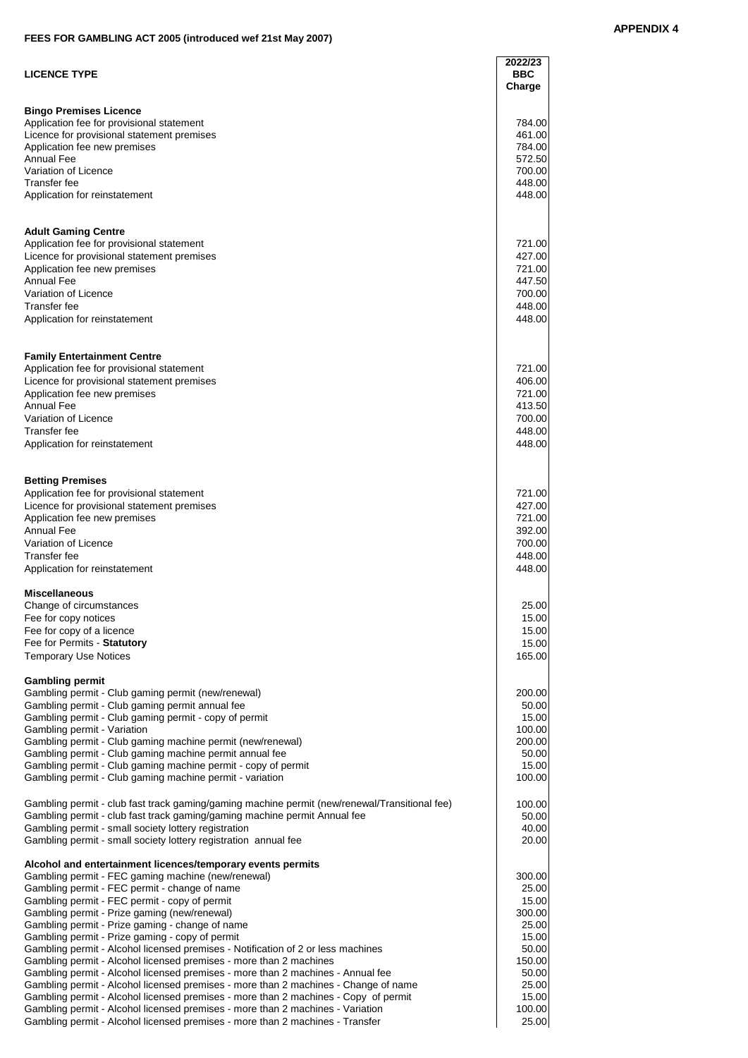### **FEES FOR GAMBLING ACT 2005 (introduced wef 21st May 2007)**

| <b>LICENCE TYPE</b>                                                                                                                                             | 2022/23<br><b>BBC</b><br>Charge |
|-----------------------------------------------------------------------------------------------------------------------------------------------------------------|---------------------------------|
| <b>Bingo Premises Licence</b>                                                                                                                                   |                                 |
| Application fee for provisional statement                                                                                                                       | 784.00                          |
| Licence for provisional statement premises                                                                                                                      | 461.00                          |
| Application fee new premises<br><b>Annual Fee</b>                                                                                                               | 784.00<br>572.50                |
| Variation of Licence                                                                                                                                            | 700.00                          |
| Transfer fee                                                                                                                                                    | 448.00                          |
| Application for reinstatement                                                                                                                                   | 448.00                          |
| <b>Adult Gaming Centre</b>                                                                                                                                      |                                 |
| Application fee for provisional statement<br>Licence for provisional statement premises                                                                         | 721.00<br>427.00                |
| Application fee new premises                                                                                                                                    | 721.00                          |
| <b>Annual Fee</b>                                                                                                                                               | 447.50                          |
| Variation of Licence                                                                                                                                            | 700.00                          |
| Transfer fee                                                                                                                                                    | 448.00                          |
| Application for reinstatement                                                                                                                                   | 448.00                          |
| <b>Family Entertainment Centre</b>                                                                                                                              |                                 |
| Application fee for provisional statement<br>Licence for provisional statement premises                                                                         | 721.00<br>406.00                |
| Application fee new premises                                                                                                                                    | 721.00                          |
| <b>Annual Fee</b>                                                                                                                                               | 413.50                          |
| Variation of Licence                                                                                                                                            | 700.00                          |
| Transfer fee                                                                                                                                                    | 448.00                          |
| Application for reinstatement                                                                                                                                   | 448.00                          |
| <b>Betting Premises</b>                                                                                                                                         |                                 |
| Application fee for provisional statement                                                                                                                       | 721.00<br>427.00                |
| Licence for provisional statement premises<br>Application fee new premises                                                                                      | 721.00                          |
| <b>Annual Fee</b>                                                                                                                                               | 392.00                          |
| Variation of Licence                                                                                                                                            | 700.00                          |
| Transfer fee                                                                                                                                                    | 448.00                          |
| Application for reinstatement                                                                                                                                   | 448.00                          |
| <b>Miscellaneous</b>                                                                                                                                            |                                 |
| Change of circumstances<br>Fee for copy notices                                                                                                                 | 25.00<br>15.00                  |
| Fee for copy of a licence                                                                                                                                       | 15.00                           |
| Fee for Permits - Statutory                                                                                                                                     | 15.00                           |
| <b>Temporary Use Notices</b>                                                                                                                                    | 165.00                          |
| <b>Gambling permit</b><br>Gambling permit - Club gaming permit (new/renewal)                                                                                    | 200.00                          |
| Gambling permit - Club gaming permit annual fee                                                                                                                 | 50.00                           |
| Gambling permit - Club gaming permit - copy of permit                                                                                                           | 15.00                           |
| Gambling permit - Variation                                                                                                                                     | 100.00                          |
| Gambling permit - Club gaming machine permit (new/renewal)<br>Gambling permit - Club gaming machine permit annual fee                                           | 200.00<br>50.00                 |
| Gambling permit - Club gaming machine permit - copy of permit                                                                                                   | 15.00                           |
| Gambling permit - Club gaming machine permit - variation                                                                                                        | 100.00                          |
| Gambling permit - club fast track gaming/gaming machine permit (new/renewal/Transitional fee)                                                                   | 100.00                          |
| Gambling permit - club fast track gaming/gaming machine permit Annual fee<br>Gambling permit - small society lottery registration                               | 50.00<br>40.00                  |
| Gambling permit - small society lottery registration annual fee                                                                                                 | 20.00                           |
| Alcohol and entertainment licences/temporary events permits                                                                                                     |                                 |
| Gambling permit - FEC gaming machine (new/renewal)<br>Gambling permit - FEC permit - change of name                                                             | 300.00<br>25.00                 |
| Gambling permit - FEC permit - copy of permit                                                                                                                   | 15.00                           |
| Gambling permit - Prize gaming (new/renewal)                                                                                                                    | 300.00                          |
| Gambling permit - Prize gaming - change of name                                                                                                                 | 25.00                           |
| Gambling permit - Prize gaming - copy of permit                                                                                                                 | 15.00                           |
| Gambling permit - Alcohol licensed premises - Notification of 2 or less machines<br>Gambling permit - Alcohol licensed premises - more than 2 machines          | 50.00<br>150.00                 |
| Gambling permit - Alcohol licensed premises - more than 2 machines - Annual fee                                                                                 | 50.00                           |
| Gambling permit - Alcohol licensed premises - more than 2 machines - Change of name                                                                             | 25.00                           |
| Gambling permit - Alcohol licensed premises - more than 2 machines - Copy of permit                                                                             | 15.00                           |
| Gambling permit - Alcohol licensed premises - more than 2 machines - Variation<br>Gambling permit - Alcohol licensed premises - more than 2 machines - Transfer | 100.00<br>25.00                 |
|                                                                                                                                                                 |                                 |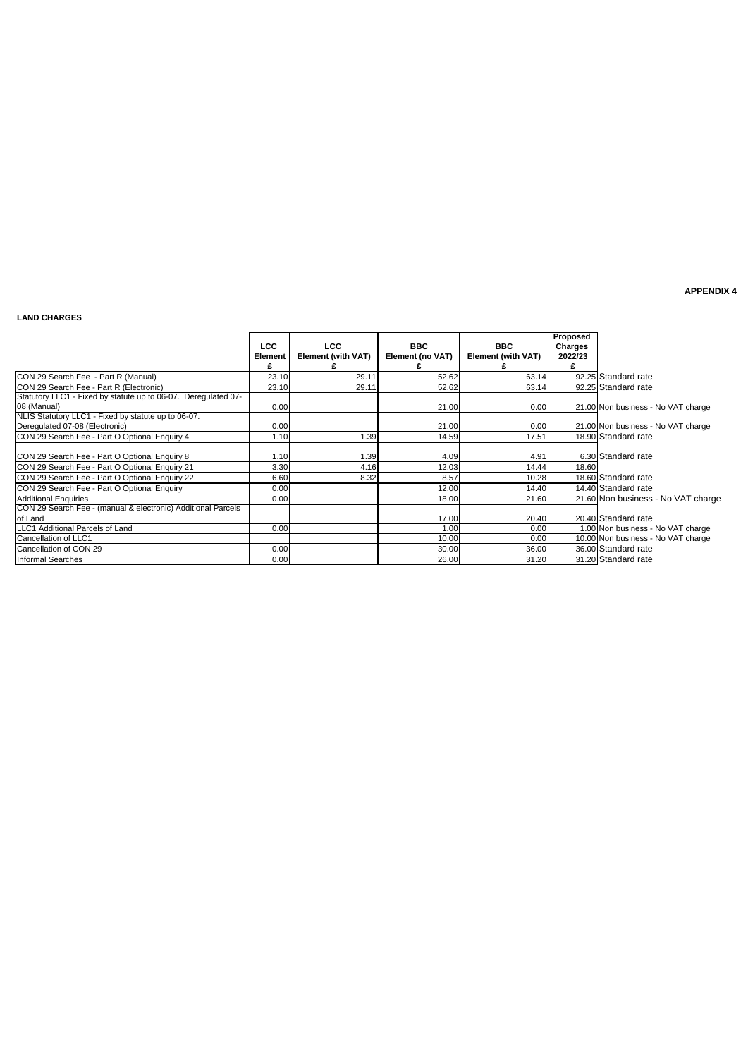### **LAND CHARGES**

|                                                                         | LCC.<br>Element | <b>LCC</b><br>Element (with VAT) | <b>BBC</b><br>Element (no VAT) | <b>BBC</b><br><b>Element (with VAT)</b> | Proposed<br>Charges<br>2022/23 |                                    |
|-------------------------------------------------------------------------|-----------------|----------------------------------|--------------------------------|-----------------------------------------|--------------------------------|------------------------------------|
| CON 29 Search Fee - Part R (Manual)                                     | 23.10           | 29.11                            | 52.62                          | 63.14                                   |                                | 92.25 Standard rate                |
| CON 29 Search Fee - Part R (Electronic)                                 | 23.10           | 29.11                            | 52.62                          | 63.14                                   |                                | 92.25 Standard rate                |
| Statutory LLC1 - Fixed by statute up to 06-07. Deregulated 07-          |                 |                                  |                                |                                         |                                |                                    |
| 08 (Manual)                                                             | 0.00            |                                  | 21.00                          | 0.00                                    |                                | 21.00 Non business - No VAT charge |
| NLIS Statutory LLC1 - Fixed by statute up to 06-07.                     |                 |                                  |                                |                                         |                                |                                    |
| Deregulated 07-08 (Electronic)                                          | 0.00            |                                  | 21.00                          | 0.00                                    |                                | 21.00 Non business - No VAT charge |
| CON 29 Search Fee - Part O Optional Enquiry 4                           | 1.10            | 1.39                             | 14.59                          | 17.51                                   |                                | 18.90 Standard rate                |
| CON 29 Search Fee - Part O Optional Enquiry 8                           | 1.10            | 1.39                             | 4.09                           | 4.91                                    |                                | 6.30 Standard rate                 |
| CON 29 Search Fee - Part O Optional Enquiry 21                          | 3.30            | 4.16                             | 12.03                          | 14.44                                   | 18.60                          |                                    |
| CON 29 Search Fee - Part O Optional Enquiry 22                          | 6.60            | 8.32                             | 8.57                           | 10.28                                   |                                | 18.60 Standard rate                |
| CON 29 Search Fee - Part O Optional Enquiry                             | 0.00            |                                  | 12.00                          | 14.40                                   |                                | 14.40 Standard rate                |
| <b>Additional Enguiries</b>                                             | 0.00            |                                  | 18.00                          | 21.60                                   |                                | 21.60 Non business - No VAT charge |
| CON 29 Search Fee - (manual & electronic) Additional Parcels<br>of Land |                 |                                  | 17.00                          | 20.40                                   |                                | 20.40 Standard rate                |
| LLC1 Additional Parcels of Land                                         | 0.00            |                                  | 1.00                           | 0.00                                    |                                | 1.00 Non business - No VAT charge  |
| Cancellation of LLC1                                                    |                 |                                  | 10.00                          | 0.00                                    |                                | 10.00 Non business - No VAT charge |
| Cancellation of CON 29                                                  | 0.00            |                                  | 30.00                          | 36.00                                   |                                | 36.00 Standard rate                |
| Informal Searches                                                       | 0.00            |                                  | 26.00                          | 31.20                                   |                                | 31.20 Standard rate                |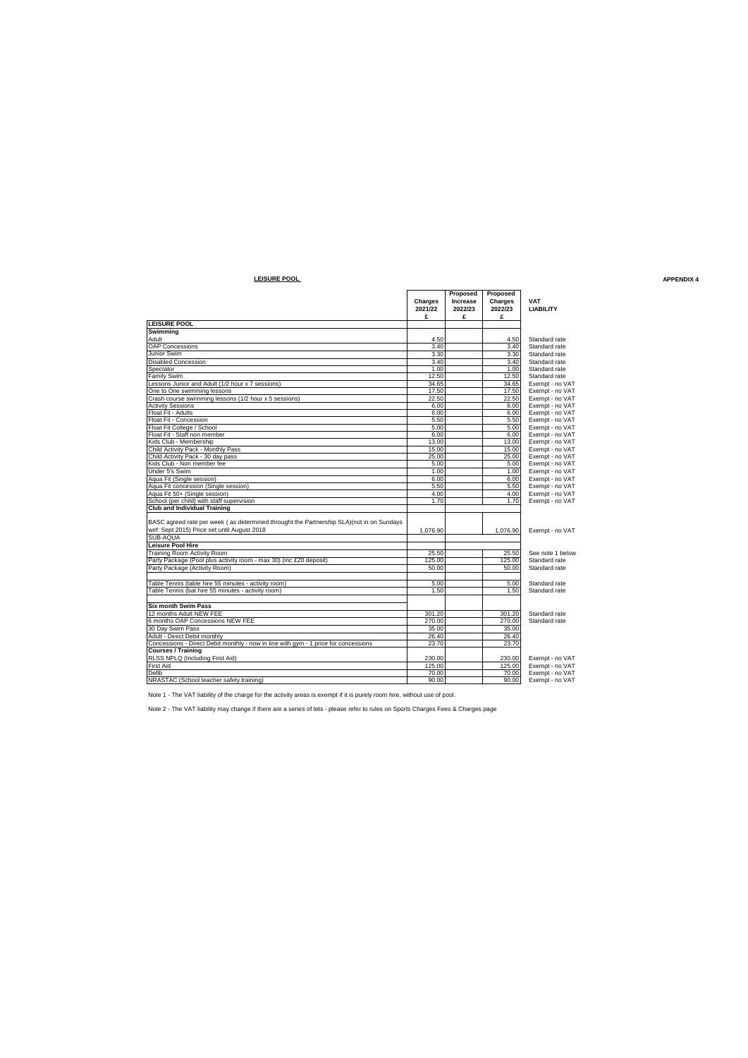### **LEISURE POOL APPENDIX 4**

| Proposed<br>Proposed<br>Charges<br>Increase<br>Charges<br><b>VAT</b><br>2022/23<br>2021/22<br>2022/23<br><b>LIABILITY</b><br>£<br>£<br>£<br><b>LEISURE POOL</b><br>Swimming<br>4.50<br>Adult<br>4.50<br>Standard rate<br><b>OAP Concessions</b><br>3.40<br>3.40<br>Standard rate<br>Junior Swim<br>3.30<br>Standard rate<br>3.30<br><b>Disabled Concession</b><br>3.40<br>3.40<br>Standard rate<br>Spectator<br>1.00<br>1.00<br>Standard rate<br><b>Family Swim</b><br>12.50<br>12.50<br>Standard rate<br>Lessons Junior and Adult (1/2 hour x 7 sessions)<br>34.65<br>34.65<br>Exempt - no VAT<br>One to One swimming lessons<br>17.50<br>17.50<br>Exempt - no VAT<br>Crash course swimming lessons (1/2 hour x 5 sessions)<br>22.50<br>22.50<br>Exempt - no VAT<br><b>Activity Sessions</b><br>6.00<br>6.00<br>Exempt - no VAT<br>Float Fit - Adults<br>6.00<br>6.00<br>Exempt - no VAT<br>Float Fit - Concession<br>5.50<br>5.50<br>Exempt - no VAT<br>Float Fit College / School<br>5.00<br>5.00<br>Exempt - no VAT<br>Float Fit - Staff non member<br>6.00<br>6.00<br>Exempt - no VAT<br>Kids Club - Membership<br>13.00<br>13.00<br>Exempt - no VAT<br>Child Activity Pack - Monthly Pass<br>15.00<br>15.00<br>Exempt - no VAT<br>Child Activity Pack - 30 day pass<br>25.00<br>25.00<br>Exempt - no VAT<br>Kids Club - Non member fee<br>5.00<br>5.00<br>Exempt - no VAT<br>Under 5's Swim<br>1.00<br>1.00<br>Exempt - no VAT<br>Aqua Fit (Single session)<br>6.00<br>6.00<br>Exempt - no VAT<br>Aqua Fit concession (Single session)<br>5.50<br>5.50<br>Exempt - no VAT<br>Aqua Fit 50+ (Single session)<br>4.00<br>4.00<br>Exempt - no VAT<br>School (per child) with staff supervision<br>1.70<br>1.70<br>Exempt - no VAT<br><b>Club and Individual Training</b><br>BASC agreed rate per week (as determined throught the Partnership SLA)(not in on Sundays<br>wef: Sept 2015) Price set until August 2018<br>1.076.90<br>1.076.90<br>Exempt - no VAT<br>SUB-AQUA<br><b>Leisure Pool Hire</b><br>Training Room Activity Room<br>25.50<br>25.50<br>See note 1 below |
|-------------------------------------------------------------------------------------------------------------------------------------------------------------------------------------------------------------------------------------------------------------------------------------------------------------------------------------------------------------------------------------------------------------------------------------------------------------------------------------------------------------------------------------------------------------------------------------------------------------------------------------------------------------------------------------------------------------------------------------------------------------------------------------------------------------------------------------------------------------------------------------------------------------------------------------------------------------------------------------------------------------------------------------------------------------------------------------------------------------------------------------------------------------------------------------------------------------------------------------------------------------------------------------------------------------------------------------------------------------------------------------------------------------------------------------------------------------------------------------------------------------------------------------------------------------------------------------------------------------------------------------------------------------------------------------------------------------------------------------------------------------------------------------------------------------------------------------------------------------------------------------------------------------------------------------------------------------------------------------------------------------------------------------------------------------------------------|
|                                                                                                                                                                                                                                                                                                                                                                                                                                                                                                                                                                                                                                                                                                                                                                                                                                                                                                                                                                                                                                                                                                                                                                                                                                                                                                                                                                                                                                                                                                                                                                                                                                                                                                                                                                                                                                                                                                                                                                                                                                                                               |
|                                                                                                                                                                                                                                                                                                                                                                                                                                                                                                                                                                                                                                                                                                                                                                                                                                                                                                                                                                                                                                                                                                                                                                                                                                                                                                                                                                                                                                                                                                                                                                                                                                                                                                                                                                                                                                                                                                                                                                                                                                                                               |
|                                                                                                                                                                                                                                                                                                                                                                                                                                                                                                                                                                                                                                                                                                                                                                                                                                                                                                                                                                                                                                                                                                                                                                                                                                                                                                                                                                                                                                                                                                                                                                                                                                                                                                                                                                                                                                                                                                                                                                                                                                                                               |
|                                                                                                                                                                                                                                                                                                                                                                                                                                                                                                                                                                                                                                                                                                                                                                                                                                                                                                                                                                                                                                                                                                                                                                                                                                                                                                                                                                                                                                                                                                                                                                                                                                                                                                                                                                                                                                                                                                                                                                                                                                                                               |
|                                                                                                                                                                                                                                                                                                                                                                                                                                                                                                                                                                                                                                                                                                                                                                                                                                                                                                                                                                                                                                                                                                                                                                                                                                                                                                                                                                                                                                                                                                                                                                                                                                                                                                                                                                                                                                                                                                                                                                                                                                                                               |
|                                                                                                                                                                                                                                                                                                                                                                                                                                                                                                                                                                                                                                                                                                                                                                                                                                                                                                                                                                                                                                                                                                                                                                                                                                                                                                                                                                                                                                                                                                                                                                                                                                                                                                                                                                                                                                                                                                                                                                                                                                                                               |
|                                                                                                                                                                                                                                                                                                                                                                                                                                                                                                                                                                                                                                                                                                                                                                                                                                                                                                                                                                                                                                                                                                                                                                                                                                                                                                                                                                                                                                                                                                                                                                                                                                                                                                                                                                                                                                                                                                                                                                                                                                                                               |
|                                                                                                                                                                                                                                                                                                                                                                                                                                                                                                                                                                                                                                                                                                                                                                                                                                                                                                                                                                                                                                                                                                                                                                                                                                                                                                                                                                                                                                                                                                                                                                                                                                                                                                                                                                                                                                                                                                                                                                                                                                                                               |
|                                                                                                                                                                                                                                                                                                                                                                                                                                                                                                                                                                                                                                                                                                                                                                                                                                                                                                                                                                                                                                                                                                                                                                                                                                                                                                                                                                                                                                                                                                                                                                                                                                                                                                                                                                                                                                                                                                                                                                                                                                                                               |
|                                                                                                                                                                                                                                                                                                                                                                                                                                                                                                                                                                                                                                                                                                                                                                                                                                                                                                                                                                                                                                                                                                                                                                                                                                                                                                                                                                                                                                                                                                                                                                                                                                                                                                                                                                                                                                                                                                                                                                                                                                                                               |
|                                                                                                                                                                                                                                                                                                                                                                                                                                                                                                                                                                                                                                                                                                                                                                                                                                                                                                                                                                                                                                                                                                                                                                                                                                                                                                                                                                                                                                                                                                                                                                                                                                                                                                                                                                                                                                                                                                                                                                                                                                                                               |
|                                                                                                                                                                                                                                                                                                                                                                                                                                                                                                                                                                                                                                                                                                                                                                                                                                                                                                                                                                                                                                                                                                                                                                                                                                                                                                                                                                                                                                                                                                                                                                                                                                                                                                                                                                                                                                                                                                                                                                                                                                                                               |
|                                                                                                                                                                                                                                                                                                                                                                                                                                                                                                                                                                                                                                                                                                                                                                                                                                                                                                                                                                                                                                                                                                                                                                                                                                                                                                                                                                                                                                                                                                                                                                                                                                                                                                                                                                                                                                                                                                                                                                                                                                                                               |
|                                                                                                                                                                                                                                                                                                                                                                                                                                                                                                                                                                                                                                                                                                                                                                                                                                                                                                                                                                                                                                                                                                                                                                                                                                                                                                                                                                                                                                                                                                                                                                                                                                                                                                                                                                                                                                                                                                                                                                                                                                                                               |
|                                                                                                                                                                                                                                                                                                                                                                                                                                                                                                                                                                                                                                                                                                                                                                                                                                                                                                                                                                                                                                                                                                                                                                                                                                                                                                                                                                                                                                                                                                                                                                                                                                                                                                                                                                                                                                                                                                                                                                                                                                                                               |
|                                                                                                                                                                                                                                                                                                                                                                                                                                                                                                                                                                                                                                                                                                                                                                                                                                                                                                                                                                                                                                                                                                                                                                                                                                                                                                                                                                                                                                                                                                                                                                                                                                                                                                                                                                                                                                                                                                                                                                                                                                                                               |
|                                                                                                                                                                                                                                                                                                                                                                                                                                                                                                                                                                                                                                                                                                                                                                                                                                                                                                                                                                                                                                                                                                                                                                                                                                                                                                                                                                                                                                                                                                                                                                                                                                                                                                                                                                                                                                                                                                                                                                                                                                                                               |
|                                                                                                                                                                                                                                                                                                                                                                                                                                                                                                                                                                                                                                                                                                                                                                                                                                                                                                                                                                                                                                                                                                                                                                                                                                                                                                                                                                                                                                                                                                                                                                                                                                                                                                                                                                                                                                                                                                                                                                                                                                                                               |
|                                                                                                                                                                                                                                                                                                                                                                                                                                                                                                                                                                                                                                                                                                                                                                                                                                                                                                                                                                                                                                                                                                                                                                                                                                                                                                                                                                                                                                                                                                                                                                                                                                                                                                                                                                                                                                                                                                                                                                                                                                                                               |
|                                                                                                                                                                                                                                                                                                                                                                                                                                                                                                                                                                                                                                                                                                                                                                                                                                                                                                                                                                                                                                                                                                                                                                                                                                                                                                                                                                                                                                                                                                                                                                                                                                                                                                                                                                                                                                                                                                                                                                                                                                                                               |
|                                                                                                                                                                                                                                                                                                                                                                                                                                                                                                                                                                                                                                                                                                                                                                                                                                                                                                                                                                                                                                                                                                                                                                                                                                                                                                                                                                                                                                                                                                                                                                                                                                                                                                                                                                                                                                                                                                                                                                                                                                                                               |
|                                                                                                                                                                                                                                                                                                                                                                                                                                                                                                                                                                                                                                                                                                                                                                                                                                                                                                                                                                                                                                                                                                                                                                                                                                                                                                                                                                                                                                                                                                                                                                                                                                                                                                                                                                                                                                                                                                                                                                                                                                                                               |
|                                                                                                                                                                                                                                                                                                                                                                                                                                                                                                                                                                                                                                                                                                                                                                                                                                                                                                                                                                                                                                                                                                                                                                                                                                                                                                                                                                                                                                                                                                                                                                                                                                                                                                                                                                                                                                                                                                                                                                                                                                                                               |
|                                                                                                                                                                                                                                                                                                                                                                                                                                                                                                                                                                                                                                                                                                                                                                                                                                                                                                                                                                                                                                                                                                                                                                                                                                                                                                                                                                                                                                                                                                                                                                                                                                                                                                                                                                                                                                                                                                                                                                                                                                                                               |
|                                                                                                                                                                                                                                                                                                                                                                                                                                                                                                                                                                                                                                                                                                                                                                                                                                                                                                                                                                                                                                                                                                                                                                                                                                                                                                                                                                                                                                                                                                                                                                                                                                                                                                                                                                                                                                                                                                                                                                                                                                                                               |
|                                                                                                                                                                                                                                                                                                                                                                                                                                                                                                                                                                                                                                                                                                                                                                                                                                                                                                                                                                                                                                                                                                                                                                                                                                                                                                                                                                                                                                                                                                                                                                                                                                                                                                                                                                                                                                                                                                                                                                                                                                                                               |
|                                                                                                                                                                                                                                                                                                                                                                                                                                                                                                                                                                                                                                                                                                                                                                                                                                                                                                                                                                                                                                                                                                                                                                                                                                                                                                                                                                                                                                                                                                                                                                                                                                                                                                                                                                                                                                                                                                                                                                                                                                                                               |
|                                                                                                                                                                                                                                                                                                                                                                                                                                                                                                                                                                                                                                                                                                                                                                                                                                                                                                                                                                                                                                                                                                                                                                                                                                                                                                                                                                                                                                                                                                                                                                                                                                                                                                                                                                                                                                                                                                                                                                                                                                                                               |
|                                                                                                                                                                                                                                                                                                                                                                                                                                                                                                                                                                                                                                                                                                                                                                                                                                                                                                                                                                                                                                                                                                                                                                                                                                                                                                                                                                                                                                                                                                                                                                                                                                                                                                                                                                                                                                                                                                                                                                                                                                                                               |
|                                                                                                                                                                                                                                                                                                                                                                                                                                                                                                                                                                                                                                                                                                                                                                                                                                                                                                                                                                                                                                                                                                                                                                                                                                                                                                                                                                                                                                                                                                                                                                                                                                                                                                                                                                                                                                                                                                                                                                                                                                                                               |
|                                                                                                                                                                                                                                                                                                                                                                                                                                                                                                                                                                                                                                                                                                                                                                                                                                                                                                                                                                                                                                                                                                                                                                                                                                                                                                                                                                                                                                                                                                                                                                                                                                                                                                                                                                                                                                                                                                                                                                                                                                                                               |
|                                                                                                                                                                                                                                                                                                                                                                                                                                                                                                                                                                                                                                                                                                                                                                                                                                                                                                                                                                                                                                                                                                                                                                                                                                                                                                                                                                                                                                                                                                                                                                                                                                                                                                                                                                                                                                                                                                                                                                                                                                                                               |
|                                                                                                                                                                                                                                                                                                                                                                                                                                                                                                                                                                                                                                                                                                                                                                                                                                                                                                                                                                                                                                                                                                                                                                                                                                                                                                                                                                                                                                                                                                                                                                                                                                                                                                                                                                                                                                                                                                                                                                                                                                                                               |
|                                                                                                                                                                                                                                                                                                                                                                                                                                                                                                                                                                                                                                                                                                                                                                                                                                                                                                                                                                                                                                                                                                                                                                                                                                                                                                                                                                                                                                                                                                                                                                                                                                                                                                                                                                                                                                                                                                                                                                                                                                                                               |
|                                                                                                                                                                                                                                                                                                                                                                                                                                                                                                                                                                                                                                                                                                                                                                                                                                                                                                                                                                                                                                                                                                                                                                                                                                                                                                                                                                                                                                                                                                                                                                                                                                                                                                                                                                                                                                                                                                                                                                                                                                                                               |
| Party Package (Pool plus activity room - max 30) (inc £20 deposit)<br>125.00<br>125.00<br>Standard rate                                                                                                                                                                                                                                                                                                                                                                                                                                                                                                                                                                                                                                                                                                                                                                                                                                                                                                                                                                                                                                                                                                                                                                                                                                                                                                                                                                                                                                                                                                                                                                                                                                                                                                                                                                                                                                                                                                                                                                       |
| Party Package (Activity Room)<br>50.00<br>Standard rate<br>50.00                                                                                                                                                                                                                                                                                                                                                                                                                                                                                                                                                                                                                                                                                                                                                                                                                                                                                                                                                                                                                                                                                                                                                                                                                                                                                                                                                                                                                                                                                                                                                                                                                                                                                                                                                                                                                                                                                                                                                                                                              |
|                                                                                                                                                                                                                                                                                                                                                                                                                                                                                                                                                                                                                                                                                                                                                                                                                                                                                                                                                                                                                                                                                                                                                                                                                                                                                                                                                                                                                                                                                                                                                                                                                                                                                                                                                                                                                                                                                                                                                                                                                                                                               |
| Table Tennis (table hire 55 minutes - activity room)<br>5.00<br>5.00<br>Standard rate                                                                                                                                                                                                                                                                                                                                                                                                                                                                                                                                                                                                                                                                                                                                                                                                                                                                                                                                                                                                                                                                                                                                                                                                                                                                                                                                                                                                                                                                                                                                                                                                                                                                                                                                                                                                                                                                                                                                                                                         |
| Table Tennis (bat hire 55 minutes - activity room)<br>Standard rate<br>1.50<br>1.50                                                                                                                                                                                                                                                                                                                                                                                                                                                                                                                                                                                                                                                                                                                                                                                                                                                                                                                                                                                                                                                                                                                                                                                                                                                                                                                                                                                                                                                                                                                                                                                                                                                                                                                                                                                                                                                                                                                                                                                           |
|                                                                                                                                                                                                                                                                                                                                                                                                                                                                                                                                                                                                                                                                                                                                                                                                                                                                                                                                                                                                                                                                                                                                                                                                                                                                                                                                                                                                                                                                                                                                                                                                                                                                                                                                                                                                                                                                                                                                                                                                                                                                               |
| <b>Six month Swim Pass</b>                                                                                                                                                                                                                                                                                                                                                                                                                                                                                                                                                                                                                                                                                                                                                                                                                                                                                                                                                                                                                                                                                                                                                                                                                                                                                                                                                                                                                                                                                                                                                                                                                                                                                                                                                                                                                                                                                                                                                                                                                                                    |
| 12 months Adult NEW FEE<br>301.20<br>301.20<br>Standard rate                                                                                                                                                                                                                                                                                                                                                                                                                                                                                                                                                                                                                                                                                                                                                                                                                                                                                                                                                                                                                                                                                                                                                                                                                                                                                                                                                                                                                                                                                                                                                                                                                                                                                                                                                                                                                                                                                                                                                                                                                  |
| 6 months OAP Concessions NEW FEE<br>270.00<br>270.00<br>Standard rate                                                                                                                                                                                                                                                                                                                                                                                                                                                                                                                                                                                                                                                                                                                                                                                                                                                                                                                                                                                                                                                                                                                                                                                                                                                                                                                                                                                                                                                                                                                                                                                                                                                                                                                                                                                                                                                                                                                                                                                                         |
| 35.00<br>35.00                                                                                                                                                                                                                                                                                                                                                                                                                                                                                                                                                                                                                                                                                                                                                                                                                                                                                                                                                                                                                                                                                                                                                                                                                                                                                                                                                                                                                                                                                                                                                                                                                                                                                                                                                                                                                                                                                                                                                                                                                                                                |
| 30 Day Swim Pass<br>Adult - Direct Debit monthly<br>26.40<br>26.40                                                                                                                                                                                                                                                                                                                                                                                                                                                                                                                                                                                                                                                                                                                                                                                                                                                                                                                                                                                                                                                                                                                                                                                                                                                                                                                                                                                                                                                                                                                                                                                                                                                                                                                                                                                                                                                                                                                                                                                                            |
| Concessions - Direct Debit monthly - now in line with gym - 1 price for concessions<br>23.70<br>23.70                                                                                                                                                                                                                                                                                                                                                                                                                                                                                                                                                                                                                                                                                                                                                                                                                                                                                                                                                                                                                                                                                                                                                                                                                                                                                                                                                                                                                                                                                                                                                                                                                                                                                                                                                                                                                                                                                                                                                                         |
| <b>Courses / Training</b>                                                                                                                                                                                                                                                                                                                                                                                                                                                                                                                                                                                                                                                                                                                                                                                                                                                                                                                                                                                                                                                                                                                                                                                                                                                                                                                                                                                                                                                                                                                                                                                                                                                                                                                                                                                                                                                                                                                                                                                                                                                     |
| RLSS NPLQ (Including First Aid)<br>230.00<br>230.00<br>Exempt - no VAT                                                                                                                                                                                                                                                                                                                                                                                                                                                                                                                                                                                                                                                                                                                                                                                                                                                                                                                                                                                                                                                                                                                                                                                                                                                                                                                                                                                                                                                                                                                                                                                                                                                                                                                                                                                                                                                                                                                                                                                                        |
| <b>First Aid</b><br>125.00<br>125.00<br>Exempt - no VAT                                                                                                                                                                                                                                                                                                                                                                                                                                                                                                                                                                                                                                                                                                                                                                                                                                                                                                                                                                                                                                                                                                                                                                                                                                                                                                                                                                                                                                                                                                                                                                                                                                                                                                                                                                                                                                                                                                                                                                                                                       |
| Defib<br>70.00<br>70.00<br>Exempt - no VAT                                                                                                                                                                                                                                                                                                                                                                                                                                                                                                                                                                                                                                                                                                                                                                                                                                                                                                                                                                                                                                                                                                                                                                                                                                                                                                                                                                                                                                                                                                                                                                                                                                                                                                                                                                                                                                                                                                                                                                                                                                    |
| NRASTAC (School teacher safety training)<br>90.00<br>90.00<br>Exempt - no VAT                                                                                                                                                                                                                                                                                                                                                                                                                                                                                                                                                                                                                                                                                                                                                                                                                                                                                                                                                                                                                                                                                                                                                                                                                                                                                                                                                                                                                                                                                                                                                                                                                                                                                                                                                                                                                                                                                                                                                                                                 |

Note 1 - The VAT liability of the charge for the activity areas is exempt if it is purely room hire, without use of pool.

Note 2 - The VAT liability may change if there are a series of lets - please refer to rules on Sports Charges Fees & Charges page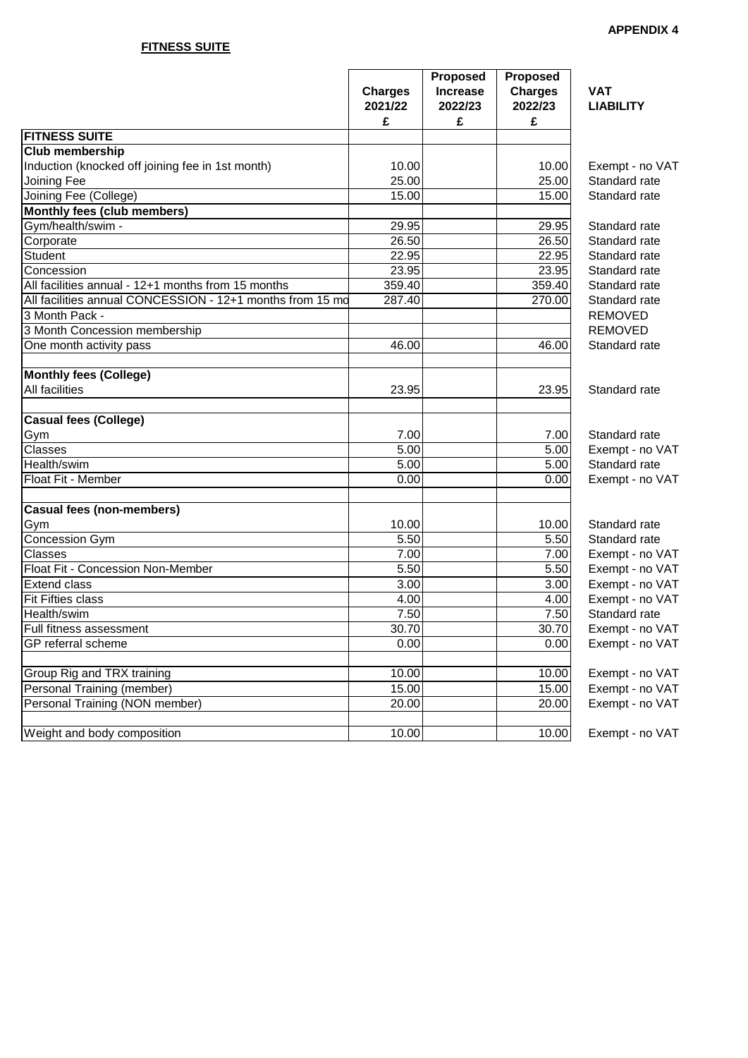## **FITNESS SUITE**

|                                                           | <b>Charges</b><br>2021/22<br>£ | Proposed<br><b>Increase</b><br>2022/23<br>£ | <b>Proposed</b><br><b>Charges</b><br>2022/23<br>£ | <b>VAT</b><br><b>LIABILITY</b> |
|-----------------------------------------------------------|--------------------------------|---------------------------------------------|---------------------------------------------------|--------------------------------|
| <b>FITNESS SUITE</b>                                      |                                |                                             |                                                   |                                |
| <b>Club membership</b>                                    |                                |                                             |                                                   |                                |
| Induction (knocked off joining fee in 1st month)          | 10.00                          |                                             | 10.00                                             | Exempt - no VAT                |
| Joining Fee                                               | 25.00                          |                                             | 25.00                                             | Standard rate                  |
| Joining Fee (College)                                     | 15.00                          |                                             | 15.00                                             | Standard rate                  |
| Monthly fees (club members)                               |                                |                                             |                                                   |                                |
| Gym/health/swim -                                         | 29.95                          |                                             | 29.95                                             | Standard rate                  |
| Corporate                                                 | 26.50                          |                                             | 26.50                                             | Standard rate                  |
| Student                                                   | 22.95                          |                                             | 22.95                                             | Standard rate                  |
| Concession                                                | 23.95                          |                                             | 23.95                                             | Standard rate                  |
| All facilities annual - 12+1 months from 15 months        | 359.40                         |                                             | 359.40                                            | Standard rate                  |
| All facilities annual CONCESSION - 12+1 months from 15 mo | 287.40                         |                                             | 270.00                                            | Standard rate                  |
| 3 Month Pack -                                            |                                |                                             |                                                   | <b>REMOVED</b>                 |
| 3 Month Concession membership                             |                                |                                             |                                                   | <b>REMOVED</b>                 |
| One month activity pass                                   | 46.00                          |                                             | 46.00                                             | Standard rate                  |
| <b>Monthly fees (College)</b>                             |                                |                                             |                                                   |                                |
| All facilities                                            | 23.95                          |                                             | 23.95                                             | Standard rate                  |
|                                                           |                                |                                             |                                                   |                                |
| <b>Casual fees (College)</b>                              |                                |                                             |                                                   |                                |
| Gym                                                       | 7.00                           |                                             | 7.00                                              | Standard rate                  |
| Classes                                                   | $\overline{5.00}$              |                                             | 5.00                                              | Exempt - no VAT                |
| Health/swim                                               | 5.00                           |                                             | 5.00                                              | Standard rate                  |
| Float Fit - Member                                        | 0.00                           |                                             | 0.00                                              | Exempt - no VAT                |
| <b>Casual fees (non-members)</b>                          |                                |                                             |                                                   |                                |
| Gym                                                       | 10.00                          |                                             | 10.00                                             | Standard rate                  |
| Concession Gym                                            | 5.50                           |                                             | 5.50                                              | Standard rate                  |
| Classes                                                   | 7.00                           |                                             | 7.00                                              | Exempt - no VAT                |
| Float Fit - Concession Non-Member                         | $\overline{5.50}$              |                                             | 5.50                                              | Exempt - no VAT                |
| <b>Extend class</b>                                       | 3.00                           |                                             | 3.00                                              | Exempt - no VAT                |
| Fit Fifties class                                         | 4.00                           |                                             | 4.00                                              | Exempt - no VAT                |
| Health/swim                                               | 7.50                           |                                             | 7.50                                              | Standard rate                  |
| Full fitness assessment                                   | 30.70                          |                                             | 30.70                                             | Exempt - no VAT                |
| GP referral scheme                                        | 0.00                           |                                             | 0.00                                              | Exempt - no VAT                |
| Group Rig and TRX training                                | 10.00                          |                                             | 10.00                                             | Exempt - no VAT                |
| <b>Personal Training (member)</b>                         | 15.00                          |                                             | 15.00                                             | Exempt - no VAT                |
| Personal Training (NON member)                            | 20.00                          |                                             | 20.00                                             | Exempt - no VAT                |
| Weight and body composition                               | 10.00                          |                                             | 10.00                                             | Exempt - no VAT                |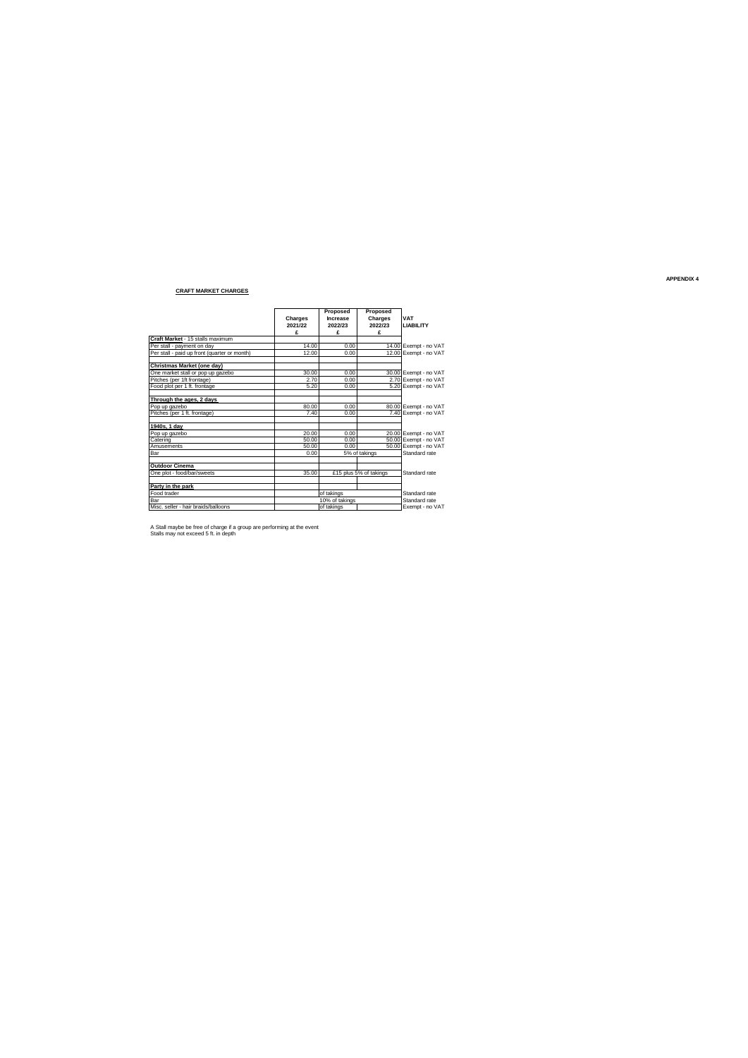### **CRAFT MARKET CHARGES**

|                                              |                    | Proposed            | Proposed               |                                |
|----------------------------------------------|--------------------|---------------------|------------------------|--------------------------------|
|                                              | Charges<br>2021/22 | Increase<br>2022/23 | Charges<br>2022/23     | <b>VAT</b><br><b>LIABILITY</b> |
|                                              | £                  | £                   | £                      |                                |
| Craft Market - 15 stalls maximum             |                    |                     |                        |                                |
| Per stall - payment on day                   | 14.00              | 0.00                |                        | 14.00 Exempt - no VAT          |
| Per stall - paid up front (quarter or month) | 12.00              | 0.00                |                        | 12.00 Exempt - no VAT          |
| Christmas Market (one dav)                   |                    |                     |                        |                                |
| One market stall or pop up gazebo            | 30.00              | 0.00                |                        | 30.00 Exempt - no VAT          |
| Pitches (per 1ft frontage)                   | 2.70               | 0.00                |                        | 2.70 Exempt - no VAT           |
| Food plot per 1 ft. frontage                 | 5.20               | 0.00                |                        | 5.20 Exempt - no VAT           |
| Through the ages, 2 days                     |                    |                     |                        |                                |
| Pop up gazebo                                | 80.00              | 0.00                |                        | 80.00 Exempt - no VAT          |
| Pitches (per 1 ft. frontage)                 | 7.40               | 0.00                |                        | 7.40 Exempt - no VAT           |
| 1940s. 1 dav                                 |                    |                     |                        |                                |
| Pop up gazebo                                | 20.00              | 0.00                |                        | 20.00 Exempt - no VAT          |
| Catering                                     | 50.00              | 0.00                |                        | 50.00 Exempt - no VAT          |
| Amusements                                   | 50.00              | 0.00                |                        | 50.00 Exempt - no VAT          |
| Bar                                          | 0.00               |                     | 5% of takings          | Standard rate                  |
| <b>Outdoor Cinema</b>                        |                    |                     |                        |                                |
| One plot - food/bar/sweets                   | 35.00              |                     | £15 plus 5% of takings | Standard rate                  |
| Party in the park                            |                    |                     |                        |                                |
| Food trader                                  |                    | of takings          |                        | Standard rate                  |
| Bar                                          |                    | 10% of takings      |                        | Standard rate                  |
| Misc, seller - hair braids/balloons          |                    | of takings          |                        | Exempt - no VAT                |

A Stall maybe be free of charge if a group are performing at the event Stalls may not exceed 5 ft. in depth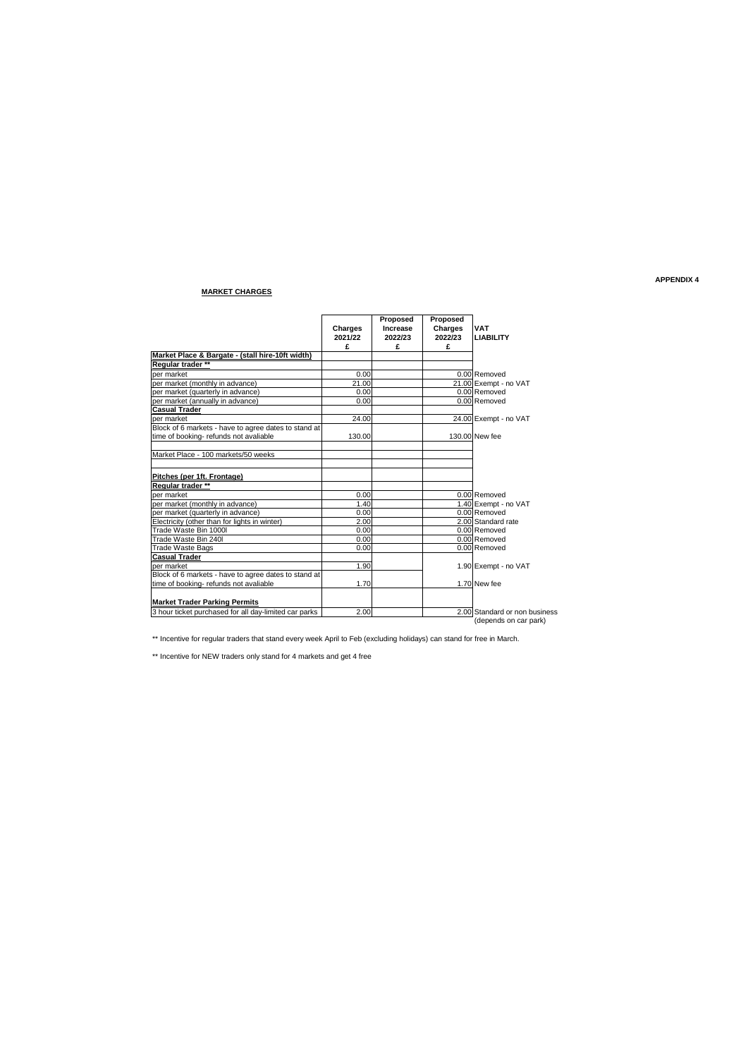### **MARKET CHARGES**

|                                                                    | Charges | Proposed<br>Increase | Proposed<br>Charges | <b>VAT</b>                    |
|--------------------------------------------------------------------|---------|----------------------|---------------------|-------------------------------|
|                                                                    | 2021/22 | 2022/23              | 2022/23             | <b>LIABILITY</b>              |
|                                                                    | £       | £                    | £                   |                               |
| Market Place & Bargate - (stall hire-10ft width)                   |         |                      |                     |                               |
| Regular trader **                                                  |         |                      |                     |                               |
| per market                                                         | 0.00    |                      |                     | 0.00 Removed                  |
| per market (monthly in advance)                                    | 21.00   |                      |                     | 21.00 Exempt - no VAT         |
| per market (quarterly in advance)                                  | 0.00    |                      |                     | 0.00 Removed                  |
| per market (annually in advance)                                   | 0.00    |                      |                     | 0.00 Removed                  |
| Casual Trader                                                      |         |                      |                     |                               |
| per market<br>Block of 6 markets - have to agree dates to stand at | 24.00   |                      |                     | 24.00 Exempt - no VAT         |
|                                                                    |         |                      |                     |                               |
| time of booking- refunds not avaliable                             | 130.00  |                      |                     | 130,00 New fee                |
| Market Place - 100 markets/50 weeks                                |         |                      |                     |                               |
| Pitches (per 1ft. Frontage)                                        |         |                      |                     |                               |
| Regular trader **                                                  |         |                      |                     |                               |
| ber market                                                         | 0.00    |                      |                     | 0.00 Removed                  |
| per market (monthly in advance)                                    | 1.40    |                      |                     | 1.40 Exempt - no VAT          |
| per market (quarterly in advance)                                  | 0.00    |                      |                     | 0.00 Removed                  |
| Electricity (other than for lights in winter)                      | 2.00    |                      |                     | 2.00 Standard rate            |
| Trade Waste Bin 1000I                                              | 0.00    |                      |                     | 0.00 Removed                  |
| Trade Waste Bin 240I                                               | 0.00    |                      |                     | 0.00 Removed                  |
| <b>Trade Waste Bags</b>                                            | 0.00    |                      |                     | 0.00 Removed                  |
| <b>Casual Trader</b>                                               |         |                      |                     |                               |
| per market                                                         | 1.90    |                      |                     | 1.90 Exempt - no VAT          |
| Block of 6 markets - have to agree dates to stand at               |         |                      |                     |                               |
| time of booking- refunds not avaliable                             | 1.70    |                      |                     | 1.70 New fee                  |
| <b>Market Trader Parking Permits</b>                               |         |                      |                     |                               |
| 3 hour ticket purchased for all day-limited car parks              | 2.00    |                      |                     | 2.00 Standard or non business |
|                                                                    |         |                      |                     | (depends on car park)         |

\*\* Incentive for regular traders that stand every week April to Feb (excluding holidays) can stand for free in March.

\*\* Incentive for NEW traders only stand for 4 markets and get 4 free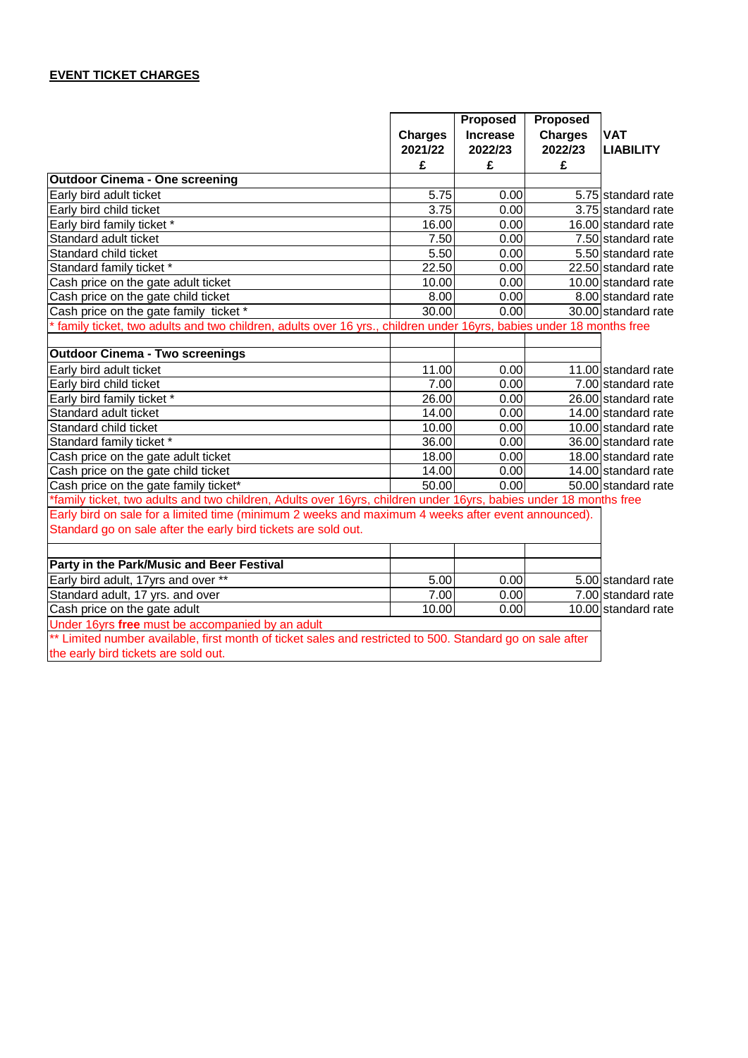## **EVENT TICKET CHARGES**

|                                                                                                                    |                | <b>Proposed</b>   | <b>Proposed</b> |                                 |
|--------------------------------------------------------------------------------------------------------------------|----------------|-------------------|-----------------|---------------------------------|
|                                                                                                                    | <b>Charges</b> | <b>Increase</b>   | <b>Charges</b>  | <b>VAT</b>                      |
|                                                                                                                    | 2021/22        | 2022/23           | 2022/23         | <b>LIABILITY</b>                |
|                                                                                                                    | £              | £                 | £               |                                 |
| <b>Outdoor Cinema - One screening</b>                                                                              |                |                   |                 |                                 |
| Early bird adult ticket                                                                                            | 5.75           | 0.00              |                 | 5.75 standard rate              |
| Early bird child ticket                                                                                            | 3.75           | 0.00              |                 | 3.75 standard rate              |
| Early bird family ticket *                                                                                         | 16.00          | $\overline{0.00}$ |                 | 16.00 standard rate             |
| Standard adult ticket                                                                                              | 7.50           | 0.00              |                 | $\overline{7.50}$ standard rate |
| Standard child ticket                                                                                              | 5.50           | 0.00              |                 | 5.50 standard rate              |
| Standard family ticket *                                                                                           | 22.50          | $\overline{0.00}$ |                 | 22.50 standard rate             |
| Cash price on the gate adult ticket                                                                                | 10.00          | 0.00              |                 | 10.00 standard rate             |
| Cash price on the gate child ticket                                                                                | 8.00           | 0.00              |                 | 8.00 standard rate              |
| Cash price on the gate family ticket *                                                                             | 30.00          | 0.00              |                 | 30.00 standard rate             |
| family ticket, two adults and two children, adults over 16 yrs., children under 16yrs, babies under 18 months free |                |                   |                 |                                 |
|                                                                                                                    |                |                   |                 |                                 |
| <b>Outdoor Cinema - Two screenings</b>                                                                             |                |                   |                 |                                 |
| Early bird adult ticket                                                                                            | 11.00          | 0.00              |                 | 11.00 standard rate             |
| Early bird child ticket                                                                                            | 7.00           | 0.00              |                 | $\overline{7.00}$ standard rate |
| Early bird family ticket *                                                                                         | 26.00          | 0.00              |                 | $26.00$ standard rate           |
| Standard adult ticket                                                                                              | 14.00          | 0.00              |                 | 14.00 standard rate             |
| Standard child ticket                                                                                              | 10.00          | 0.00              |                 | 10.00 standard rate             |
| Standard family ticket *                                                                                           | 36.00          | 0.00              |                 | 36.00 standard rate             |
| Cash price on the gate adult ticket                                                                                | 18.00          | 0.00              |                 | 18.00 standard rate             |
| Cash price on the gate child ticket                                                                                | 14.00          | 0.00              |                 | 14.00 standard rate             |
| Cash price on the gate family ticket*                                                                              | 50.00          | 0.00              |                 | 50.00 standard rate             |
| *family ticket, two adults and two children, Adults over 16yrs, children under 16yrs, babies under 18 months free  |                |                   |                 |                                 |
| Early bird on sale for a limited time (minimum 2 weeks and maximum 4 weeks after event announced).                 |                |                   |                 |                                 |
| Standard go on sale after the early bird tickets are sold out.                                                     |                |                   |                 |                                 |
|                                                                                                                    |                |                   |                 |                                 |
| Party in the Park/Music and Beer Festival                                                                          |                |                   |                 |                                 |
| Early bird adult, 17yrs and over **                                                                                | 5.00           | 0.00              |                 | 5.00 standard rate              |
| Standard adult, 17 yrs. and over                                                                                   | 7.00           | 0.00              |                 | 7.00 standard rate              |
| Cash price on the gate adult                                                                                       | 10.00          | 0.00              |                 | 10.00 standard rate             |
| Under 16yrs free must be accompanied by an adult                                                                   |                |                   |                 |                                 |
| ** Limited number available, first month of ticket sales and restricted to 500. Standard go on sale after          |                |                   |                 |                                 |
| the early bird tickets are sold out.                                                                               |                |                   |                 |                                 |
|                                                                                                                    |                |                   |                 |                                 |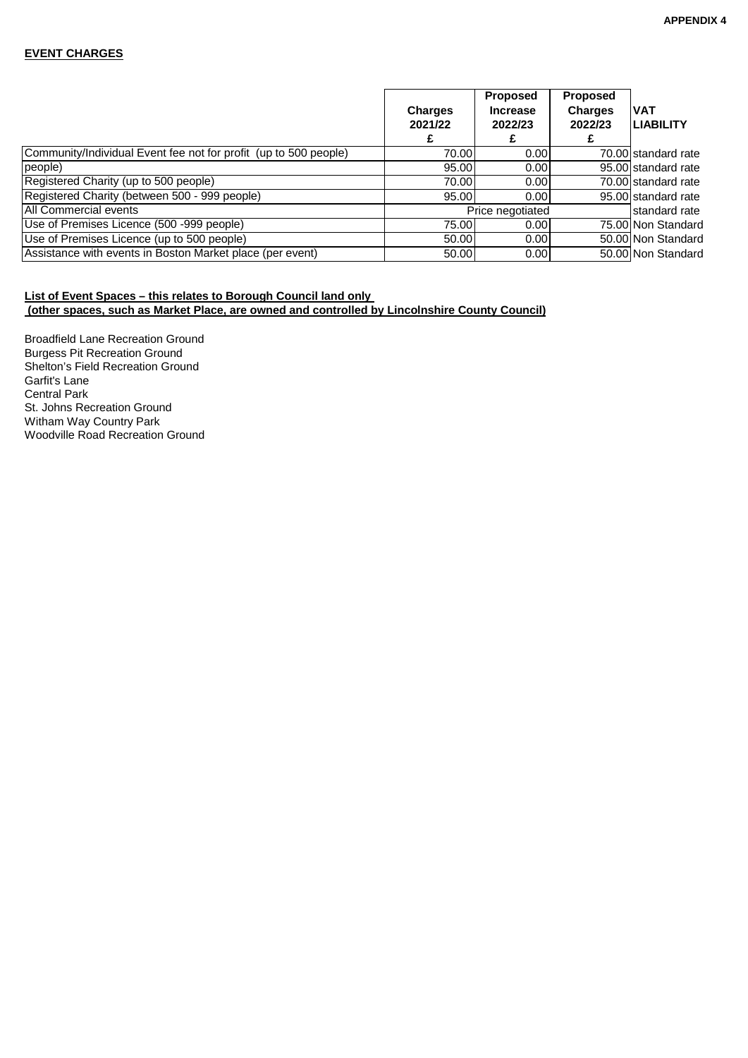### **EVENT CHARGES**

|                                                                  | <b>Charges</b><br>2021/22 | <b>Proposed</b><br><b>Increase</b><br>2022/23 | <b>Proposed</b><br><b>Charges</b><br>2022/23 | <b>VAT</b><br><b>LIABILITY</b> |
|------------------------------------------------------------------|---------------------------|-----------------------------------------------|----------------------------------------------|--------------------------------|
|                                                                  |                           |                                               |                                              |                                |
| Community/Individual Event fee not for profit (up to 500 people) | 70.00                     | 0.00                                          |                                              | 70.00 standard rate            |
| people)                                                          | 95.00                     | 0.00                                          |                                              | 95.00 standard rate            |
| Registered Charity (up to 500 people)                            | 70.00                     | 0.00                                          |                                              | 70.00 standard rate            |
| Registered Charity (between 500 - 999 people)                    | 95.00                     | 0.00                                          |                                              | 95.00 standard rate            |
| All Commercial events                                            |                           | Price negotiated                              |                                              | standard rate                  |
| Use of Premises Licence (500 -999 people)                        | 75.00                     | 0.00                                          |                                              | 75,00 Non Standard             |
| Use of Premises Licence (up to 500 people)                       | 50.00                     | 0.00                                          |                                              | 50.00 Non Standard             |
| Assistance with events in Boston Market place (per event)        | 50.00                     | 0.00                                          |                                              | 50.00 Non Standard             |

### **List of Event Spaces – this relates to Borough Council land only (other spaces, such as Market Place, are owned and controlled by Lincolnshire County Council)**

Broadfield Lane Recreation Ground Burgess Pit Recreation Ground Shelton's Field Recreation Ground Garfit's Lane Central Park St. Johns Recreation Ground Witham Way Country Park Woodville Road Recreation Ground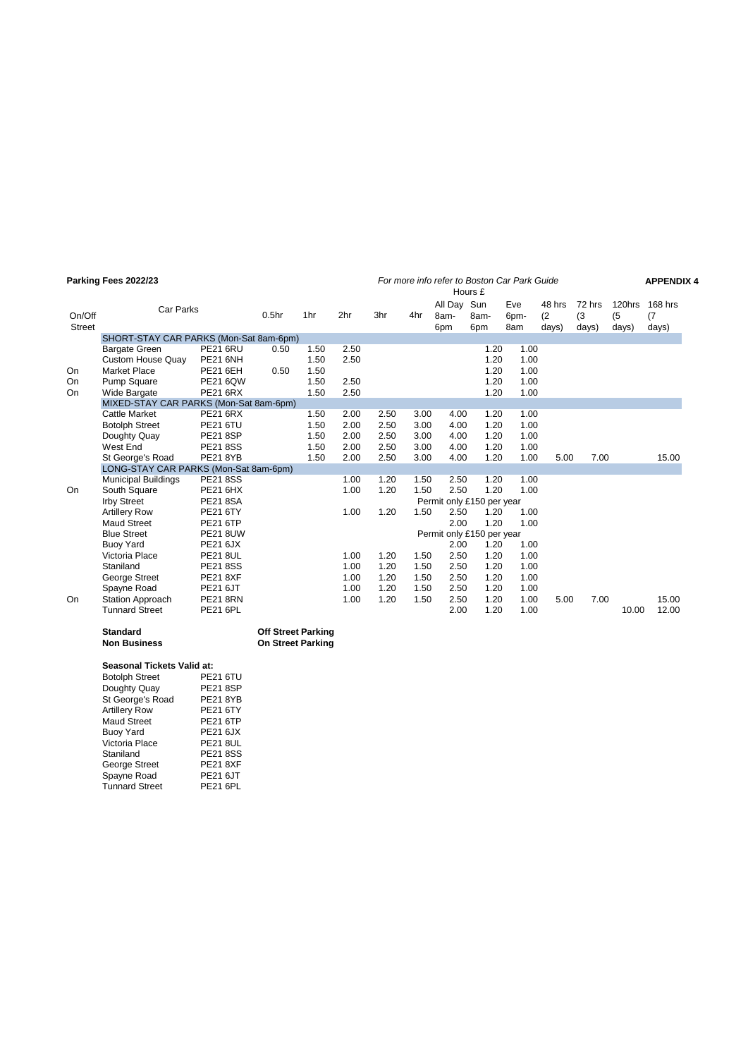|                         | Parking Fees 2022/23                                                    |                                                       |                                                       |                      |                 |              |              |                            | Hours £                   | For more info refer to Boston Car Park Guide |                        |                        |                        | <b>APPENDIX 4</b>       |
|-------------------------|-------------------------------------------------------------------------|-------------------------------------------------------|-------------------------------------------------------|----------------------|-----------------|--------------|--------------|----------------------------|---------------------------|----------------------------------------------|------------------------|------------------------|------------------------|-------------------------|
| On/Off<br><b>Street</b> | Car Parks                                                               |                                                       | 0.5 <sub>hr</sub>                                     | 1hr                  | 2 <sub>hr</sub> | 3hr          | 4hr          | All Day Sun<br>8am-<br>6pm | 8am-<br>6pm               | Eve<br>6pm-<br>8am                           | 48 hrs<br>(2)<br>days) | 72 hrs<br>(3)<br>days) | 120hrs<br>(5)<br>days) | 168 hrs<br>(7)<br>days) |
|                         | SHORT-STAY CAR PARKS (Mon-Sat 8am-6pm)                                  |                                                       |                                                       |                      |                 |              |              |                            |                           |                                              |                        |                        |                        |                         |
| On                      | <b>Bargate Green</b><br><b>Custom House Quay</b><br><b>Market Place</b> | <b>PE21 6RU</b><br><b>PE21 6NH</b><br><b>PE21 6EH</b> | 0.50<br>0.50                                          | 1.50<br>1.50<br>1.50 | 2.50<br>2.50    |              |              |                            | 1.20<br>1.20<br>1.20      | 1.00<br>1.00<br>1.00                         |                        |                        |                        |                         |
| On                      | <b>Pump Square</b>                                                      | <b>PE21 6QW</b>                                       |                                                       | 1.50                 | 2.50            |              |              |                            | 1.20                      | 1.00                                         |                        |                        |                        |                         |
| On                      | Wide Bargate                                                            | <b>PE21 6RX</b>                                       |                                                       | 1.50                 | 2.50            |              |              |                            | 1.20                      | 1.00                                         |                        |                        |                        |                         |
|                         | MIXED-STAY CAR PARKS (Mon-Sat 8am-6pm)                                  |                                                       |                                                       |                      |                 |              |              |                            |                           |                                              |                        |                        |                        |                         |
|                         | <b>Cattle Market</b><br><b>Botolph Street</b>                           | <b>PE21 6RX</b><br><b>PE21 6TU</b>                    |                                                       | 1.50<br>1.50         | 2.00<br>2.00    | 2.50<br>2.50 | 3.00<br>3.00 | 4.00<br>4.00               | 1.20<br>1.20              | 1.00<br>1.00                                 |                        |                        |                        |                         |
|                         | Doughty Quay                                                            | <b>PE21 8SP</b>                                       |                                                       | 1.50                 | 2.00            | 2.50         | 3.00         | 4.00                       | 1.20                      | 1.00                                         |                        |                        |                        |                         |
|                         | West End                                                                | <b>PE21 8SS</b>                                       |                                                       | 1.50                 | 2.00            | 2.50         | 3.00         | 4.00                       | 1.20                      | 1.00                                         |                        |                        |                        |                         |
|                         | St George's Road<br>LONG-STAY CAR PARKS (Mon-Sat 8am-6pm)               | <b>PE21 8YB</b>                                       |                                                       | 1.50                 | 2.00            | 2.50         | 3.00         | 4.00                       | 1.20                      | 1.00                                         | 5.00                   | 7.00                   |                        | 15.00                   |
|                         | <b>Municipal Buildings</b>                                              | <b>PE21 8SS</b>                                       |                                                       |                      | 1.00            | 1.20         | 1.50         | 2.50                       | 1.20                      | 1.00                                         |                        |                        |                        |                         |
| On.                     | South Square                                                            | <b>PE21 6HX</b>                                       |                                                       |                      | 1.00            | 1.20         | 1.50         | 2.50                       | 1.20                      | 1.00                                         |                        |                        |                        |                         |
|                         | <b>Irby Street</b>                                                      | <b>PE21 8SA</b>                                       |                                                       |                      |                 |              |              |                            | Permit only £150 per year |                                              |                        |                        |                        |                         |
|                         | <b>Artillery Row</b><br><b>Maud Street</b>                              | <b>PE21 6TY</b><br><b>PE21 6TP</b>                    |                                                       |                      | 1.00            | 1.20         | 1.50         | 2.50<br>2.00               | 1.20<br>1.20              | 1.00<br>1.00                                 |                        |                        |                        |                         |
|                         | <b>Blue Street</b>                                                      | <b>PE21 8UW</b>                                       |                                                       |                      |                 |              |              |                            | Permit only £150 per year |                                              |                        |                        |                        |                         |
|                         | <b>Buoy Yard</b>                                                        | <b>PE21 6JX</b>                                       |                                                       |                      |                 |              |              | 2.00                       | 1.20                      | 1.00                                         |                        |                        |                        |                         |
|                         | Victoria Place                                                          | <b>PE21 8UL</b>                                       |                                                       |                      | 1.00            | 1.20         | 1.50         | 2.50                       | 1.20                      | 1.00                                         |                        |                        |                        |                         |
|                         | Staniland                                                               | <b>PE218SS</b>                                        |                                                       |                      | 1.00            | 1.20         | 1.50         | 2.50                       | 1.20                      | 1.00                                         |                        |                        |                        |                         |
|                         | George Street                                                           | <b>PE21 8XF</b>                                       |                                                       |                      | 1.00            | 1.20         | 1.50         | 2.50                       | 1.20                      | 1.00                                         |                        |                        |                        |                         |
|                         | Spayne Road                                                             | <b>PE21 6JT</b>                                       |                                                       |                      | 1.00            | 1.20         | 1.50         | 2.50                       | 1.20                      | 1.00                                         |                        |                        |                        |                         |
| On                      | Station Approach                                                        | <b>PE21 8RN</b>                                       |                                                       |                      | 1.00            | 1.20         | 1.50         | 2.50                       | 1.20                      | 1.00                                         | 5.00                   | 7.00                   |                        | 15.00                   |
|                         | <b>Tunnard Street</b>                                                   | <b>PE21 6PL</b>                                       |                                                       |                      |                 |              |              | 2.00                       | 1.20                      | 1.00                                         |                        |                        | 10.00                  | 12.00                   |
|                         | <b>Standard</b><br><b>Non Business</b>                                  |                                                       | <b>Off Street Parking</b><br><b>On Street Parking</b> |                      |                 |              |              |                            |                           |                                              |                        |                        |                        |                         |

### **Seasonal Tickets Valid at:**

| <b>Botolph Street</b> | <b>PE21 6TU</b> |
|-----------------------|-----------------|
| Doughty Quay          | <b>PE21 8SP</b> |
| St George's Road      | <b>PE21 8YB</b> |
| <b>Artillery Row</b>  | <b>PE21 6TY</b> |
| <b>Maud Street</b>    | <b>PE21 6TP</b> |
| <b>Buoy Yard</b>      | PE21 6JX        |
| Victoria Place        | <b>PE21 8UL</b> |
| Staniland             | <b>PE21 8SS</b> |
| George Street         | <b>PE21 8XF</b> |
| Spayne Road           | PE21 6JT        |
| <b>Tunnard Street</b> | <b>PE21 6PL</b> |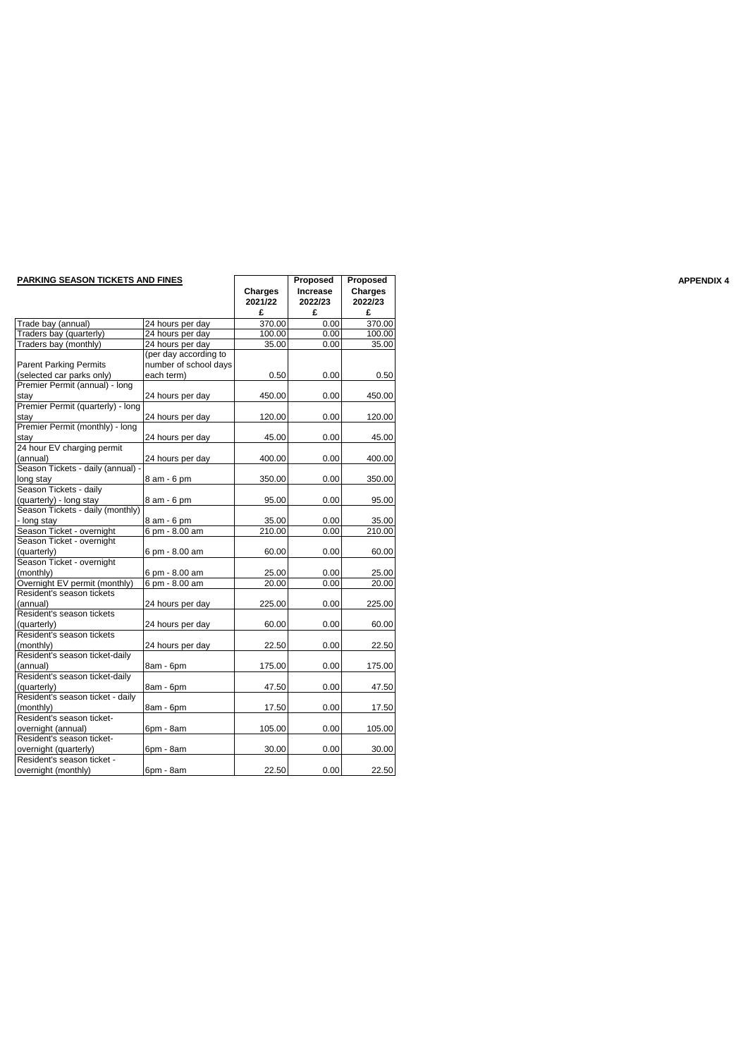| <b>PARKING SEASON TICKETS AND FINES</b> |                       |         | Proposed | Proposed |
|-----------------------------------------|-----------------------|---------|----------|----------|
|                                         |                       | Charges | Increase | Charges  |
|                                         |                       | 2021/22 | 2022/23  | 2022/23  |
|                                         |                       | £       | £        | £        |
| Trade bay (annual)                      | 24 hours per day      | 370.00  | 0.00     | 370.00   |
| Traders bay (quarterly)                 | 24 hours per day      | 100.00  | 0.00     | 100.00   |
| Traders bay (monthly)                   | 24 hours per day      | 35.00   | 0.00     | 35.00    |
|                                         | (per day according to |         |          |          |
| <b>Parent Parking Permits</b>           | number of school days |         |          |          |
| (selected car parks only)               | each term)            | 0.50    | 0.00     | 0.50     |
| Premier Permit (annual) - long          |                       |         |          |          |
| stay                                    | 24 hours per day      | 450.00  | 0.00     | 450.00   |
| Premier Permit (quarterly) - long       |                       |         |          |          |
| stay                                    | 24 hours per day      | 120.00  | 0.00     | 120.00   |
| Premier Permit (monthly) - long         |                       |         |          |          |
| stay                                    | 24 hours per day      | 45.00   | 0.00     | 45.00    |
| 24 hour EV charging permit              |                       |         |          |          |
| (annual)                                | 24 hours per day      | 400.00  | 0.00     | 400.00   |
| Season Tickets - daily (annual)         |                       |         |          |          |
| long stay                               | 8 am - 6 pm           | 350.00  | 0.00     | 350.00   |
| Season Tickets - daily                  |                       |         |          |          |
| (quarterly) - long stay                 | 8 am - 6 pm           | 95.00   | 0.00     | 95.00    |
| Season Tickets - daily (monthly)        |                       |         |          |          |
| - long stay                             | 8 am - 6 pm           | 35.00   | 0.00     | 35.00    |
| Season Ticket - overnight               | 6 pm - 8.00 am        | 210.00  | 0.00     | 210.00   |
| Season Ticket - overnight               |                       |         |          |          |
| (quarterly)                             | 6 pm - 8.00 am        | 60.00   | 0.00     | 60.00    |
| Season Ticket - overnight               |                       |         |          |          |
|                                         | 6 pm - 8.00 am        |         | 0.00     | 25.00    |
| (monthly)                               |                       | 25.00   |          |          |
| Overnight EV permit (monthly)           | 6 pm - 8.00 am        | 20.00   | 0.00     | 20.00    |
| Resident's season tickets               |                       |         |          |          |
| (annual)                                | 24 hours per day      | 225.00  | 0.00     | 225.00   |
| Resident's season tickets               |                       |         |          |          |
| (quarterly)                             | 24 hours per day      | 60.00   | 0.00     | 60.00    |
| Resident's season tickets               |                       |         |          |          |
| (monthly)                               | 24 hours per day      | 22.50   | 0.00     | 22.50    |
| Resident's season ticket-daily          |                       |         |          |          |
| (annual)                                | 8am - 6pm             | 175.00  | 0.00     | 175.00   |
| Resident's season ticket-daily          |                       |         |          |          |
| (quarterly)                             | 8am - 6pm             | 47.50   | 0.00     | 47.50    |
| Resident's season ticket - daily        |                       |         |          |          |
| (monthly)                               | 8am - 6pm             | 17.50   | 0.00     | 17.50    |
| Resident's season ticket-               |                       |         |          |          |
| overnight (annual)                      | 6pm - 8am             | 105.00  | 0.00     | 105.00   |
| Resident's season ticket-               |                       |         |          |          |
| overnight (quarterly)                   | 6pm - 8am             | 30.00   | 0.00     | 30.00    |
| Resident's season ticket -              |                       |         |          |          |
| overnight (monthly)                     | 6pm - 8am             | 22.50   | 0.00     | 22.50    |

|                                                  |                       | £      | £    | £      |
|--------------------------------------------------|-----------------------|--------|------|--------|
| y (annual)                                       | 24 hours per day      | 370.00 | 0.00 | 370.00 |
| bay (quarterly)                                  | 24 hours per day      | 100.00 | 0.00 | 100.00 |
| bay (monthly)                                    | 24 hours per day      | 35.00  | 0.00 | 35.00  |
|                                                  | (per day according to |        |      |        |
| arking Permits                                   | number of school days |        |      |        |
| car parks only)                                  | each term)            | 0.50   | 0.00 | 0.50   |
| Permit (annual) - long                           |                       |        |      |        |
|                                                  | 24 hours per day      | 450.00 | 0.00 | 450.00 |
| Permit (quarterly) - long                        |                       |        |      |        |
|                                                  | 24 hours per day      | 120.00 | 0.00 | 120.00 |
| Permit (monthly) - long                          |                       |        |      |        |
|                                                  | 24 hours per day      | 45.00  | 0.00 | 45.00  |
| V charging permit                                |                       |        |      |        |
|                                                  | 24 hours per day      | 400.00 | 0.00 | 400.00 |
| ickets - daily (annual) -                        |                       |        |      |        |
|                                                  | 8 am - 6 pm           | 350.00 | 0.00 | 350.00 |
| ickets - daily                                   |                       |        |      |        |
| <sup>*</sup> ) - long stay                       | 8 am - 6 pm           | 95.00  | 0.00 | 95.00  |
| lickets - daily (monthly)                        |                       |        |      |        |
|                                                  | 8 am - 6 pm           | 35.00  | 0.00 | 35.00  |
| <u>y</u><br>Ti <u>cket - overnight </u>          | 6 pm - 8.00 am        | 210.00 | 0.00 | 210.00 |
| icket - overnight                                |                       |        |      |        |
|                                                  | 6 pm - 8.00 am        | 60.00  | 0.00 | 60.00  |
| <sup>/</sup> )<br><sup>-</sup> icket - overnight |                       |        |      |        |
|                                                  | 6 pm - 8.00 am        | 25.00  | 0.00 | 25.00  |
| t EV permit (monthly)                            | 6 pm - 8.00 am        | 20.00  | 0.00 | 20.00  |
| s season tickets                                 |                       |        |      |        |
|                                                  | 24 hours per day      | 225.00 | 0.00 | 225.00 |
| 's season tickets                                |                       |        |      |        |
| <sup>/</sup> )<br>'s season tickets'             | 24 hours per day      | 60.00  | 0.00 | 60.00  |
|                                                  |                       |        |      |        |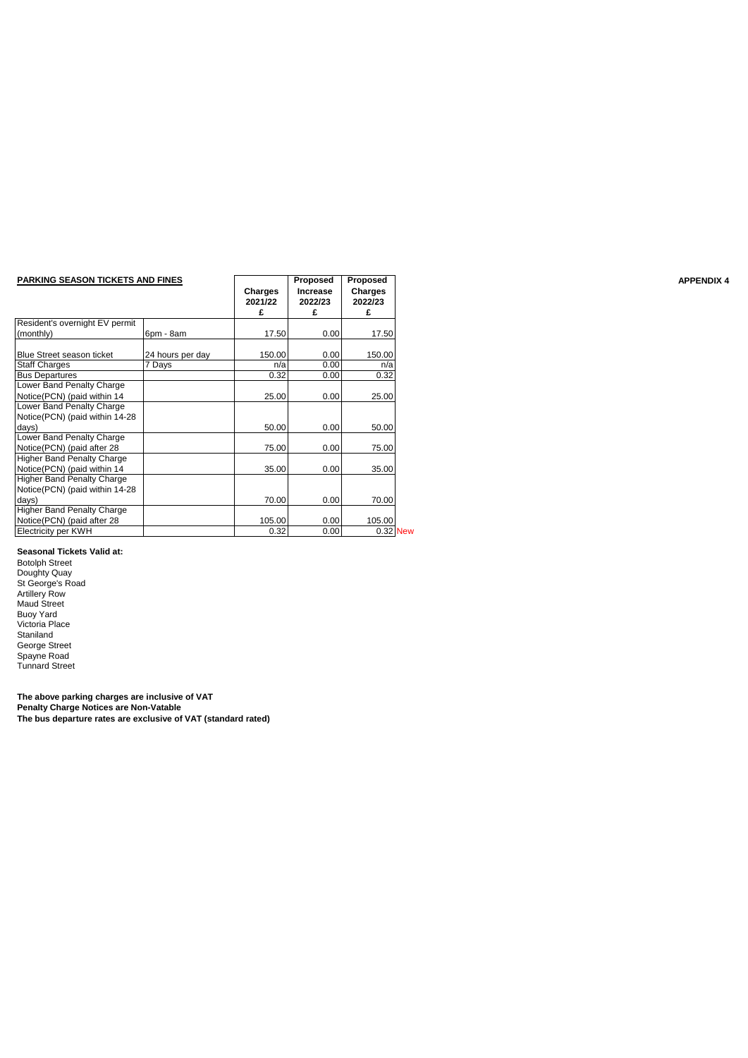| <b>PARKING SEASON TICKETS AND FINES</b> |                  | Charges<br>2021/22 | Proposed<br><b>Increase</b><br>2022/23 | Proposed<br>Charges<br>2022/23 |          |
|-----------------------------------------|------------------|--------------------|----------------------------------------|--------------------------------|----------|
|                                         |                  | £                  | £                                      | £                              |          |
| Resident's overnight EV permit          |                  |                    |                                        |                                |          |
| (monthly)                               | 6pm - 8am        | 17.50              | 0.00                                   | 17.50                          |          |
| Blue Street season ticket               | 24 hours per day | 150.00             | 0.00                                   | 150.00                         |          |
| <b>Staff Charges</b>                    | 7 Days           | n/a                | 0.00                                   | n/a                            |          |
| <b>Bus Departures</b>                   |                  | 0.32               | 0.00                                   | 0.32                           |          |
| Lower Band Penalty Charge               |                  |                    |                                        |                                |          |
| Notice(PCN) (paid within 14             |                  | 25.00              | 0.00                                   | 25.00                          |          |
| Lower Band Penalty Charge               |                  |                    |                                        |                                |          |
| Notice(PCN) (paid within 14-28          |                  |                    |                                        |                                |          |
| days)                                   |                  | 50.00              | 0.00                                   | 50.00                          |          |
| Lower Band Penalty Charge               |                  |                    |                                        |                                |          |
| Notice(PCN) (paid after 28              |                  | 75.00              | 0.00                                   | 75.00                          |          |
| <b>Higher Band Penalty Charge</b>       |                  |                    |                                        |                                |          |
| Notice(PCN) (paid within 14             |                  | 35.00              | 0.00                                   | 35.00                          |          |
| <b>Higher Band Penalty Charge</b>       |                  |                    |                                        |                                |          |
| Notice(PCN) (paid within 14-28          |                  |                    |                                        |                                |          |
| days)                                   |                  | 70.00              | 0.00                                   | 70.00                          |          |
| <b>Higher Band Penalty Charge</b>       |                  |                    |                                        |                                |          |
| Notice(PCN) (paid after 28              |                  | 105.00             | 0.00                                   | 105.00                         |          |
| Electricity per KWH                     |                  | 0.32               | 0.00                                   |                                | 0.32 New |

#### **Seasonal Tickets Valid at:**

Botolph Street Doughty Quay St George's Road Artillery Row Maud Street Buoy Yard Victoria Place Staniland George Street Spayne Road Tunnard Street

**The above parking charges are inclusive of VAT Penalty Charge Notices are Non-Vatable The bus departure rates are exclusive of VAT (standard rated)**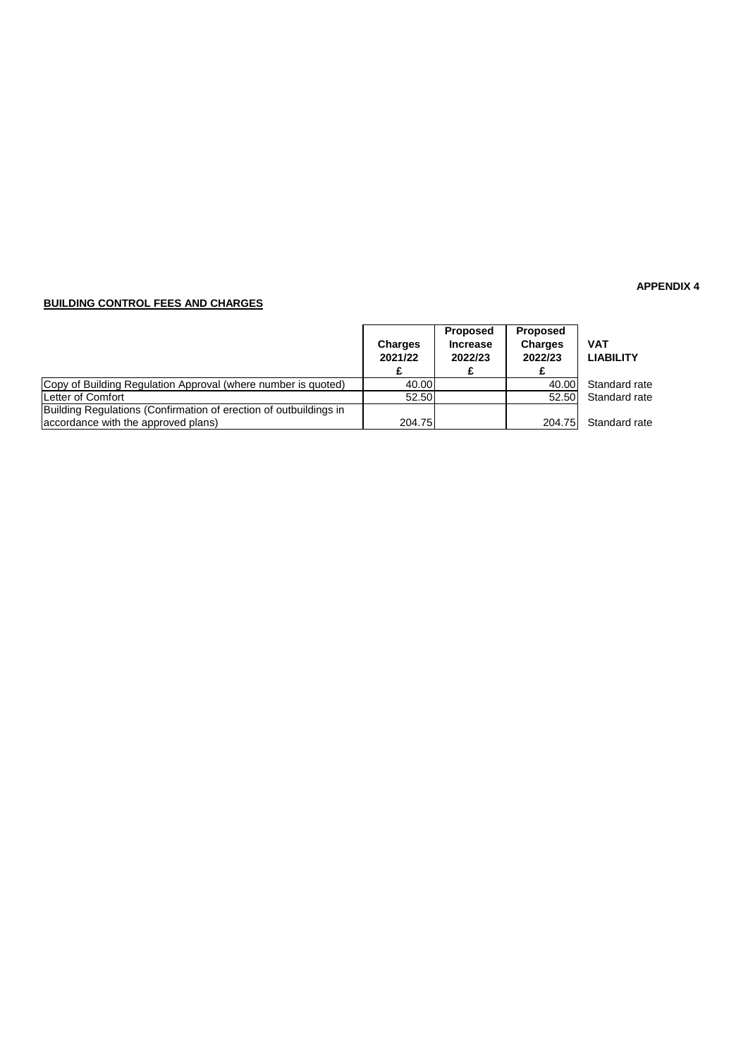## **BUILDING CONTROL FEES AND CHARGES**

|                                                                                                          | <b>Charges</b><br>2021/22 | Proposed<br><b>Increase</b><br>2022/23 | <b>Proposed</b><br><b>Charges</b><br>2022/23 | <b>VAT</b><br><b>LIABILITY</b> |
|----------------------------------------------------------------------------------------------------------|---------------------------|----------------------------------------|----------------------------------------------|--------------------------------|
| Copy of Building Regulation Approval (where number is quoted)                                            | 40.00                     |                                        | 40.00                                        | Standard rate                  |
| <b>ILetter of Comfort</b>                                                                                | 52.50                     |                                        | 52.50                                        | Standard rate                  |
| Building Regulations (Confirmation of erection of outbuildings in<br>accordance with the approved plans) | 204.75                    |                                        | 204.75                                       | Standard rate                  |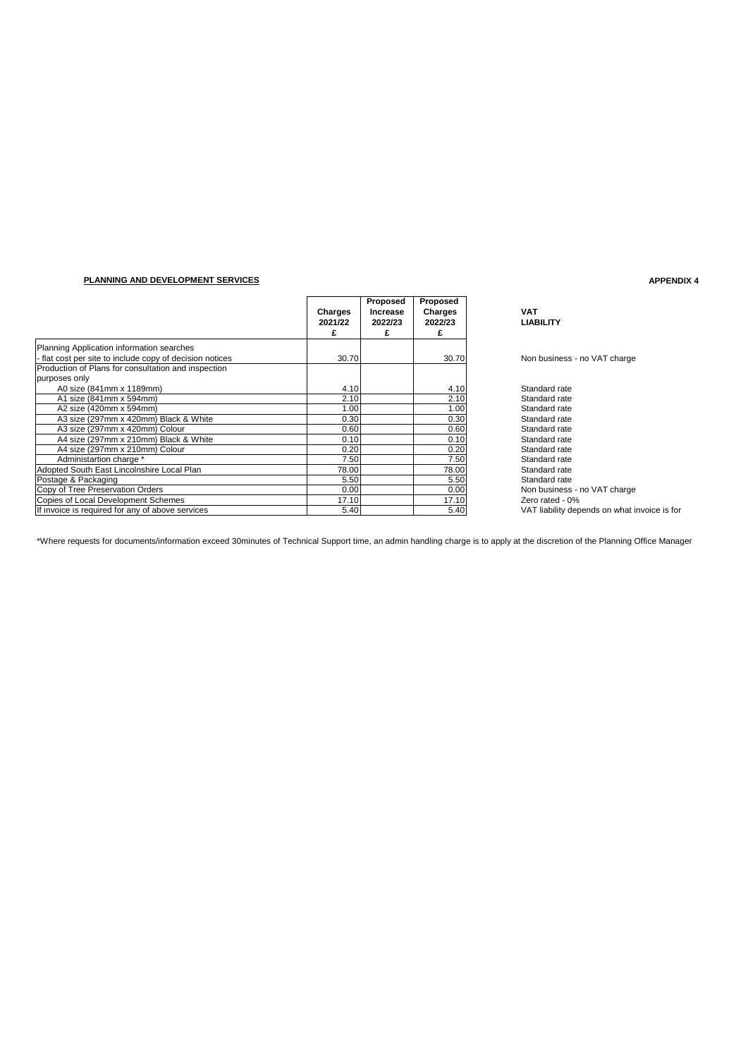### **PLANNING AND DEVELOPMENT SERVICES**

|                                                        | Charges<br>2021/22<br>£ | Proposed<br><b>Increase</b><br>2022/23 | Proposed<br>Charges<br>2022/23<br>£ | <b>VAT</b><br><b>LIABILITY</b>               |
|--------------------------------------------------------|-------------------------|----------------------------------------|-------------------------------------|----------------------------------------------|
| Planning Application information searches              |                         |                                        |                                     |                                              |
| flat cost per site to include copy of decision notices | 30.70                   |                                        | 30.70                               | Non business - no VAT charge                 |
| Production of Plans for consultation and inspection    |                         |                                        |                                     |                                              |
| purposes only                                          |                         |                                        |                                     |                                              |
| A0 size (841mm x 1189mm)                               | 4.10                    |                                        | 4.10                                | Standard rate                                |
| A1 size (841mm x 594mm)                                | 2.10                    |                                        | 2.10                                | Standard rate                                |
| A2 size (420mm x 594mm)                                | 1.00                    |                                        | 1.00                                | Standard rate                                |
| A3 size (297mm x 420mm) Black & White                  | 0.30                    |                                        | 0.30                                | Standard rate                                |
| A3 size (297mm x 420mm) Colour                         | 0.60                    |                                        | 0.60                                | Standard rate                                |
| A4 size (297mm x 210mm) Black & White                  | 0.10                    |                                        | 0.10                                | Standard rate                                |
| A4 size (297mm x 210mm) Colour                         | 0.20                    |                                        | 0.20                                | Standard rate                                |
| Administartion charge *                                | 7.50                    |                                        | 7.50                                | Standard rate                                |
| Adopted South East Lincolnshire Local Plan             | 78.00                   |                                        | 78.00                               | Standard rate                                |
| Postage & Packaging                                    | 5.50                    |                                        | 5.50                                | Standard rate                                |
| Copy of Tree Preservation Orders                       | 0.00                    |                                        | 0.00                                | Non business - no VAT charge                 |
| Copies of Local Development Schemes                    | 17.10                   |                                        | 17.10                               | Zero rated - 0%                              |
| If invoice is required for any of above services       | 5.40                    |                                        | 5.40                                | VAT liability depends on what invoice is for |

\*Where requests for documents/information exceed 30minutes of Technical Support time, an admin handling charge is to apply at the discretion of the Planning Office Manager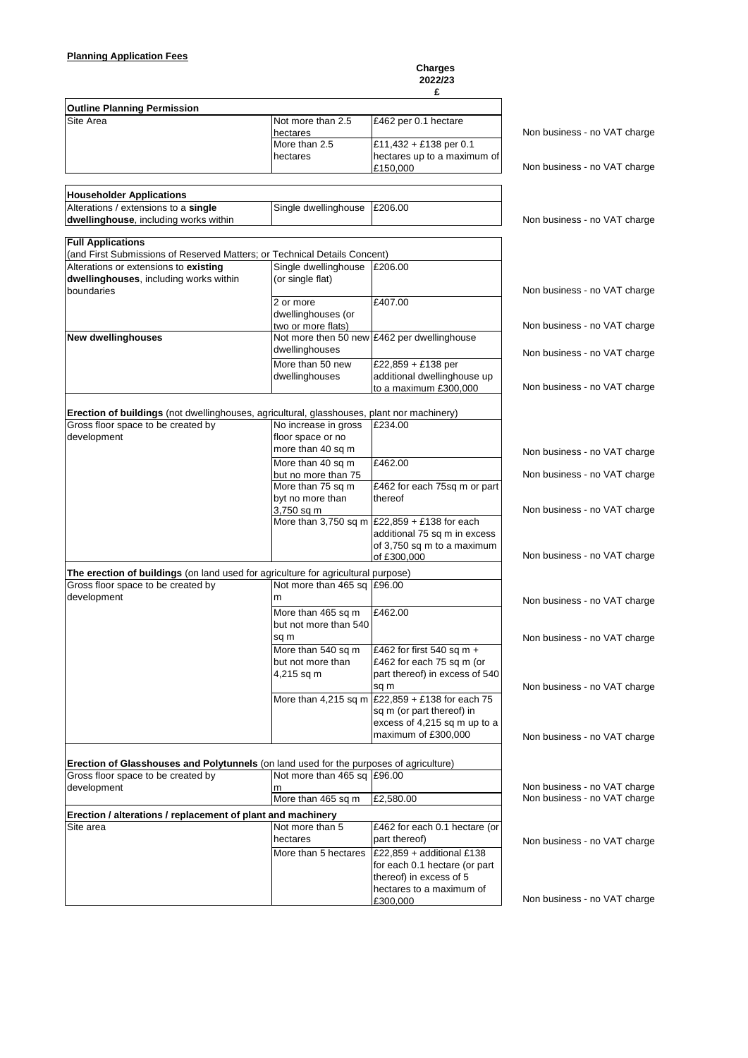#### **Charges 2022/23**

|                                                                                                                                  |                                             | £                                                                        |                              |
|----------------------------------------------------------------------------------------------------------------------------------|---------------------------------------------|--------------------------------------------------------------------------|------------------------------|
| <b>Outline Planning Permission</b>                                                                                               |                                             |                                                                          |                              |
| Site Area                                                                                                                        | Not more than 2.5                           | £462 per 0.1 hectare                                                     |                              |
|                                                                                                                                  | hectares                                    |                                                                          | Non business - no VAT charge |
|                                                                                                                                  | More than 2.5                               | £11,432 + £138 per 0.1                                                   |                              |
|                                                                                                                                  | hectares                                    | hectares up to a maximum of                                              |                              |
|                                                                                                                                  |                                             | £150,000                                                                 | Non business - no VAT charge |
|                                                                                                                                  |                                             |                                                                          |                              |
| <b>Householder Applications</b>                                                                                                  |                                             |                                                                          |                              |
| Alterations / extensions to a single                                                                                             | Single dwellinghouse                        | £206.00                                                                  |                              |
| dwellinghouse, including works within                                                                                            |                                             |                                                                          | Non business - no VAT charge |
| <b>Full Applications</b>                                                                                                         |                                             |                                                                          |                              |
| (and First Submissions of Reserved Matters; or Technical Details Concent)                                                        |                                             |                                                                          |                              |
| Alterations or extensions to existing                                                                                            | Single dwellinghouse                        | £206.00                                                                  |                              |
| dwellinghouses, including works within                                                                                           | (or single flat)                            |                                                                          |                              |
| boundaries                                                                                                                       |                                             |                                                                          | Non business - no VAT charge |
|                                                                                                                                  | 2 or more                                   | £407.00                                                                  |                              |
|                                                                                                                                  | dwellinghouses (or                          |                                                                          |                              |
|                                                                                                                                  | two or more flats)                          |                                                                          | Non business - no VAT charge |
| <b>New dwellinghouses</b>                                                                                                        |                                             | Not more then 50 new £462 per dwellinghouse                              |                              |
|                                                                                                                                  | dwellinghouses                              |                                                                          | Non business - no VAT charge |
|                                                                                                                                  | More than 50 new                            | £22,859 + £138 per                                                       |                              |
|                                                                                                                                  | dwellinghouses                              | additional dwellinghouse up                                              |                              |
|                                                                                                                                  |                                             | to a maximum £300,000                                                    | Non business - no VAT charge |
|                                                                                                                                  |                                             |                                                                          |                              |
| Erection of buildings (not dwellinghouses, agricultural, glasshouses, plant nor machinery)<br>Gross floor space to be created by | No increase in gross                        | £234.00                                                                  |                              |
| development                                                                                                                      | floor space or no                           |                                                                          |                              |
|                                                                                                                                  | more than 40 sq m                           |                                                                          | Non business - no VAT charge |
|                                                                                                                                  | More than 40 sq m                           | £462.00                                                                  |                              |
|                                                                                                                                  | but no more than 75                         |                                                                          | Non business - no VAT charge |
|                                                                                                                                  | More than 75 sq m                           | £462 for each 75sq m or part                                             |                              |
|                                                                                                                                  | byt no more than                            | thereof                                                                  |                              |
|                                                                                                                                  | 3,750 sq m                                  |                                                                          | Non business - no VAT charge |
|                                                                                                                                  |                                             | More than 3,750 sq m $\left  \frac{£22,859 + £138}{2} \right $ for each  |                              |
|                                                                                                                                  |                                             | additional 75 sq m in excess                                             |                              |
|                                                                                                                                  |                                             | of 3,750 sq m to a maximum<br>of £300,000                                | Non business - no VAT charge |
|                                                                                                                                  |                                             |                                                                          |                              |
| The erection of buildings (on land used for agriculture for agricultural purpose)<br>Gross floor space to be created by          | Not more than 465 sq £96.00                 |                                                                          |                              |
| development                                                                                                                      | m                                           |                                                                          |                              |
|                                                                                                                                  |                                             |                                                                          | Non business - no VAT charge |
|                                                                                                                                  | More than 465 sq m<br>but not more than 540 | £462.00                                                                  |                              |
|                                                                                                                                  | sq m                                        |                                                                          |                              |
|                                                                                                                                  | More than 540 sq m                          | £462 for first 540 sq m +                                                | Non business - no VAT charge |
|                                                                                                                                  | but not more than                           | £462 for each 75 sq m (or                                                |                              |
|                                                                                                                                  | 4,215 sq m                                  | part thereof) in excess of 540                                           |                              |
|                                                                                                                                  |                                             | sq m                                                                     | Non business - no VAT charge |
|                                                                                                                                  |                                             | More than 4,215 sq m $\left  \frac{22,859 + 138}{2} \right $ for each 75 |                              |
|                                                                                                                                  |                                             | sq m (or part thereof) in                                                |                              |
|                                                                                                                                  |                                             | excess of 4,215 sq m up to a                                             |                              |
|                                                                                                                                  |                                             | maximum of £300,000                                                      | Non business - no VAT charge |
|                                                                                                                                  |                                             |                                                                          |                              |
| Erection of Glasshouses and Polytunnels (on land used for the purposes of agriculture)                                           |                                             |                                                                          |                              |
| Gross floor space to be created by                                                                                               | Not more than 465 sq £96.00                 |                                                                          |                              |
| development                                                                                                                      | m                                           |                                                                          | Non business - no VAT charge |
|                                                                                                                                  | More than 465 sq m                          | £2,580.00                                                                | Non business - no VAT charge |
| Erection / alterations / replacement of plant and machinery                                                                      |                                             |                                                                          |                              |
| Site area                                                                                                                        | Not more than 5                             | £462 for each 0.1 hectare (or                                            |                              |
|                                                                                                                                  | hectares                                    | part thereof)                                                            | Non business - no VAT charge |
|                                                                                                                                  | More than 5 hectares                        | £22,859 + additional £138                                                |                              |
|                                                                                                                                  |                                             | for each 0.1 hectare (or part                                            |                              |
|                                                                                                                                  |                                             | thereof) in excess of 5                                                  |                              |
|                                                                                                                                  |                                             | hectares to a maximum of                                                 |                              |
|                                                                                                                                  |                                             | £300,000                                                                 | Non business - no VAT charge |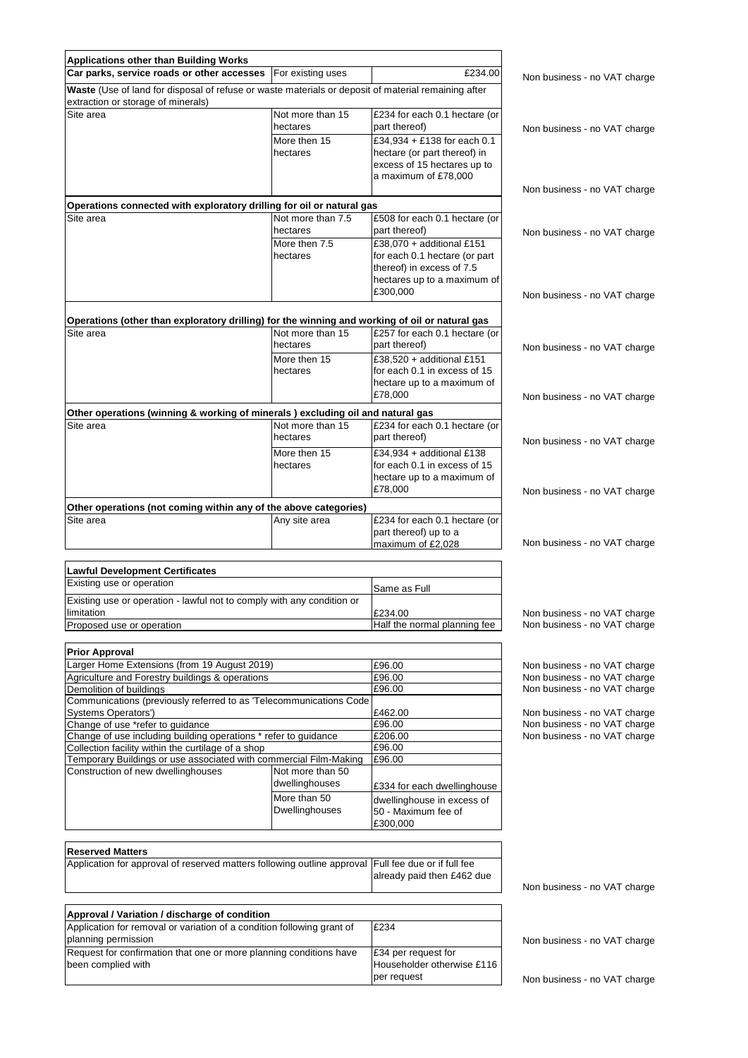| <b>Applications other than Building Works</b>                                                                                             |                           |                                                             |                              |
|-------------------------------------------------------------------------------------------------------------------------------------------|---------------------------|-------------------------------------------------------------|------------------------------|
| Car parks, service roads or other accesses                                                                                                | For existing uses         | £234.00                                                     | Non business - no VAT charge |
| Waste (Use of land for disposal of refuse or waste materials or deposit of material remaining after<br>extraction or storage of minerals) |                           |                                                             |                              |
| Site area                                                                                                                                 | Not more than 15          | £234 for each 0.1 hectare (or                               |                              |
|                                                                                                                                           | hectares                  | part thereof)                                               | Non business - no VAT charge |
|                                                                                                                                           | More then 15<br>hectares  | £34,934 + £138 for each 0.1                                 |                              |
|                                                                                                                                           |                           | hectare (or part thereof) in<br>excess of 15 hectares up to |                              |
|                                                                                                                                           |                           | a maximum of £78,000                                        |                              |
|                                                                                                                                           |                           |                                                             | Non business - no VAT charge |
| Operations connected with exploratory drilling for oil or natural gas                                                                     |                           |                                                             |                              |
| Site area                                                                                                                                 | Not more than 7.5         | £508 for each 0.1 hectare (or                               |                              |
|                                                                                                                                           | hectares                  | part thereof)                                               | Non business - no VAT charge |
|                                                                                                                                           | More then 7.5<br>hectares | £38,070 + additional £151<br>for each 0.1 hectare (or part  |                              |
|                                                                                                                                           |                           | thereof) in excess of 7.5                                   |                              |
|                                                                                                                                           |                           | hectares up to a maximum of                                 |                              |
|                                                                                                                                           |                           | £300,000                                                    | Non business - no VAT charge |
|                                                                                                                                           |                           |                                                             |                              |
| Operations (other than exploratory drilling) for the winning and working of oil or natural gas                                            |                           |                                                             |                              |
| Site area                                                                                                                                 | Not more than 15          | £257 for each 0.1 hectare (or                               |                              |
|                                                                                                                                           | hectares                  | part thereof)                                               | Non business - no VAT charge |
|                                                                                                                                           | More then 15              | £38,520 + additional £151<br>for each 0.1 in excess of 15   |                              |
|                                                                                                                                           | hectares                  | hectare up to a maximum of                                  |                              |
|                                                                                                                                           |                           | £78,000                                                     | Non business - no VAT charge |
| Other operations (winning & working of minerals ) excluding oil and natural gas                                                           |                           |                                                             |                              |
| Site area                                                                                                                                 | Not more than 15          | £234 for each 0.1 hectare (or                               |                              |
|                                                                                                                                           | hectares                  | part thereof)                                               | Non business - no VAT charge |
|                                                                                                                                           | More then 15              | £34,934 + additional £138                                   |                              |
|                                                                                                                                           | hectares                  | for each 0.1 in excess of 15                                |                              |
|                                                                                                                                           |                           | hectare up to a maximum of                                  |                              |
|                                                                                                                                           |                           | £78,000                                                     | Non business - no VAT charge |
| Other operations (not coming within any of the above categories)                                                                          |                           |                                                             |                              |
| Site area                                                                                                                                 | Any site area             | £234 for each 0.1 hectare (or                               |                              |
|                                                                                                                                           |                           | part thereof) up to a                                       |                              |
|                                                                                                                                           |                           | maximum of £2,028                                           | Non business - no VAT charge |
| <b>Lawful Development Certificates</b>                                                                                                    |                           |                                                             |                              |
| Existing use or operation                                                                                                                 |                           |                                                             |                              |
| Existing use or operation - lawful not to comply with any condition or                                                                    |                           | Same as Full                                                |                              |
| limitation                                                                                                                                |                           | £234.00                                                     | Non business - no VAT charge |
| Proposed use or operation                                                                                                                 |                           | Half the normal planning fee                                | Non business - no VAT charge |
|                                                                                                                                           |                           |                                                             |                              |
| <b>Prior Approval</b>                                                                                                                     |                           |                                                             |                              |
| Larger Home Extensions (from 19 August 2019)                                                                                              |                           | £96.00                                                      | Non business - no VAT charge |
| Agriculture and Forestry buildings & operations                                                                                           |                           | £96.00                                                      | Non business - no VAT charge |
| Demolition of buildings<br>Communications (previously referred to as 'Telecommunications Code                                             |                           | £96.00                                                      | Non business - no VAT charge |
| <b>Systems Operators')</b>                                                                                                                |                           | £462.00                                                     | Non business - no VAT charge |
| Change of use *refer to guidance                                                                                                          |                           | £96.00                                                      | Non business - no VAT charge |
| Change of use including building operations * refer to guidance                                                                           |                           | £206.00                                                     | Non business - no VAT charge |
| Collection facility within the curtilage of a shop<br>Temporary Buildings or use associated with commercial Film-Making                   |                           | £96.00<br>£96.00                                            |                              |
| Construction of new dwellinghouses                                                                                                        | Not more than 50          |                                                             |                              |
|                                                                                                                                           | dwellinghouses            | £334 for each dwellinghouse                                 |                              |
|                                                                                                                                           | More than 50              | dwellinghouse in excess of                                  |                              |
|                                                                                                                                           | Dwellinghouses            | 50 - Maximum fee of                                         |                              |
|                                                                                                                                           |                           | £300,000                                                    |                              |
|                                                                                                                                           |                           |                                                             |                              |
| <b>Reserved Matters</b>                                                                                                                   |                           |                                                             |                              |
| Application for approval of reserved matters following outline approval                                                                   |                           | Full fee due or if full fee                                 |                              |
|                                                                                                                                           |                           | already paid then £462 due                                  | Non business - no VAT charge |
|                                                                                                                                           |                           |                                                             |                              |
| Approval / Variation / discharge of condition                                                                                             |                           |                                                             |                              |
| Application for removal or variation of a condition following grant of                                                                    |                           | £234                                                        |                              |
| planning permission                                                                                                                       |                           |                                                             | Non business - no VAT charge |
| Request for confirmation that one or more planning conditions have                                                                        |                           | £34 per request for                                         |                              |
| been complied with                                                                                                                        |                           | Householder otherwise £116                                  |                              |
|                                                                                                                                           |                           | per request                                                 | Non business - no VAT charge |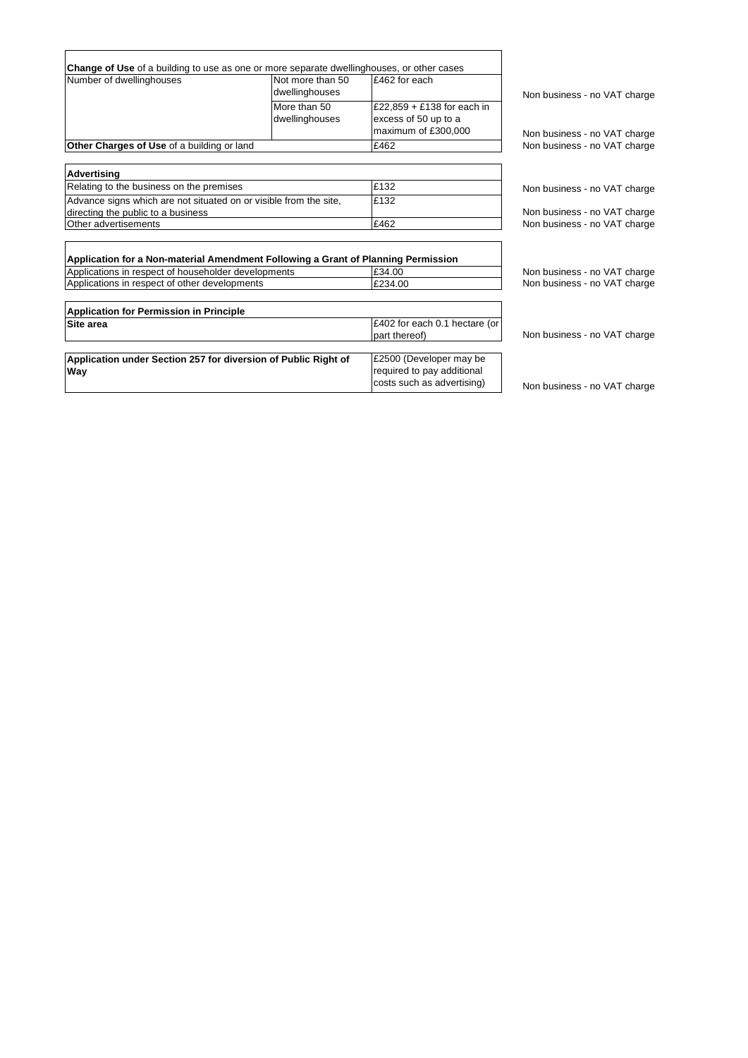|                                                                                                                                          |                  | <b>Change of Use</b> of a building to use as one or more separate dwellinghouses, or other cases |                                                              |
|------------------------------------------------------------------------------------------------------------------------------------------|------------------|--------------------------------------------------------------------------------------------------|--------------------------------------------------------------|
| Number of dwellinghouses                                                                                                                 | Not more than 50 | £462 for each                                                                                    |                                                              |
|                                                                                                                                          | dwellinghouses   |                                                                                                  | Non business - no VAT charge                                 |
|                                                                                                                                          | More than 50     | £22,859 + £138 for each in                                                                       |                                                              |
|                                                                                                                                          | dwellinghouses   | excess of 50 up to a                                                                             |                                                              |
|                                                                                                                                          |                  | maximum of £300,000                                                                              | Non business - no VAT charge                                 |
| Other Charges of Use of a building or land                                                                                               |                  | £462                                                                                             | Non business - no VAT charge                                 |
|                                                                                                                                          |                  |                                                                                                  |                                                              |
| <b>Advertising</b>                                                                                                                       |                  |                                                                                                  |                                                              |
| Relating to the business on the premises                                                                                                 |                  | £132                                                                                             | Non business - no VAT charge                                 |
| Advance signs which are not situated on or visible from the site,                                                                        |                  | £132                                                                                             |                                                              |
| directing the public to a business                                                                                                       |                  |                                                                                                  | Non business - no VAT charge                                 |
| Other advertisements                                                                                                                     |                  | £462                                                                                             | Non business - no VAT charge                                 |
| Application for a Non-material Amendment Following a Grant of Planning Permission<br>Applications in respect of householder developments |                  |                                                                                                  |                                                              |
|                                                                                                                                          |                  | £34.00<br>£234.00                                                                                | Non business - no VAT charge<br>Non business - no VAT charge |
| Applications in respect of other developments                                                                                            |                  |                                                                                                  |                                                              |
| <b>Application for Permission in Principle</b>                                                                                           |                  |                                                                                                  |                                                              |
| Site area                                                                                                                                |                  | £402 for each 0.1 hectare (or                                                                    |                                                              |
|                                                                                                                                          |                  | part thereof)                                                                                    | Non business - no VAT charge                                 |
|                                                                                                                                          |                  |                                                                                                  |                                                              |
| Application under Section 257 for diversion of Public Right of                                                                           |                  | £2500 (Developer may be                                                                          |                                                              |
| Way                                                                                                                                      |                  | required to pay additional<br>costs such as advertising)                                         | Non business - no VAT charge                                 |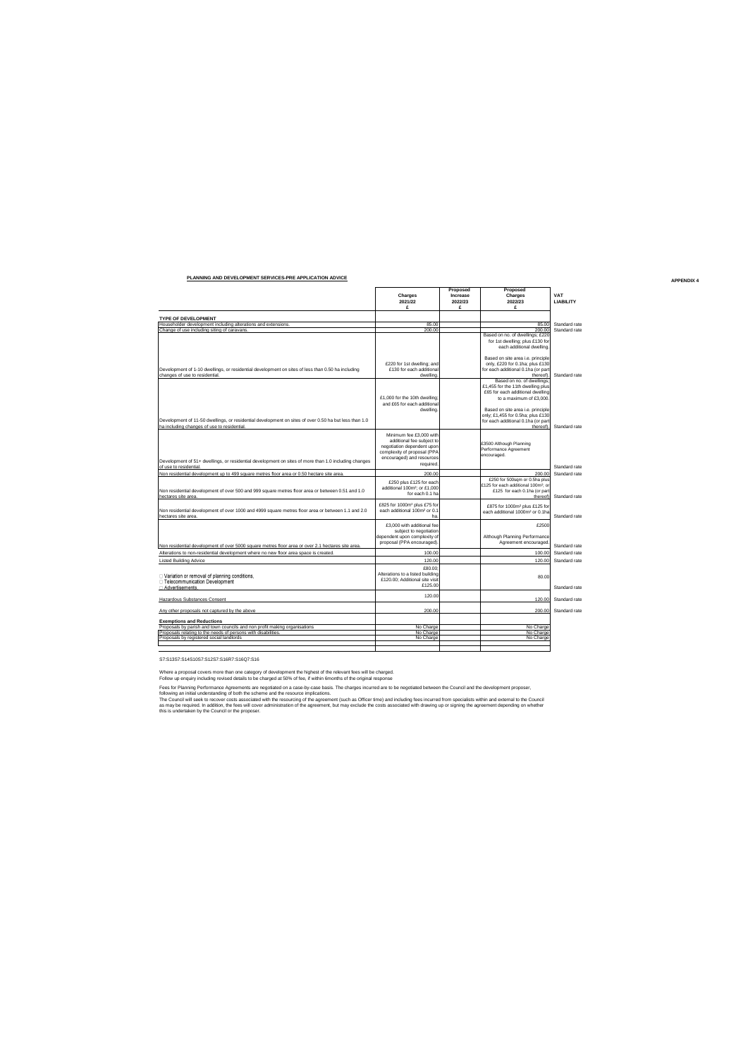|                                                                                                                                                                                        | Charges<br>2021/22<br>£                                                                                                                                    | Proposed<br>Increase<br>2022/23<br>£ | Proposed<br>Charges<br>2022/23<br>£                                                                                                                                                                      | VAT<br><b>LIABILITY</b> |
|----------------------------------------------------------------------------------------------------------------------------------------------------------------------------------------|------------------------------------------------------------------------------------------------------------------------------------------------------------|--------------------------------------|----------------------------------------------------------------------------------------------------------------------------------------------------------------------------------------------------------|-------------------------|
| <b>TYPE OF DEVELOPMENT</b>                                                                                                                                                             |                                                                                                                                                            |                                      |                                                                                                                                                                                                          |                         |
| Householder development including alterations and extensions.                                                                                                                          | 85.00                                                                                                                                                      |                                      | 85.00                                                                                                                                                                                                    | Standard rate           |
| Change of use including siting of caravans.                                                                                                                                            | 200.00                                                                                                                                                     |                                      | 200.00                                                                                                                                                                                                   | Standard rate           |
|                                                                                                                                                                                        |                                                                                                                                                            |                                      | Based on no. of dwellings; £220<br>for 1st dwelling; plus £130 for<br>each additional dwelling.                                                                                                          |                         |
| Development of 1-10 dwellings, or residential development on sites of less than 0.50 ha including<br>changes of use to residential.                                                    | £220 for 1st dwelling; and<br>£130 for each additional<br>dwelling                                                                                         |                                      | Based on site area i.e. principle<br>only, £220 for 0.1ha; plus £130<br>for each additional 0.1ha (or part<br>thereof)                                                                                   | Standard rate           |
|                                                                                                                                                                                        | £1,000 for the 10th dwelling:<br>and £65 for each additional<br>dwelling                                                                                   |                                      | Based on no. of dwellings;<br>£1,455 for the 11th dwelling plus<br>£65 for each additional dwelling<br>to a maximum of £3,000.<br>Based on site area i.e. principle<br>only; £1,455 for 0.5ha; plus £130 |                         |
| Development of 11-50 dwellings, or residential development on sites of over 0.50 ha but less than 1.0<br>ha including changes of use to residential                                    |                                                                                                                                                            |                                      | for each additional 0.1ha (or part<br>thereof).                                                                                                                                                          | Standard rate           |
| Development of 51+ dwellings, or residential development on sites of more than 1.0 including changes                                                                                   | Minimum fee £3,000 with<br>additional fee subiect to<br>negotiation dependent upon<br>complexity of proposal (PPA<br>encouraged) and resources<br>required |                                      | £3500 Although Planning<br>Performance Agreement<br>encouraged.                                                                                                                                          |                         |
| of use to residential.                                                                                                                                                                 |                                                                                                                                                            |                                      |                                                                                                                                                                                                          | Standard rate           |
| Non residential development up to 499 square metres floor area or 0.50 hectare site area.                                                                                              | 200.00                                                                                                                                                     |                                      | 200.00                                                                                                                                                                                                   | Standard rate           |
| Non residential development of over 500 and 999 square metres floor area or between 0.51 and 1.0<br>hectares site area.                                                                | £250 plus £125 for each<br>additional 100m <sup>2</sup> : or £1,000<br>for each 0.1 ha                                                                     |                                      | £250 for 500sqm or 0.5ha plus<br>£125 for each additional 100m <sup>2</sup> ; or<br>£125 for each 0.1ha (or part<br>thereof)                                                                             | Standard rate           |
| Non residential development of over 1000 and 4999 square metres floor area or between 1.1 and 2.0<br>hectares site area.                                                               | £825 for 1000m <sup>2</sup> plus £75 for<br>each additional 100m <sup>2</sup> or 0.1<br>ha                                                                 |                                      | £875 for 1000m <sup>2</sup> plus £125 for<br>each additional 1000m <sup>2</sup> or 0.1ha                                                                                                                 | Standard rate           |
| Non residential development of over 5000 square metres floor area or over 2.1 hectares site area.                                                                                      | £3,000 with additional fee<br>subject to negotiation<br>dependent upon complexity of<br>proposal (PPA encouraged)                                          |                                      | £2500<br>Although Planning Performance<br>Agreement encouraged                                                                                                                                           | Standard rate           |
| Alterations to non-residential development where no new floor area space is created.                                                                                                   | 100.00                                                                                                                                                     |                                      | 100.00                                                                                                                                                                                                   | Standard rate           |
| <b>Listed Building Advice</b>                                                                                                                                                          | 120.00                                                                                                                                                     |                                      | 120.00                                                                                                                                                                                                   | Standard rate           |
| □ Variation or removal of planning conditions.<br>□ Telecommunication Development<br>□ Advertisements                                                                                  | £80.00<br>Alterations to a listed building<br>£120.00: Additional site visit<br>£125.00                                                                    |                                      | 80.00                                                                                                                                                                                                    | Standard rate           |
| Hazardous Substances Consent                                                                                                                                                           | 120.00                                                                                                                                                     |                                      | 120.00                                                                                                                                                                                                   | Standard rate           |
| Any other proposals not captured by the above                                                                                                                                          | 200.00                                                                                                                                                     |                                      | 200.00                                                                                                                                                                                                   | Standard rate           |
| <b>Exemptions and Reductions</b>                                                                                                                                                       |                                                                                                                                                            |                                      |                                                                                                                                                                                                          |                         |
| Proposals by parish and town councils and non profit making organisations<br>Proposals relating to the needs of persons with disabilities.<br>Proposals by registered social landlords | No Charge<br>No Charge<br>No Charge                                                                                                                        |                                      | No Charge<br>No Charge<br>No Charge                                                                                                                                                                      |                         |
|                                                                                                                                                                                        |                                                                                                                                                            |                                      |                                                                                                                                                                                                          |                         |

 $\overline{a}$ 

S7:S13S7:S14S10S7:S12S7:S16R7:S16Q7:S16

**PLANNING AND DEVELOPMENT SERVICES-PRE APPLICATION ADVICE**

Where a proposal covers more than one category of development the highest of the relevant fees will be charged.<br>Follow up enquiry including revised etails to be charged at 50% of tee, if within Smonths of the original resp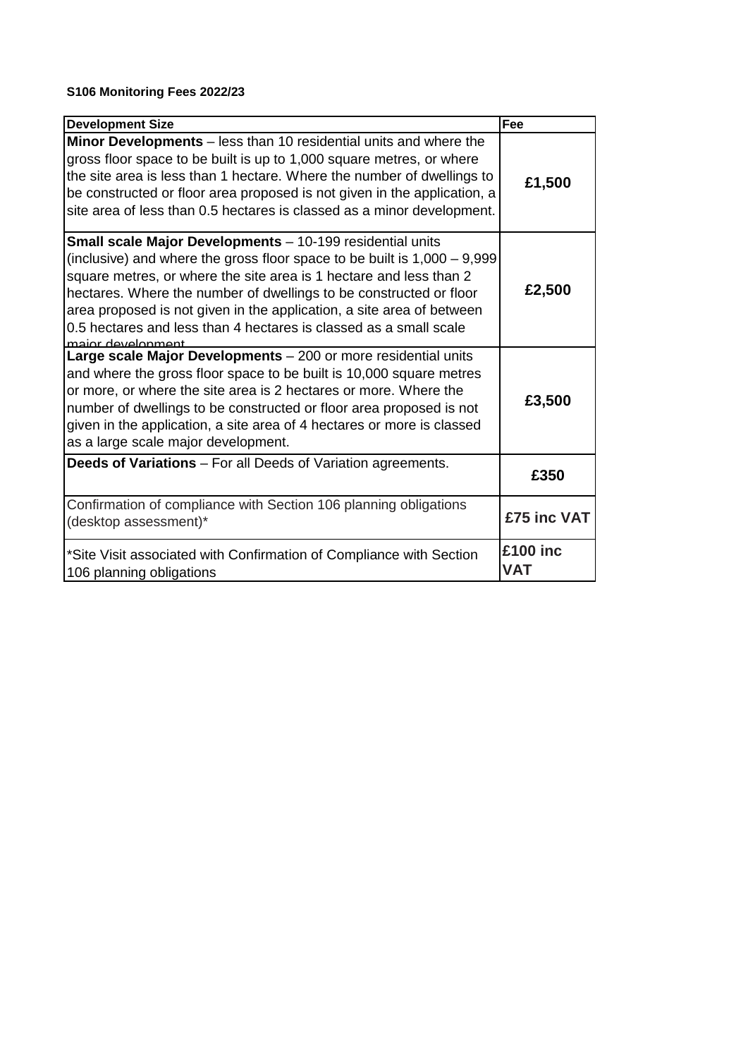# **S106 Monitoring Fees 2022/23**

| <b>Development Size</b>                                                                                                                                                                                                                                                                                                                                                                                                                                | Fee                    |
|--------------------------------------------------------------------------------------------------------------------------------------------------------------------------------------------------------------------------------------------------------------------------------------------------------------------------------------------------------------------------------------------------------------------------------------------------------|------------------------|
| Minor Developments – less than 10 residential units and where the<br>gross floor space to be built is up to 1,000 square metres, or where<br>the site area is less than 1 hectare. Where the number of dwellings to<br>be constructed or floor area proposed is not given in the application, a<br>site area of less than 0.5 hectares is classed as a minor development.                                                                              | £1,500                 |
| Small scale Major Developments - 10-199 residential units<br>(inclusive) and where the gross floor space to be built is $1,000 - 9,999$<br>square metres, or where the site area is 1 hectare and less than 2<br>hectares. Where the number of dwellings to be constructed or floor<br>area proposed is not given in the application, a site area of between<br>0.5 hectares and less than 4 hectares is classed as a small scale<br>maior development | £2,500                 |
| Large scale Major Developments - 200 or more residential units<br>and where the gross floor space to be built is 10,000 square metres<br>or more, or where the site area is 2 hectares or more. Where the<br>number of dwellings to be constructed or floor area proposed is not<br>given in the application, a site area of 4 hectares or more is classed<br>as a large scale major development.                                                      | £3,500                 |
| <b>Deeds of Variations</b> – For all Deeds of Variation agreements.                                                                                                                                                                                                                                                                                                                                                                                    | £350                   |
| Confirmation of compliance with Section 106 planning obligations<br>(desktop assessment)*                                                                                                                                                                                                                                                                                                                                                              | £75 inc VAT            |
| *Site Visit associated with Confirmation of Compliance with Section<br>106 planning obligations                                                                                                                                                                                                                                                                                                                                                        | £100 inc<br><b>VAT</b> |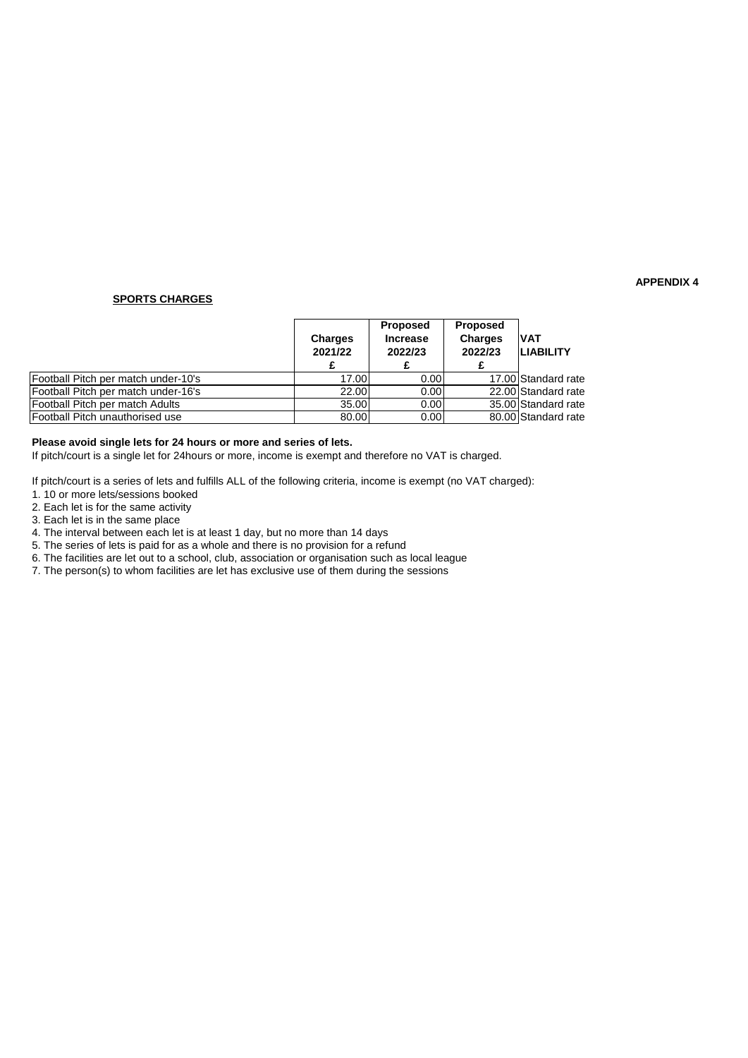### **SPORTS CHARGES**

|                                     | <b>Charges</b><br>2021/22 | <b>Proposed</b><br><b>Increase</b><br>2022/23 | <b>Proposed</b><br><b>Charges</b><br>2022/23 | <b>IVAT</b><br>ILIABILITY |
|-------------------------------------|---------------------------|-----------------------------------------------|----------------------------------------------|---------------------------|
| Football Pitch per match under-10's | 17.00                     | 0.00                                          |                                              | 17.00 Standard rate       |
| Football Pitch per match under-16's | 22.00                     | 0.00                                          |                                              | 22.00 Standard rate       |
| Football Pitch per match Adults     | 35.00                     | 0.00                                          |                                              | 35.00 Standard rate       |
| Football Pitch unauthorised use     | 80.00                     | 0.00                                          |                                              | 80.00 Standard rate       |

### **Please avoid single lets for 24 hours or more and series of lets.**

If pitch/court is a single let for 24hours or more, income is exempt and therefore no VAT is charged.

If pitch/court is a series of lets and fulfills ALL of the following criteria, income is exempt (no VAT charged):

1. 10 or more lets/sessions booked

2. Each let is for the same activity

3. Each let is in the same place

4. The interval between each let is at least 1 day, but no more than 14 days

5. The series of lets is paid for as a whole and there is no provision for a refund

6. The facilities are let out to a school, club, association or organisation such as local league

7. The person(s) to whom facilities are let has exclusive use of them during the sessions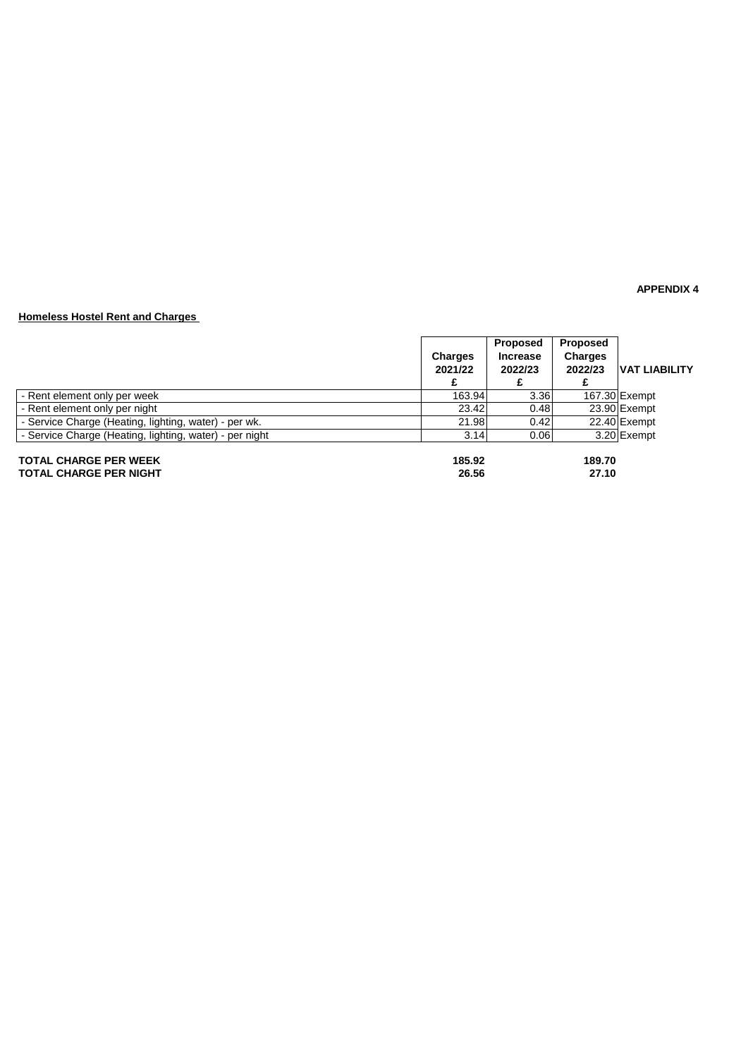### **Homeless Hostel Rent and Charges**

|                                                               | Charges<br>2021/22 | Proposed<br><b>Increase</b><br>2022/23 | Proposed<br><b>Charges</b><br>2022/23 | <b>VAT LIABILITY</b> |
|---------------------------------------------------------------|--------------------|----------------------------------------|---------------------------------------|----------------------|
| - Rent element only per week                                  | 163.94             | 3.36                                   |                                       | 167.30 Exempt        |
| - Rent element only per night                                 | 23.42              | 0.48                                   |                                       | 23.90 Exempt         |
| - Service Charge (Heating, lighting, water) - per wk.         | 21.98              | 0.42                                   |                                       | 22.40 Exempt         |
| - Service Charge (Heating, lighting, water) - per night       | 3.14               | 0.06                                   |                                       | 3.20 Exempt          |
| <b>TOTAL CHARGE PER WEEK</b><br><b>TOTAL CHARGE PER NIGHT</b> | 185.92<br>26.56    |                                        | 189.70<br>27.10                       |                      |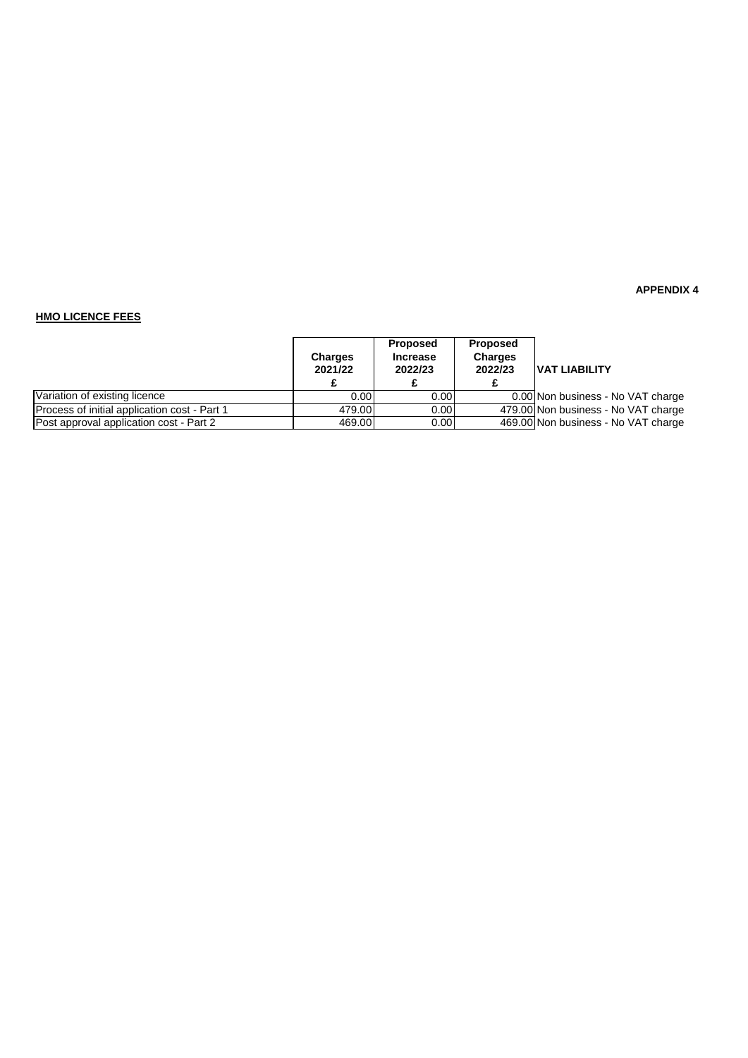### **HMO LICENCE FEES**

|                                              | <b>Charges</b><br>2021/22 | Proposed<br><b>Increase</b><br>2022/23 | <b>Proposed</b><br><b>Charges</b><br>2022/23 | <b>VAT LIABILITY</b>                |
|----------------------------------------------|---------------------------|----------------------------------------|----------------------------------------------|-------------------------------------|
| Variation of existing licence                | 0.001                     | 0.00                                   |                                              | 0.00 Non business - No VAT charge   |
| Process of initial application cost - Part 1 | 479.00                    | 0.00 <sub>l</sub>                      |                                              | 479.00 Non business - No VAT charge |
| Post approval application cost - Part 2      | 469.00                    | 0.00 <sub>l</sub>                      |                                              | 469.00 Non business - No VAT charge |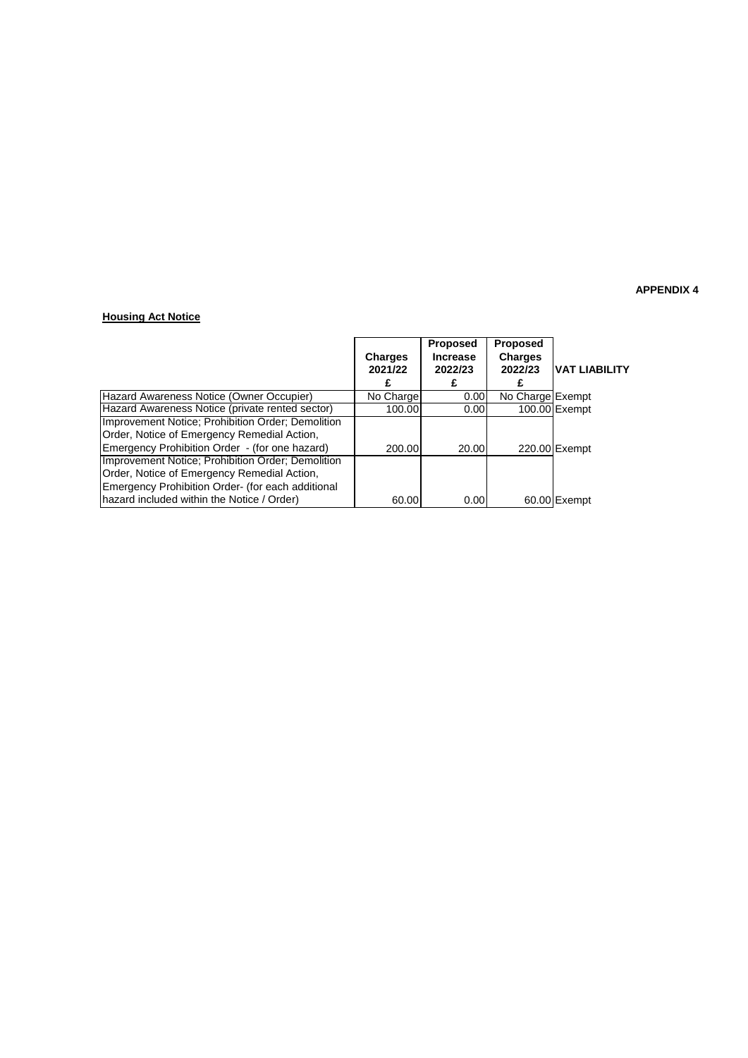### **Housing Act Notice**

|                                                   | Charges   | <b>Proposed</b><br><b>Increase</b> | <b>Proposed</b><br><b>Charges</b> |                |
|---------------------------------------------------|-----------|------------------------------------|-----------------------------------|----------------|
|                                                   | 2021/22   | 2022/23                            | 2022/23                           | IVAT LIABILITY |
|                                                   |           |                                    |                                   |                |
| Hazard Awareness Notice (Owner Occupier)          | No Charge | 0.00                               | No Charge Exempt                  |                |
| Hazard Awareness Notice (private rented sector)   | 100.00    | 0.00                               |                                   | 100.00 Exempt  |
| Improvement Notice; Prohibition Order; Demolition |           |                                    |                                   |                |
| Order, Notice of Emergency Remedial Action,       |           |                                    |                                   |                |
| Emergency Prohibition Order - (for one hazard)    | 200.00    | 20.00                              |                                   | 220.00 Exempt  |
| Improvement Notice; Prohibition Order; Demolition |           |                                    |                                   |                |
| Order, Notice of Emergency Remedial Action,       |           |                                    |                                   |                |
| Emergency Prohibition Order- (for each additional |           |                                    |                                   |                |
| hazard included within the Notice / Order)        | 60.00     | 0.00                               |                                   | 60.00 Exempt   |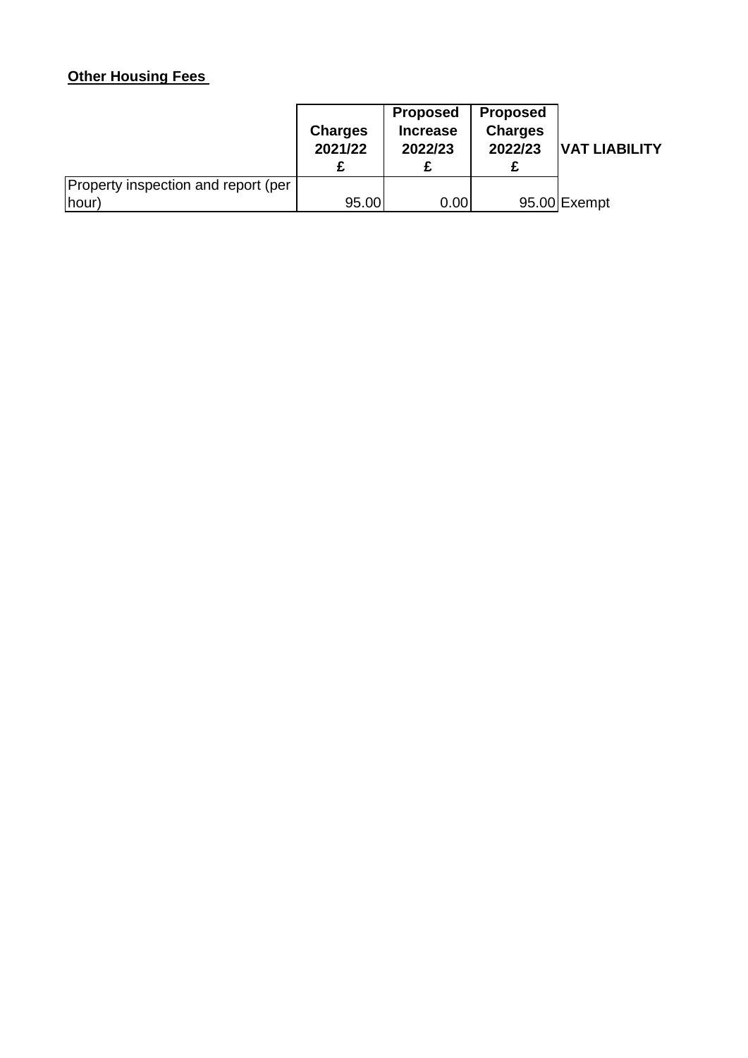# **Other Housing Fees**

|                                     | <b>Charges</b><br>2021/22 | <b>Proposed</b><br><b>Increase</b><br>2022/23 | <b>Proposed</b><br><b>Charges</b><br>2022/23 | <b>VAT LIABILITY</b> |
|-------------------------------------|---------------------------|-----------------------------------------------|----------------------------------------------|----------------------|
| Property inspection and report (per |                           |                                               |                                              |                      |
| (hour)                              | 95.00                     | 0.00                                          |                                              | 95.00 Exempt         |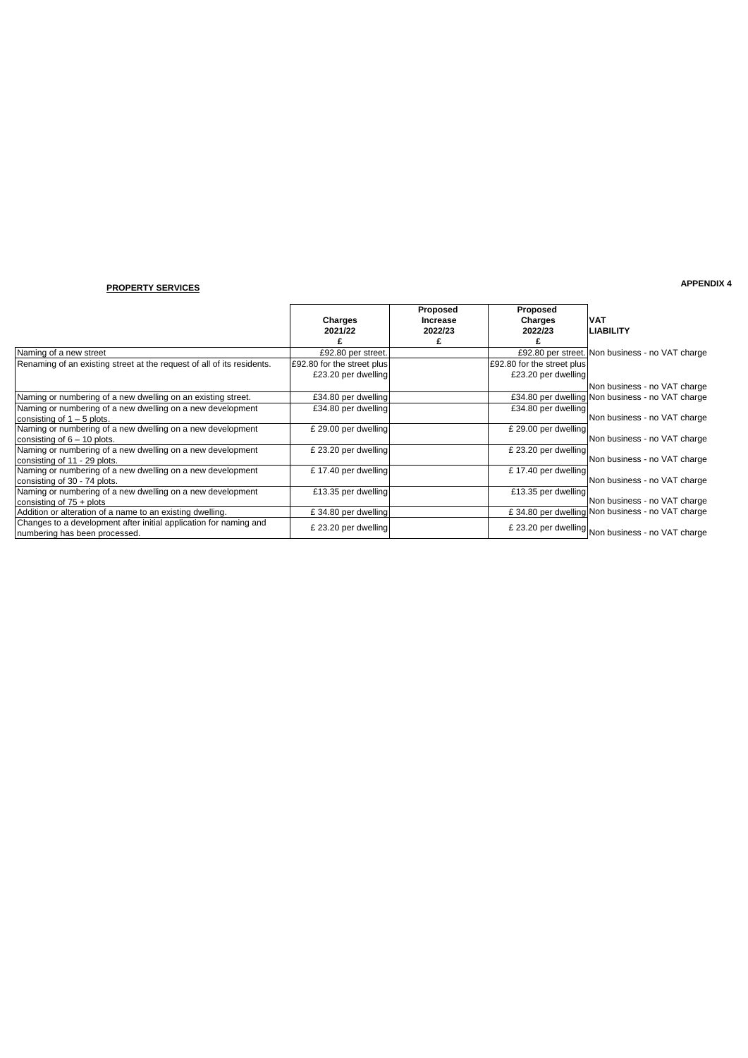# **APPENDIX 4 PROPERTY SERVICES**

|                                                                        |                            | Proposed        | Proposed                   |                                                   |
|------------------------------------------------------------------------|----------------------------|-----------------|----------------------------|---------------------------------------------------|
|                                                                        | Charges                    | <b>Increase</b> | <b>Charges</b>             | <b>VAT</b>                                        |
|                                                                        | 2021/22                    | 2022/23         | 2022/23                    | <b>LIABILITY</b>                                  |
|                                                                        |                            |                 |                            |                                                   |
| Naming of a new street                                                 | £92.80 per street.         |                 |                            | £92.80 per street. Non business - no VAT charge   |
| Renaming of an existing street at the request of all of its residents. | £92.80 for the street plus |                 | £92.80 for the street plus |                                                   |
|                                                                        | £23.20 per dwelling        |                 | £23.20 per dwelling        |                                                   |
|                                                                        |                            |                 |                            | Non business - no VAT charge                      |
| Naming or numbering of a new dwelling on an existing street.           | £34.80 per dwelling        |                 |                            | £34.80 per dwelling Non business - no VAT charge  |
| Naming or numbering of a new dwelling on a new development             | £34.80 per dwelling        |                 | £34.80 per dwelling        |                                                   |
| consisting of $1 - 5$ plots.                                           |                            |                 |                            | Non business - no VAT charge                      |
| Naming or numbering of a new dwelling on a new development             | £ 29.00 per dwelling       |                 | £ 29.00 per dwelling       |                                                   |
| consisting of $6 - 10$ plots.                                          |                            |                 |                            | Non business - no VAT charge                      |
| Naming or numbering of a new dwelling on a new development             | £ 23.20 per dwelling       |                 | £ 23.20 per dwelling       |                                                   |
| consisting of 11 - 29 plots.                                           |                            |                 |                            | Non business - no VAT charge                      |
| Naming or numbering of a new dwelling on a new development             | £17.40 per dwelling        |                 | £17.40 per dwelling        |                                                   |
| consisting of 30 - 74 plots.                                           |                            |                 |                            | Non business - no VAT charge                      |
| Naming or numbering of a new dwelling on a new development             | £13.35 per dwelling        |                 | £13.35 per dwelling        |                                                   |
| consisting of $75 +$ plots                                             |                            |                 |                            | Non business - no VAT charge                      |
| Addition or alteration of a name to an existing dwelling.              | £34.80 per dwelling        |                 |                            | £ 34.80 per dwelling Non business - no VAT charge |
| Changes to a development after initial application for naming and      | £ 23.20 per dwelling       |                 |                            |                                                   |
| numbering has been processed.                                          |                            |                 |                            | £ 23.20 per dwelling Non business - no VAT charge |